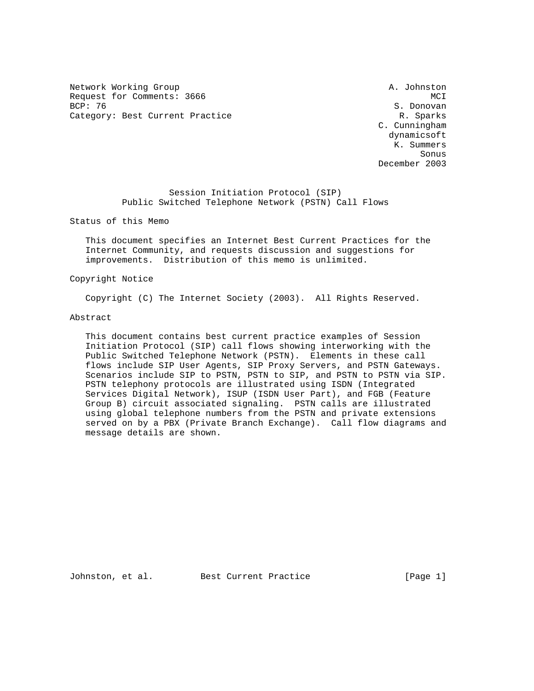Network Working Group and A. Johnston A. Johnston Request for Comments: 3666 MCI<br>BCP: 76 MCI Category: Best Current Practice and Category: Best Current Practice R. Sparks

S. Donovan C. Cunningham dynamicsoft K. Summers sonus de la contrata de la contrata de la contrata de la contrata de la contrata de la contrata de la contrata<br>Son la contrata de la contrata de la contrata de la contrata de la contrata de la contrata de la contrata del December 2003

> Session Initiation Protocol (SIP) Public Switched Telephone Network (PSTN) Call Flows

Status of this Memo

 This document specifies an Internet Best Current Practices for the Internet Community, and requests discussion and suggestions for improvements. Distribution of this memo is unlimited.

Copyright Notice

Copyright (C) The Internet Society (2003). All Rights Reserved.

Abstract

 This document contains best current practice examples of Session Initiation Protocol (SIP) call flows showing interworking with the Public Switched Telephone Network (PSTN). Elements in these call flows include SIP User Agents, SIP Proxy Servers, and PSTN Gateways. Scenarios include SIP to PSTN, PSTN to SIP, and PSTN to PSTN via SIP. PSTN telephony protocols are illustrated using ISDN (Integrated Services Digital Network), ISUP (ISDN User Part), and FGB (Feature Group B) circuit associated signaling. PSTN calls are illustrated using global telephone numbers from the PSTN and private extensions served on by a PBX (Private Branch Exchange). Call flow diagrams and message details are shown.

Johnston, et al. Best Current Practice [Page 1]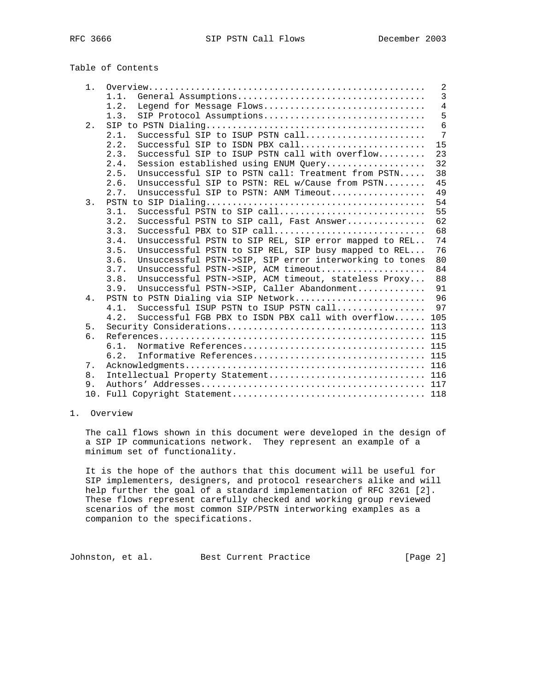# Table of Contents

| $1$ . |                                                                 | 2               |
|-------|-----------------------------------------------------------------|-----------------|
|       | 1.1.                                                            | $\overline{3}$  |
|       | Legend for Message Flows<br>1.2.                                | $\overline{4}$  |
|       | SIP Protocol Assumptions<br>1.3.                                | 5               |
| $2$ . |                                                                 | 6               |
|       | Successful SIP to ISUP PSTN call<br>2.1.                        | $7\phantom{.0}$ |
|       | 2.2.<br>Successful SIP to ISDN PBX $call$                       | 15              |
|       | 2.3.<br>Successful SIP to ISUP PSTN call with overflow          | 23              |
|       | Session established using ENUM Query<br>2.4.                    | 32              |
|       | Unsuccessful SIP to PSTN call: Treatment from PSTN<br>2.5.      | 38              |
|       | Unsuccessful SIP to PSTN: REL w/Cause from PSTN<br>2.6.         | 45              |
|       | Unsuccessful SIP to PSTN: ANM Timeout<br>2.7.                   | 49              |
| 3.    |                                                                 | 54              |
|       | Successful PSTN to SIP call<br>3.1.                             | 55              |
|       | Successful PSTN to SIP call, Fast Answer<br>3.2.                | 62              |
|       | Successful PBX to SIP call<br>3.3.                              | 68              |
|       | Unsuccessful PSTN to SIP REL, SIP error mapped to REL<br>3.4.   | 74              |
|       | 3.5.<br>Unsuccessful PSTN to SIP REL, SIP busy mapped to REL    | 76              |
|       | Unsuccessful PSTN->SIP, SIP error interworking to tones<br>3.6. | 80              |
|       | Unsuccessful PSTN->SIP, ACM timeout<br>3.7.                     | 84              |
|       | Unsuccessful PSTN->SIP, ACM timeout, stateless Proxy<br>3.8.    | 88              |
|       | Unsuccessful PSTN->SIP, Caller Abandonment<br>3.9.              | 91              |
| 4.    | PSTN to PSTN Dialing via SIP Network                            | 96              |
|       | Successful ISUP PSTN to ISUP PSTN call<br>4.1.                  | 97              |
|       | Successful FGB PBX to ISDN PBX call with overflow 105<br>4.2.   |                 |
| $5.$  |                                                                 |                 |
| б.    |                                                                 |                 |
|       | 6.1.                                                            |                 |
|       | 6.2.                                                            |                 |
| 7.    |                                                                 |                 |
| 8.    | Intellectual Property Statement 116                             |                 |
| 9.    |                                                                 |                 |
|       |                                                                 |                 |

## 1. Overview

 The call flows shown in this document were developed in the design of a SIP IP communications network. They represent an example of a minimum set of functionality.

 It is the hope of the authors that this document will be useful for SIP implementers, designers, and protocol researchers alike and will help further the goal of a standard implementation of RFC 3261 [2]. These flows represent carefully checked and working group reviewed scenarios of the most common SIP/PSTN interworking examples as a companion to the specifications.

Johnston, et al. Best Current Practice [Page 2]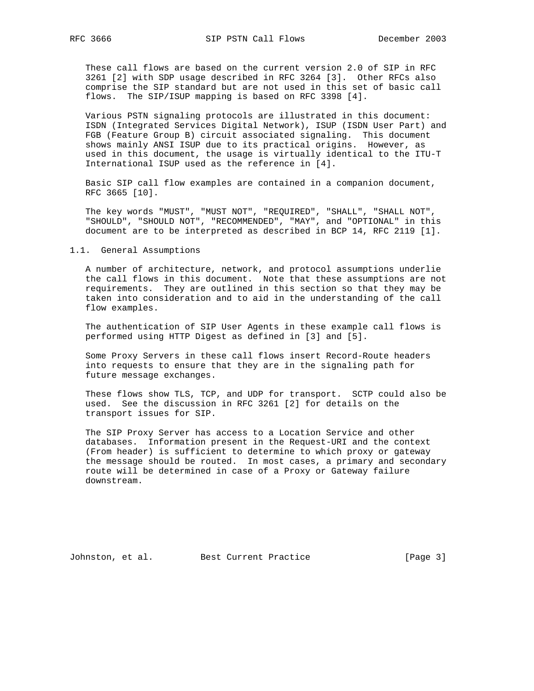These call flows are based on the current version 2.0 of SIP in RFC 3261 [2] with SDP usage described in RFC 3264 [3]. Other RFCs also comprise the SIP standard but are not used in this set of basic call flows. The SIP/ISUP mapping is based on RFC 3398 [4].

 Various PSTN signaling protocols are illustrated in this document: ISDN (Integrated Services Digital Network), ISUP (ISDN User Part) and FGB (Feature Group B) circuit associated signaling. This document shows mainly ANSI ISUP due to its practical origins. However, as used in this document, the usage is virtually identical to the ITU-T International ISUP used as the reference in [4].

 Basic SIP call flow examples are contained in a companion document, RFC 3665 [10].

 The key words "MUST", "MUST NOT", "REQUIRED", "SHALL", "SHALL NOT", "SHOULD", "SHOULD NOT", "RECOMMENDED", "MAY", and "OPTIONAL" in this document are to be interpreted as described in BCP 14, RFC 2119 [1].

#### 1.1. General Assumptions

 A number of architecture, network, and protocol assumptions underlie the call flows in this document. Note that these assumptions are not requirements. They are outlined in this section so that they may be taken into consideration and to aid in the understanding of the call flow examples.

 The authentication of SIP User Agents in these example call flows is performed using HTTP Digest as defined in [3] and [5].

 Some Proxy Servers in these call flows insert Record-Route headers into requests to ensure that they are in the signaling path for future message exchanges.

 These flows show TLS, TCP, and UDP for transport. SCTP could also be used. See the discussion in RFC 3261 [2] for details on the transport issues for SIP.

 The SIP Proxy Server has access to a Location Service and other databases. Information present in the Request-URI and the context (From header) is sufficient to determine to which proxy or gateway the message should be routed. In most cases, a primary and secondary route will be determined in case of a Proxy or Gateway failure downstream.

Johnston, et al. Best Current Practice [Page 3]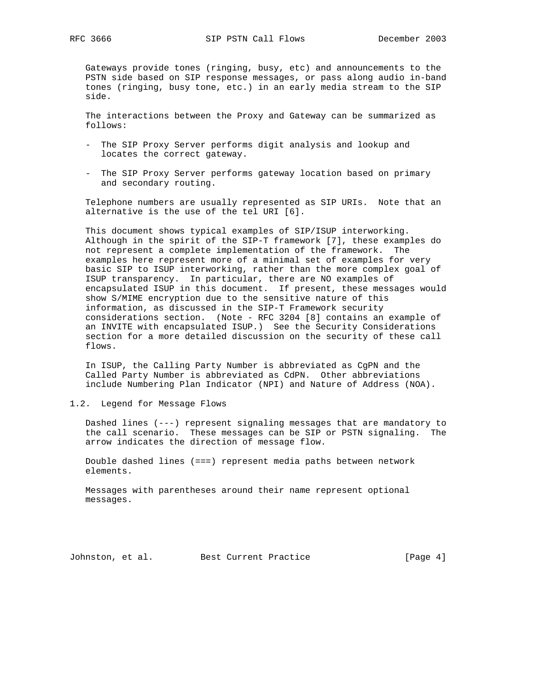Gateways provide tones (ringing, busy, etc) and announcements to the PSTN side based on SIP response messages, or pass along audio in-band tones (ringing, busy tone, etc.) in an early media stream to the SIP side.

 The interactions between the Proxy and Gateway can be summarized as follows:

- The SIP Proxy Server performs digit analysis and lookup and locates the correct gateway.
- The SIP Proxy Server performs gateway location based on primary and secondary routing.

 Telephone numbers are usually represented as SIP URIs. Note that an alternative is the use of the tel URI [6].

 This document shows typical examples of SIP/ISUP interworking. Although in the spirit of the SIP-T framework [7], these examples do not represent a complete implementation of the framework. The examples here represent more of a minimal set of examples for very basic SIP to ISUP interworking, rather than the more complex goal of ISUP transparency. In particular, there are NO examples of encapsulated ISUP in this document. If present, these messages would show S/MIME encryption due to the sensitive nature of this information, as discussed in the SIP-T Framework security considerations section. (Note - RFC 3204 [8] contains an example of an INVITE with encapsulated ISUP.) See the Security Considerations section for a more detailed discussion on the security of these call flows.

 In ISUP, the Calling Party Number is abbreviated as CgPN and the Called Party Number is abbreviated as CdPN. Other abbreviations include Numbering Plan Indicator (NPI) and Nature of Address (NOA).

1.2. Legend for Message Flows

 Dashed lines (---) represent signaling messages that are mandatory to the call scenario. These messages can be SIP or PSTN signaling. The arrow indicates the direction of message flow.

 Double dashed lines (===) represent media paths between network elements.

 Messages with parentheses around their name represent optional messages.

Johnston, et al. Best Current Practice [Page 4]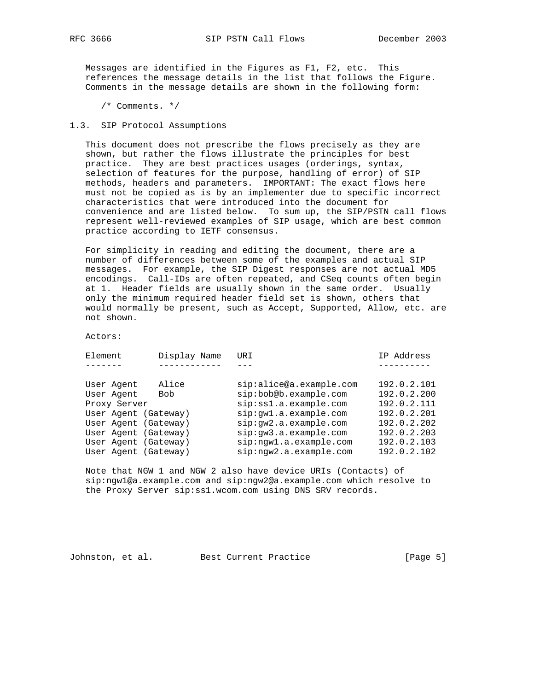Messages are identified in the Figures as F1, F2, etc. This references the message details in the list that follows the Figure. Comments in the message details are shown in the following form:

/\* Comments. \*/

### 1.3. SIP Protocol Assumptions

 This document does not prescribe the flows precisely as they are shown, but rather the flows illustrate the principles for best practice. They are best practices usages (orderings, syntax, selection of features for the purpose, handling of error) of SIP methods, headers and parameters. IMPORTANT: The exact flows here must not be copied as is by an implementer due to specific incorrect characteristics that were introduced into the document for convenience and are listed below. To sum up, the SIP/PSTN call flows represent well-reviewed examples of SIP usage, which are best common practice according to IETF consensus.

 For simplicity in reading and editing the document, there are a number of differences between some of the examples and actual SIP messages. For example, the SIP Digest responses are not actual MD5 encodings. Call-IDs are often repeated, and CSeq counts often begin at 1. Header fields are usually shown in the same order. Usually only the minimum required header field set is shown, others that would normally be present, such as Accept, Supported, Allow, etc. are not shown.

Actors:

| Element              | Display Name | URI                     | IP Address  |
|----------------------|--------------|-------------------------|-------------|
|                      |              |                         |             |
| User Agent           | Alice        | sip:alice@a.example.com | 192.0.2.101 |
| User Agent           | <b>Bob</b>   | sip:bob@b.example.com   | 192.0.2.200 |
| Proxy Server         |              | sip:ss1.a.example.com   | 192.0.2.111 |
| User Agent (Gateway) |              | sip:qwl.a.example.com   | 192.0.2.201 |
| User Agent (Gateway) |              | sip:qw2.a.example.com   | 192.0.2.202 |
| User Agent (Gateway) |              | sip:qw3.a.example.com   | 192.0.2.203 |
| User Agent (Gateway) |              | sip:nqw1.a.example.com  | 192.0.2.103 |
| User Agent (Gateway) |              | sip:nqw2.a.example.com  | 192.0.2.102 |

 Note that NGW 1 and NGW 2 also have device URIs (Contacts) of sip:ngw1@a.example.com and sip:ngw2@a.example.com which resolve to the Proxy Server sip:ss1.wcom.com using DNS SRV records.

Johnston, et al. Best Current Practice [Page 5]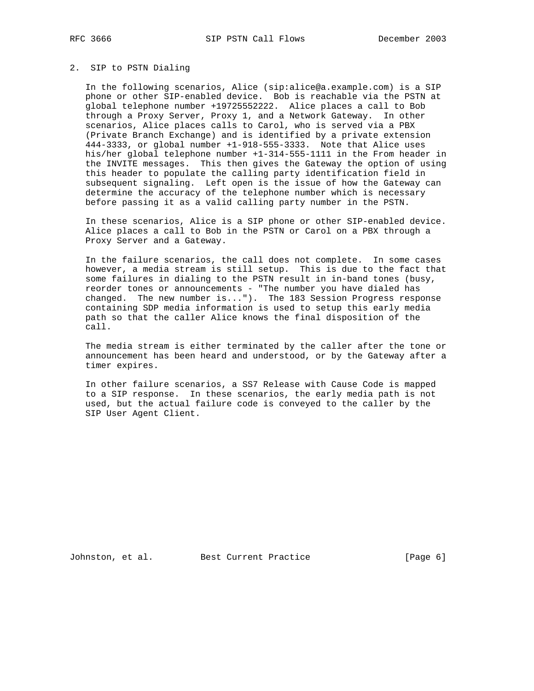## 2. SIP to PSTN Dialing

 In the following scenarios, Alice (sip:alice@a.example.com) is a SIP phone or other SIP-enabled device. Bob is reachable via the PSTN at global telephone number +19725552222. Alice places a call to Bob through a Proxy Server, Proxy 1, and a Network Gateway. In other scenarios, Alice places calls to Carol, who is served via a PBX (Private Branch Exchange) and is identified by a private extension 444-3333, or global number +1-918-555-3333. Note that Alice uses his/her global telephone number +1-314-555-1111 in the From header in the INVITE messages. This then gives the Gateway the option of using this header to populate the calling party identification field in subsequent signaling. Left open is the issue of how the Gateway can determine the accuracy of the telephone number which is necessary before passing it as a valid calling party number in the PSTN.

 In these scenarios, Alice is a SIP phone or other SIP-enabled device. Alice places a call to Bob in the PSTN or Carol on a PBX through a Proxy Server and a Gateway.

 In the failure scenarios, the call does not complete. In some cases however, a media stream is still setup. This is due to the fact that some failures in dialing to the PSTN result in in-band tones (busy, reorder tones or announcements - "The number you have dialed has changed. The new number is..."). The 183 Session Progress response containing SDP media information is used to setup this early media path so that the caller Alice knows the final disposition of the call.

 The media stream is either terminated by the caller after the tone or announcement has been heard and understood, or by the Gateway after a timer expires.

 In other failure scenarios, a SS7 Release with Cause Code is mapped to a SIP response. In these scenarios, the early media path is not used, but the actual failure code is conveyed to the caller by the SIP User Agent Client.

Johnston, et al. Best Current Practice [Page 6]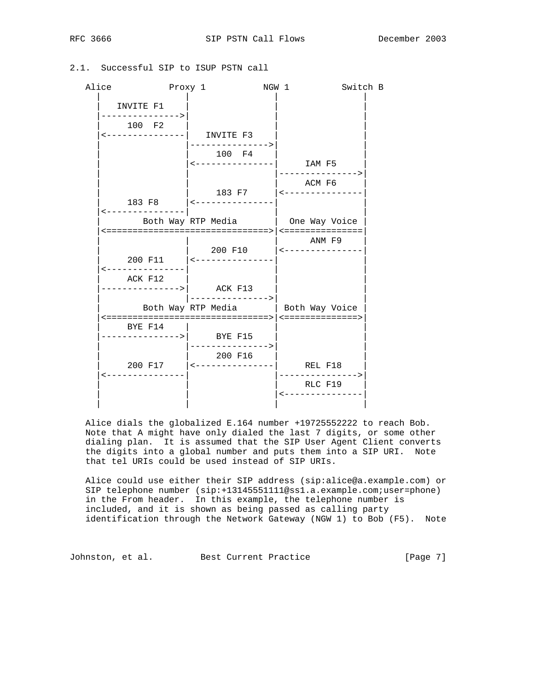# 2.1. Successful SIP to ISUP PSTN call

| Alice | Proxy 1                       |                                                                | NGW 1 |                                      | Switch B |
|-------|-------------------------------|----------------------------------------------------------------|-------|--------------------------------------|----------|
|       | INVITE F1<br>---------------> |                                                                |       |                                      |          |
|       | 100 F2                        | <---------------  INVITE F3                                    |       |                                      |          |
|       |                               | -------------><br>100 F4                                       |       |                                      |          |
|       |                               | $\leftarrow$ --------------  IAM F5                            |       | --------------->                     |          |
|       |                               | 183 F7 $\vert$ <---------------<br>183 F8 $ $ <--------------- |       | ACM F6                               |          |
|       | ---------------               |                                                                |       |                                      |          |
|       |                               | Both Way RTP Media   One Way Voice                             |       |                                      |          |
|       |                               |                                                                |       | ANM F9<br>200 F10   <--------------- |          |
|       | ---------------               | 200 F11 $ $ <---------------                                   |       |                                      |          |
|       | ACK F12                       | $------------->$ ACK F13<br> --------------->                  |       |                                      |          |
|       |                               | Both Way RTP Media   Both Way Voice                            |       |                                      |          |
|       | BYE F14                       | --------------->  BYE F15                                      |       |                                      |          |
|       |                               | ----------------><br>200 F16                                   |       |                                      |          |
|       | --------------                |                                                                |       | -------------->                      |          |
|       |                               |                                                                |       | RLC F19<br>---------------           |          |

 Alice dials the globalized E.164 number +19725552222 to reach Bob. Note that A might have only dialed the last 7 digits, or some other dialing plan. It is assumed that the SIP User Agent Client converts the digits into a global number and puts them into a SIP URI. Note that tel URIs could be used instead of SIP URIs.

 Alice could use either their SIP address (sip:alice@a.example.com) or SIP telephone number (sip:+13145551111@ss1.a.example.com;user=phone) in the From header. In this example, the telephone number is included, and it is shown as being passed as calling party identification through the Network Gateway (NGW 1) to Bob (F5). Note

Johnston, et al. Best Current Practice [Page 7]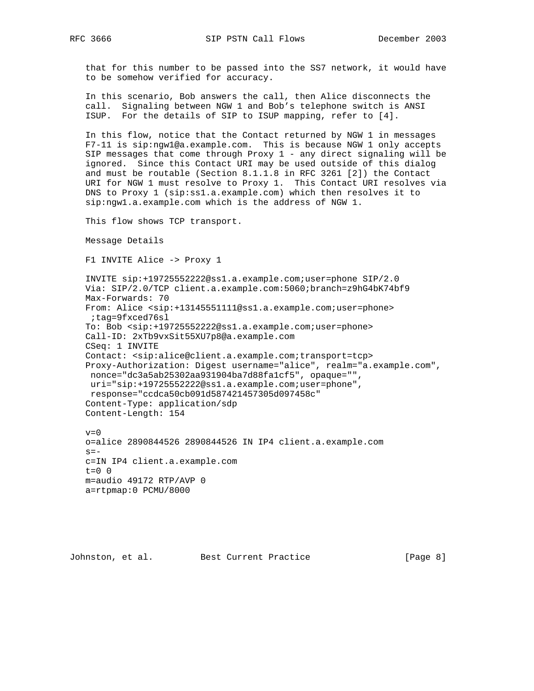that for this number to be passed into the SS7 network, it would have to be somehow verified for accuracy.

 In this scenario, Bob answers the call, then Alice disconnects the call. Signaling between NGW 1 and Bob's telephone switch is ANSI ISUP. For the details of SIP to ISUP mapping, refer to [4].

 In this flow, notice that the Contact returned by NGW 1 in messages F7-11 is sip:ngw1@a.example.com. This is because NGW 1 only accepts SIP messages that come through Proxy 1 - any direct signaling will be ignored. Since this Contact URI may be used outside of this dialog and must be routable (Section 8.1.1.8 in RFC 3261 [2]) the Contact URI for NGW 1 must resolve to Proxy 1. This Contact URI resolves via DNS to Proxy 1 (sip:ss1.a.example.com) which then resolves it to sip:ngw1.a.example.com which is the address of NGW 1.

This flow shows TCP transport.

```
 Message Details
```
F1 INVITE Alice -> Proxy 1

 INVITE sip:+19725552222@ss1.a.example.com;user=phone SIP/2.0 Via: SIP/2.0/TCP client.a.example.com:5060;branch=z9hG4bK74bf9 Max-Forwards: 70 From: Alice <sip:+13145551111@ss1.a.example.com;user=phone> ;tag=9fxced76sl To: Bob <sip:+19725552222@ss1.a.example.com;user=phone> Call-ID: 2xTb9vxSit55XU7p8@a.example.com CSeq: 1 INVITE Contact: <sip:alice@client.a.example.com;transport=tcp> Proxy-Authorization: Digest username="alice", realm="a.example.com", nonce="dc3a5ab25302aa931904ba7d88fa1cf5", opaque="", uri="sip:+19725552222@ss1.a.example.com;user=phone", response="ccdca50cb091d587421457305d097458c" Content-Type: application/sdp Content-Length: 154

 $v=0$  o=alice 2890844526 2890844526 IN IP4 client.a.example.com  $s =$  c=IN IP4 client.a.example.com  $t=0$  0 m=audio 49172 RTP/AVP 0 a=rtpmap:0 PCMU/8000

Johnston, et al. Best Current Practice [Page 8]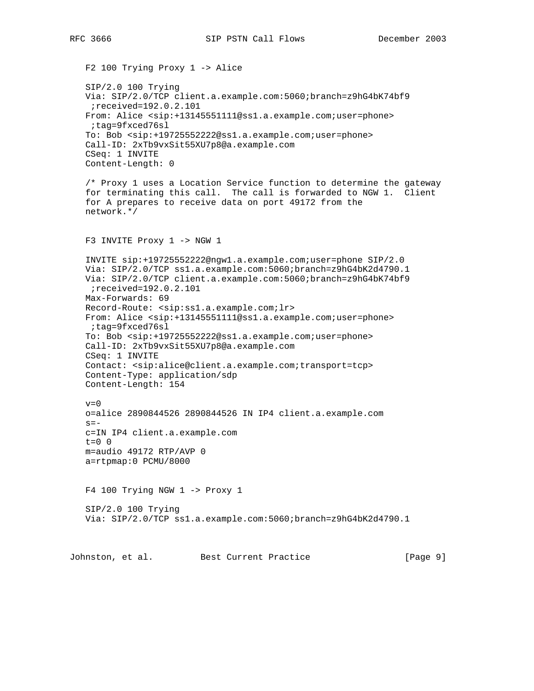F2 100 Trying Proxy 1 -> Alice SIP/2.0 100 Trying Via: SIP/2.0/TCP client.a.example.com:5060;branch=z9hG4bK74bf9 ;received=192.0.2.101 From: Alice <sip:+13145551111@ss1.a.example.com;user=phone> ;tag=9fxced76sl To: Bob <sip:+19725552222@ss1.a.example.com;user=phone> Call-ID: 2xTb9vxSit55XU7p8@a.example.com CSeq: 1 INVITE Content-Length: 0 /\* Proxy 1 uses a Location Service function to determine the gateway for terminating this call. The call is forwarded to NGW 1. Client for A prepares to receive data on port 49172 from the network.\*/ F3 INVITE Proxy 1 -> NGW 1 INVITE sip:+19725552222@ngw1.a.example.com;user=phone SIP/2.0 Via: SIP/2.0/TCP ss1.a.example.com:5060;branch=z9hG4bK2d4790.1 Via: SIP/2.0/TCP client.a.example.com:5060;branch=z9hG4bK74bf9 ;received=192.0.2.101 Max-Forwards: 69 Record-Route: <sip:ss1.a.example.com;lr> From: Alice <sip:+13145551111@ss1.a.example.com;user=phone> ;tag=9fxced76sl To: Bob <sip:+19725552222@ss1.a.example.com;user=phone> Call-ID: 2xTb9vxSit55XU7p8@a.example.com CSeq: 1 INVITE Contact: <sip:alice@client.a.example.com;transport=tcp> Content-Type: application/sdp Content-Length: 154  $v=0$  o=alice 2890844526 2890844526 IN IP4 client.a.example.com  $s =$  c=IN IP4 client.a.example.com  $t=0$  0 m=audio 49172 RTP/AVP 0 a=rtpmap:0 PCMU/8000 F4 100 Trying NGW 1 -> Proxy 1 SIP/2.0 100 Trying Via: SIP/2.0/TCP ss1.a.example.com:5060;branch=z9hG4bK2d4790.1

Johnston, et al. Best Current Practice [Page 9]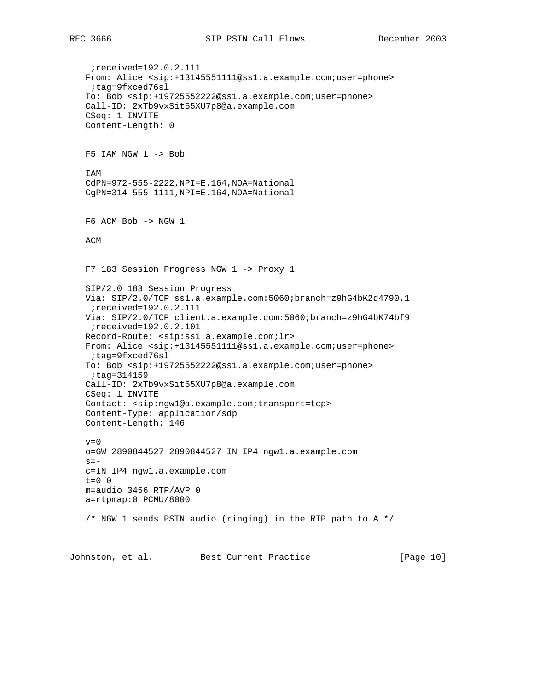```
 ;received=192.0.2.111
 From: Alice <sip:+13145551111@ss1.a.example.com;user=phone>
 ;tag=9fxced76sl
 To: Bob <sip:+19725552222@ss1.a.example.com;user=phone>
 Call-ID: 2xTb9vxSit55XU7p8@a.example.com
 CSeq: 1 INVITE
 Content-Length: 0
 F5 IAM NGW 1 -> Bob
 IAM
 CdPN=972-555-2222,NPI=E.164,NOA=National
 CgPN=314-555-1111,NPI=E.164,NOA=National
 F6 ACM Bob -> NGW 1
 ACM
 F7 183 Session Progress NGW 1 -> Proxy 1
 SIP/2.0 183 Session Progress
 Via: SIP/2.0/TCP ss1.a.example.com:5060;branch=z9hG4bK2d4790.1
  ;received=192.0.2.111
 Via: SIP/2.0/TCP client.a.example.com:5060;branch=z9hG4bK74bf9
 ;received=192.0.2.101
 Record-Route: <sip:ss1.a.example.com;lr>
 From: Alice <sip:+13145551111@ss1.a.example.com;user=phone>
 ;tag=9fxced76sl
 To: Bob <sip:+19725552222@ss1.a.example.com;user=phone>
 ;tag=314159
 Call-ID: 2xTb9vxSit55XU7p8@a.example.com
 CSeq: 1 INVITE
 Contact: <sip:ngw1@a.example.com;transport=tcp>
 Content-Type: application/sdp
 Content-Length: 146
v=0 o=GW 2890844527 2890844527 IN IP4 ngw1.a.example.com
s = - c=IN IP4 ngw1.a.example.com
 t=0 0
 m=audio 3456 RTP/AVP 0
 a=rtpmap:0 PCMU/8000
 /* NGW 1 sends PSTN audio (ringing) in the RTP path to A */
```
Johnston, et al. Best Current Practice [Page 10]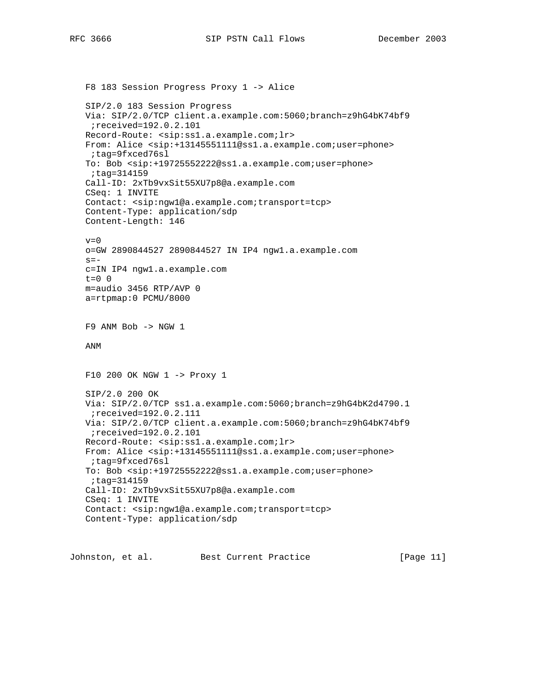```
 F8 183 Session Progress Proxy 1 -> Alice
 SIP/2.0 183 Session Progress
 Via: SIP/2.0/TCP client.a.example.com:5060;branch=z9hG4bK74bf9
 ;received=192.0.2.101
 Record-Route: <sip:ss1.a.example.com;lr>
 From: Alice <sip:+13145551111@ss1.a.example.com;user=phone>
 ;tag=9fxced76sl
 To: Bob <sip:+19725552222@ss1.a.example.com;user=phone>
 ;tag=314159
 Call-ID: 2xTb9vxSit55XU7p8@a.example.com
 CSeq: 1 INVITE
 Contact: <sip:ngw1@a.example.com;transport=tcp>
 Content-Type: application/sdp
 Content-Length: 146
v=0 o=GW 2890844527 2890844527 IN IP4 ngw1.a.example.com
s=- c=IN IP4 ngw1.a.example.com
t=0 0
 m=audio 3456 RTP/AVP 0
 a=rtpmap:0 PCMU/8000
 F9 ANM Bob -> NGW 1
 ANM
 F10 200 OK NGW 1 -> Proxy 1
 SIP/2.0 200 OK
 Via: SIP/2.0/TCP ss1.a.example.com:5060;branch=z9hG4bK2d4790.1
 ;received=192.0.2.111
 Via: SIP/2.0/TCP client.a.example.com:5060;branch=z9hG4bK74bf9
  ;received=192.0.2.101
 Record-Route: <sip:ss1.a.example.com;lr>
 From: Alice <sip:+13145551111@ss1.a.example.com;user=phone>
 ;tag=9fxced76sl
 To: Bob <sip:+19725552222@ss1.a.example.com;user=phone>
 ;tag=314159
 Call-ID: 2xTb9vxSit55XU7p8@a.example.com
 CSeq: 1 INVITE
 Contact: <sip:ngw1@a.example.com;transport=tcp>
 Content-Type: application/sdp
```
Johnston, et al. Best Current Practice [Page 11]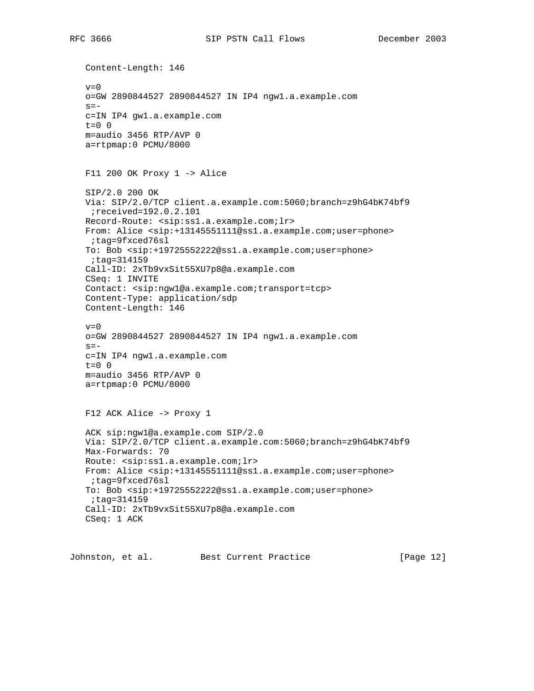RFC 3666 SIP PSTN Call Flows December 2003

 Content-Length: 146  $v=0$  o=GW 2890844527 2890844527 IN IP4 ngw1.a.example.com  $s =$  c=IN IP4 gw1.a.example.com  $t=0$  0 m=audio 3456 RTP/AVP 0 a=rtpmap:0 PCMU/8000 F11 200 OK Proxy 1 -> Alice SIP/2.0 200 OK Via: SIP/2.0/TCP client.a.example.com:5060;branch=z9hG4bK74bf9 ;received=192.0.2.101 Record-Route: <sip:ss1.a.example.com;lr> From: Alice <sip:+13145551111@ss1.a.example.com;user=phone> ;tag=9fxced76sl To: Bob <sip:+19725552222@ss1.a.example.com;user=phone> ;tag=314159 Call-ID: 2xTb9vxSit55XU7p8@a.example.com CSeq: 1 INVITE Contact: <sip:ngw1@a.example.com;transport=tcp> Content-Type: application/sdp Content-Length: 146  $v=0$  o=GW 2890844527 2890844527 IN IP4 ngw1.a.example.com  $s =$  c=IN IP4 ngw1.a.example.com t=0 0 m=audio 3456 RTP/AVP 0 a=rtpmap:0 PCMU/8000 F12 ACK Alice -> Proxy 1 ACK sip:ngw1@a.example.com SIP/2.0 Via: SIP/2.0/TCP client.a.example.com:5060;branch=z9hG4bK74bf9 Max-Forwards: 70 Route: <sip:ss1.a.example.com;lr> From: Alice <sip:+13145551111@ss1.a.example.com;user=phone> ;tag=9fxced76sl To: Bob <sip:+19725552222@ss1.a.example.com;user=phone> ;tag=314159 Call-ID: 2xTb9vxSit55XU7p8@a.example.com CSeq: 1 ACK

Johnston, et al. Best Current Practice [Page 12]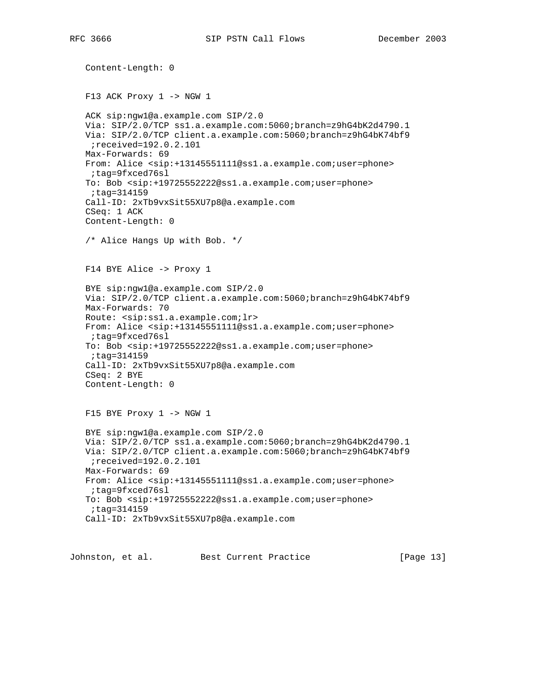Content-Length: 0 F13 ACK Proxy 1 -> NGW 1 ACK sip:ngw1@a.example.com SIP/2.0 Via: SIP/2.0/TCP ss1.a.example.com:5060;branch=z9hG4bK2d4790.1 Via: SIP/2.0/TCP client.a.example.com:5060;branch=z9hG4bK74bf9 ;received=192.0.2.101 Max-Forwards: 69 From: Alice <sip:+13145551111@ss1.a.example.com;user=phone> ;tag=9fxced76sl To: Bob <sip:+19725552222@ss1.a.example.com;user=phone> ;tag=314159 Call-ID: 2xTb9vxSit55XU7p8@a.example.com CSeq: 1 ACK Content-Length: 0 /\* Alice Hangs Up with Bob. \*/ F14 BYE Alice -> Proxy 1 BYE sip:ngw1@a.example.com SIP/2.0 Via: SIP/2.0/TCP client.a.example.com:5060;branch=z9hG4bK74bf9 Max-Forwards: 70 Route: <sip:ss1.a.example.com;lr> From: Alice <sip:+13145551111@ss1.a.example.com;user=phone> ;tag=9fxced76sl To: Bob <sip:+19725552222@ss1.a.example.com;user=phone> ;tag=314159 Call-ID: 2xTb9vxSit55XU7p8@a.example.com CSeq: 2 BYE Content-Length: 0 F15 BYE Proxy 1 -> NGW 1 BYE sip:ngw1@a.example.com SIP/2.0 Via: SIP/2.0/TCP ss1.a.example.com:5060;branch=z9hG4bK2d4790.1 Via: SIP/2.0/TCP client.a.example.com:5060;branch=z9hG4bK74bf9 ;received=192.0.2.101 Max-Forwards: 69 From: Alice <sip:+13145551111@ss1.a.example.com;user=phone> ;tag=9fxced76sl To: Bob <sip:+19725552222@ss1.a.example.com;user=phone> ;tag=314159 Call-ID: 2xTb9vxSit55XU7p8@a.example.com

Johnston, et al. Best Current Practice [Page 13]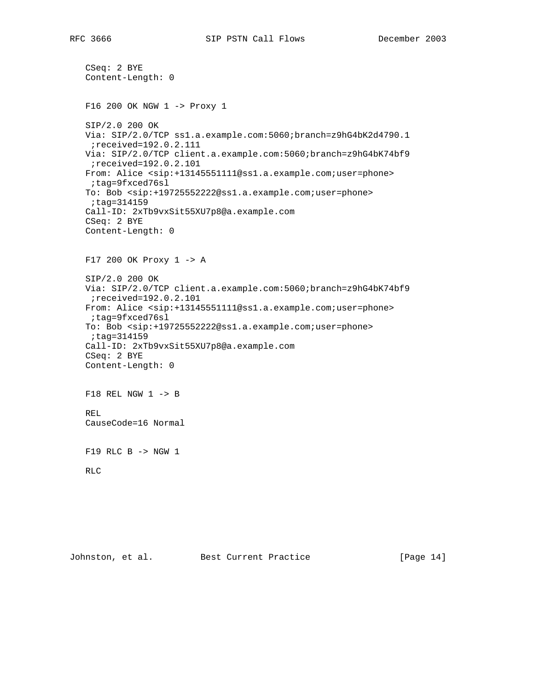```
 CSeq: 2 BYE
 Content-Length: 0
 F16 200 OK NGW 1 -> Proxy 1
 SIP/2.0 200 OK
 Via: SIP/2.0/TCP ss1.a.example.com:5060;branch=z9hG4bK2d4790.1
  ;received=192.0.2.111
 Via: SIP/2.0/TCP client.a.example.com:5060;branch=z9hG4bK74bf9
 ;received=192.0.2.101
 From: Alice <sip:+13145551111@ss1.a.example.com;user=phone>
  ;tag=9fxced76sl
 To: Bob <sip:+19725552222@ss1.a.example.com;user=phone>
  ;tag=314159
 Call-ID: 2xTb9vxSit55XU7p8@a.example.com
 CSeq: 2 BYE
 Content-Length: 0
 F17 200 OK Proxy 1 -> A
 SIP/2.0 200 OK
 Via: SIP/2.0/TCP client.a.example.com:5060;branch=z9hG4bK74bf9
 ;received=192.0.2.101
 From: Alice <sip:+13145551111@ss1.a.example.com;user=phone>
 ;tag=9fxced76sl
 To: Bob <sip:+19725552222@ss1.a.example.com;user=phone>
 ;tag=314159
 Call-ID: 2xTb9vxSit55XU7p8@a.example.com
 CSeq: 2 BYE
 Content-Length: 0
 F18 REL NGW 1 -> B
 REL
 CauseCode=16 Normal
 F19 RLC B -> NGW 1
 RLC
```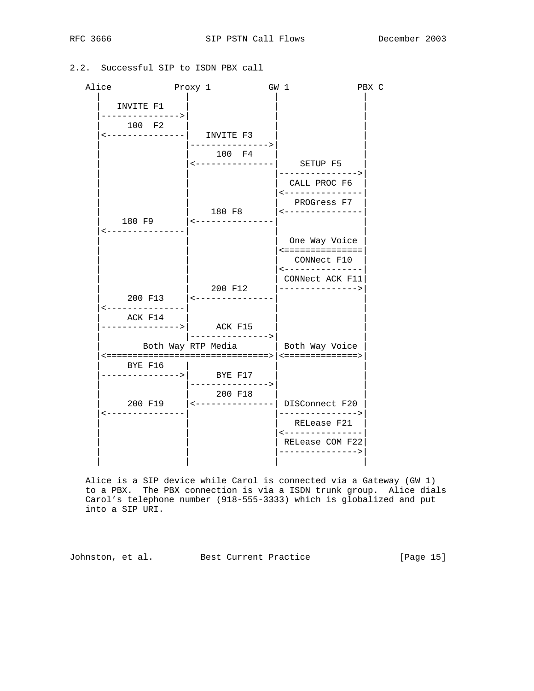# 2.2. Successful SIP to ISDN PBX call

| Alice                        | Proxy 1 |                                       | GW 1 |                                                                | PBX C |  |
|------------------------------|---------|---------------------------------------|------|----------------------------------------------------------------|-------|--|
| INVITE F1<br>--------------> |         |                                       |      |                                                                |       |  |
| 100 F2                       |         | <---------------  INVITE F3           |      |                                                                |       |  |
|                              |         | ---------------><br>100 F4            |      |                                                                |       |  |
|                              |         |                                       |      | <---------------  SETUP F5<br>--------------->                 |       |  |
|                              |         |                                       |      | CALL PROC F6<br><---------------                               |       |  |
|                              |         | 180 F8                                |      | PROGress F7<br>$\leftarrow$ - - - - - - - - - - - - - - -      |       |  |
| ---------------              |         |                                       |      |                                                                |       |  |
|                              |         |                                       |      | One Way Voice<br><===============                              |       |  |
|                              |         |                                       |      | CONNect F10<br>---------------                                 |       |  |
|                              |         |                                       |      | CONNect ACK F11                                                |       |  |
| ---------------              |         | 200 F12<br>200 F13   <--------------- |      | --------------->                                               |       |  |
| ACK F14                      |         |                                       |      |                                                                |       |  |
|                              |         | --------------->                      |      | Both Way RTP Media   Both Way Voice                            |       |  |
|                              | BYE F16 | -------------->  BYE F17              |      |                                                                |       |  |
|                              |         | ---------------><br>200 F18           |      |                                                                |       |  |
| ---------------              |         |                                       |      | 200 F19   <---------------  DISConnect F20<br>---------------> |       |  |
|                              |         |                                       |      | RELease F21<br>----------------                                |       |  |
|                              |         |                                       |      | RELease COM F22<br>--------------->                            |       |  |
|                              |         |                                       |      |                                                                |       |  |

 Alice is a SIP device while Carol is connected via a Gateway (GW 1) to a PBX. The PBX connection is via a ISDN trunk group. Alice dials Carol's telephone number (918-555-3333) which is globalized and put into a SIP URI.

Johnston, et al. Best Current Practice [Page 15]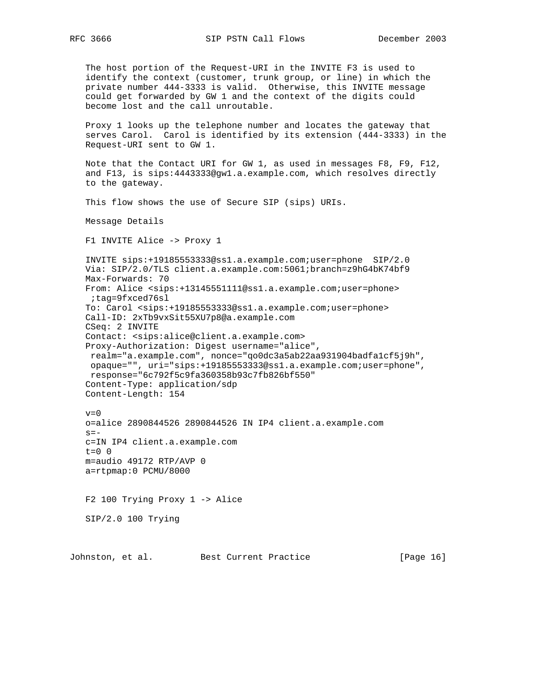The host portion of the Request-URI in the INVITE F3 is used to identify the context (customer, trunk group, or line) in which the private number 444-3333 is valid. Otherwise, this INVITE message could get forwarded by GW 1 and the context of the digits could become lost and the call unroutable. Proxy 1 looks up the telephone number and locates the gateway that serves Carol. Carol is identified by its extension (444-3333) in the Request-URI sent to GW 1. Note that the Contact URI for GW 1, as used in messages F8, F9, F12, and F13, is sips:4443333@gw1.a.example.com, which resolves directly to the gateway. This flow shows the use of Secure SIP (sips) URIs. Message Details F1 INVITE Alice -> Proxy 1 INVITE sips:+19185553333@ss1.a.example.com;user=phone SIP/2.0 Via: SIP/2.0/TLS client.a.example.com:5061;branch=z9hG4bK74bf9 Max-Forwards: 70 From: Alice <sips:+13145551111@ss1.a.example.com;user=phone> ;tag=9fxced76sl To: Carol <sips:+19185553333@ss1.a.example.com;user=phone> Call-ID: 2xTb9vxSit55XU7p8@a.example.com CSeq: 2 INVITE Contact: <sips:alice@client.a.example.com> Proxy-Authorization: Digest username="alice", realm="a.example.com", nonce="qo0dc3a5ab22aa931904badfa1cf5j9h", opaque="", uri="sips:+19185553333@ss1.a.example.com;user=phone", response="6c792f5c9fa360358b93c7fb826bf550" Content-Type: application/sdp Content-Length: 154  $v=0$  o=alice 2890844526 2890844526 IN IP4 client.a.example.com  $s=$  c=IN IP4 client.a.example.com  $t=0$  0 m=audio 49172 RTP/AVP 0 a=rtpmap:0 PCMU/8000 F2 100 Trying Proxy 1 -> Alice SIP/2.0 100 Trying

Johnston, et al. Best Current Practice [Page 16]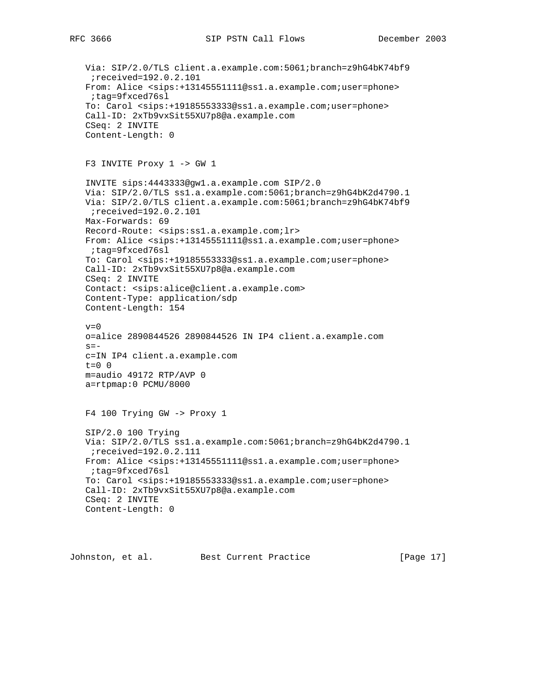```
 Via: SIP/2.0/TLS client.a.example.com:5061;branch=z9hG4bK74bf9
  ;received=192.0.2.101
 From: Alice <sips:+13145551111@ss1.a.example.com;user=phone>
 ;tag=9fxced76sl
 To: Carol <sips:+19185553333@ss1.a.example.com;user=phone>
 Call-ID: 2xTb9vxSit55XU7p8@a.example.com
 CSeq: 2 INVITE
 Content-Length: 0
 F3 INVITE Proxy 1 -> GW 1
 INVITE sips:4443333@gw1.a.example.com SIP/2.0
 Via: SIP/2.0/TLS ss1.a.example.com:5061;branch=z9hG4bK2d4790.1
 Via: SIP/2.0/TLS client.a.example.com:5061;branch=z9hG4bK74bf9
  ;received=192.0.2.101
 Max-Forwards: 69
 Record-Route: <sips:ss1.a.example.com;lr>
 From: Alice <sips:+13145551111@ss1.a.example.com;user=phone>
 ;tag=9fxced76sl
 To: Carol <sips:+19185553333@ss1.a.example.com;user=phone>
 Call-ID: 2xTb9vxSit55XU7p8@a.example.com
 CSeq: 2 INVITE
 Contact: <sips:alice@client.a.example.com>
 Content-Type: application/sdp
 Content-Length: 154
v=0 o=alice 2890844526 2890844526 IN IP4 client.a.example.com
s=- c=IN IP4 client.a.example.com
 t=0 0
 m=audio 49172 RTP/AVP 0
 a=rtpmap:0 PCMU/8000
 F4 100 Trying GW -> Proxy 1
 SIP/2.0 100 Trying
 Via: SIP/2.0/TLS ss1.a.example.com:5061;branch=z9hG4bK2d4790.1
 ;received=192.0.2.111
 From: Alice <sips:+13145551111@ss1.a.example.com;user=phone>
 ;tag=9fxced76sl
 To: Carol <sips:+19185553333@ss1.a.example.com;user=phone>
 Call-ID: 2xTb9vxSit55XU7p8@a.example.com
 CSeq: 2 INVITE
 Content-Length: 0
```
Johnston, et al. Best Current Practice [Page 17]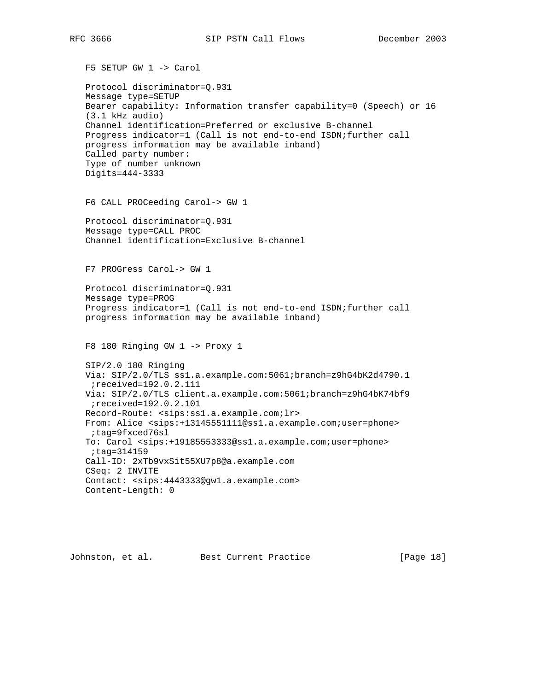F5 SETUP GW 1 -> Carol

 Protocol discriminator=Q.931 Message type=SETUP Bearer capability: Information transfer capability=0 (Speech) or 16 (3.1 kHz audio) Channel identification=Preferred or exclusive B-channel Progress indicator=1 (Call is not end-to-end ISDN;further call progress information may be available inband) Called party number: Type of number unknown Digits=444-3333 F6 CALL PROCeeding Carol-> GW 1 Protocol discriminator=Q.931 Message type=CALL PROC Channel identification=Exclusive B-channel F7 PROGress Carol-> GW 1 Protocol discriminator=Q.931 Message type=PROG Progress indicator=1 (Call is not end-to-end ISDN;further call progress information may be available inband) F8 180 Ringing GW 1 -> Proxy 1 SIP/2.0 180 Ringing Via: SIP/2.0/TLS ss1.a.example.com:5061;branch=z9hG4bK2d4790.1 ;received=192.0.2.111 Via: SIP/2.0/TLS client.a.example.com:5061;branch=z9hG4bK74bf9 ;received=192.0.2.101 Record-Route: <sips:ss1.a.example.com;lr> From: Alice <sips:+13145551111@ss1.a.example.com;user=phone> ;tag=9fxced76sl To: Carol <sips:+19185553333@ss1.a.example.com;user=phone> ;tag=314159 Call-ID: 2xTb9vxSit55XU7p8@a.example.com CSeq: 2 INVITE Contact: <sips:4443333@gw1.a.example.com> Content-Length: 0

Johnston, et al. Best Current Practice [Page 18]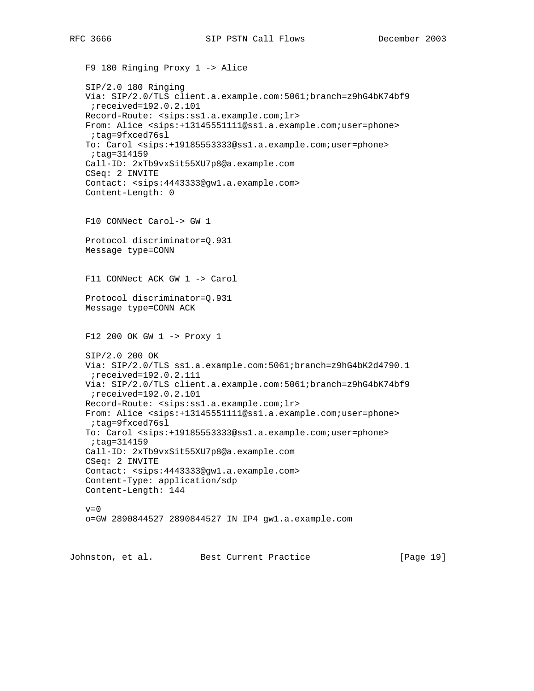```
 F9 180 Ringing Proxy 1 -> Alice
 SIP/2.0 180 Ringing
 Via: SIP/2.0/TLS client.a.example.com:5061;branch=z9hG4bK74bf9
 ;received=192.0.2.101
 Record-Route: <sips:ss1.a.example.com;lr>
 From: Alice <sips:+13145551111@ss1.a.example.com;user=phone>
 ;tag=9fxced76sl
 To: Carol <sips:+19185553333@ss1.a.example.com;user=phone>
 ;tag=314159
 Call-ID: 2xTb9vxSit55XU7p8@a.example.com
 CSeq: 2 INVITE
 Contact: <sips:4443333@gw1.a.example.com>
 Content-Length: 0
 F10 CONNect Carol-> GW 1
 Protocol discriminator=Q.931
 Message type=CONN
 F11 CONNect ACK GW 1 -> Carol
 Protocol discriminator=Q.931
 Message type=CONN ACK
 F12 200 OK GW 1 -> Proxy 1
 SIP/2.0 200 OK
 Via: SIP/2.0/TLS ss1.a.example.com:5061;branch=z9hG4bK2d4790.1
  ;received=192.0.2.111
 Via: SIP/2.0/TLS client.a.example.com:5061;branch=z9hG4bK74bf9
 ;received=192.0.2.101
 Record-Route: <sips:ss1.a.example.com;lr>
 From: Alice <sips:+13145551111@ss1.a.example.com;user=phone>
  ;tag=9fxced76sl
 To: Carol <sips:+19185553333@ss1.a.example.com;user=phone>
  ;tag=314159
 Call-ID: 2xTb9vxSit55XU7p8@a.example.com
 CSeq: 2 INVITE
 Contact: <sips:4443333@gw1.a.example.com>
 Content-Type: application/sdp
 Content-Length: 144
v=0 o=GW 2890844527 2890844527 IN IP4 gw1.a.example.com
```
Johnston, et al. Best Current Practice [Page 19]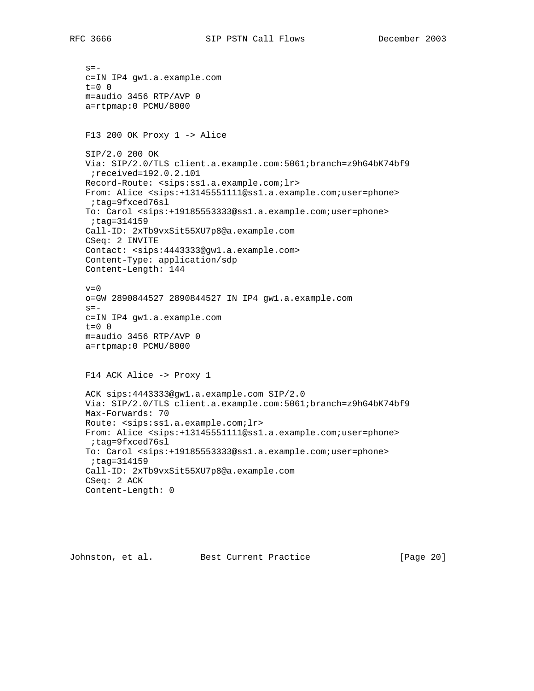$s =$  c=IN IP4 gw1.a.example.com  $t=0$  0 m=audio 3456 RTP/AVP 0 a=rtpmap:0 PCMU/8000 F13 200 OK Proxy 1 -> Alice SIP/2.0 200 OK Via: SIP/2.0/TLS client.a.example.com:5061;branch=z9hG4bK74bf9 ;received=192.0.2.101 Record-Route: <sips:ss1.a.example.com;lr> From: Alice <sips:+13145551111@ss1.a.example.com;user=phone> ;tag=9fxced76sl To: Carol <sips:+19185553333@ss1.a.example.com;user=phone> ;tag=314159 Call-ID: 2xTb9vxSit55XU7p8@a.example.com CSeq: 2 INVITE Contact: <sips:4443333@gw1.a.example.com> Content-Type: application/sdp Content-Length: 144  $v=0$  o=GW 2890844527 2890844527 IN IP4 gw1.a.example.com  $s =$  c=IN IP4 gw1.a.example.com t=0 0 m=audio 3456 RTP/AVP 0 a=rtpmap:0 PCMU/8000 F14 ACK Alice -> Proxy 1 ACK sips:4443333@gw1.a.example.com SIP/2.0 Via: SIP/2.0/TLS client.a.example.com:5061;branch=z9hG4bK74bf9 Max-Forwards: 70 Route: <sips:ss1.a.example.com;lr> From: Alice <sips:+13145551111@ss1.a.example.com;user=phone> ;tag=9fxced76sl To: Carol <sips:+19185553333@ss1.a.example.com;user=phone> ;tag=314159 Call-ID: 2xTb9vxSit55XU7p8@a.example.com CSeq: 2 ACK Content-Length: 0

Johnston, et al. Best Current Practice [Page 20]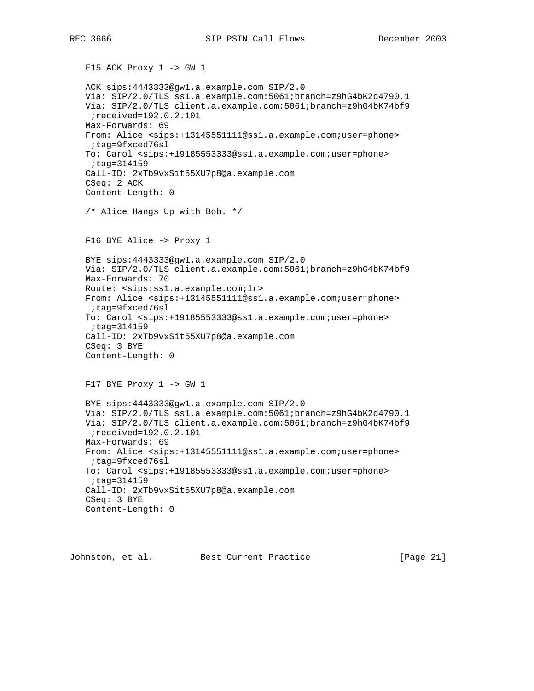```
 F15 ACK Proxy 1 -> GW 1
 ACK sips:4443333@gw1.a.example.com SIP/2.0
 Via: SIP/2.0/TLS ss1.a.example.com:5061;branch=z9hG4bK2d4790.1
 Via: SIP/2.0/TLS client.a.example.com:5061;branch=z9hG4bK74bf9
 ;received=192.0.2.101
 Max-Forwards: 69
 From: Alice <sips:+13145551111@ss1.a.example.com;user=phone>
 ;tag=9fxced76sl
 To: Carol <sips:+19185553333@ss1.a.example.com;user=phone>
 ;tag=314159
 Call-ID: 2xTb9vxSit55XU7p8@a.example.com
 CSeq: 2 ACK
 Content-Length: 0
 /* Alice Hangs Up with Bob. */
 F16 BYE Alice -> Proxy 1
 BYE sips:4443333@gw1.a.example.com SIP/2.0
 Via: SIP/2.0/TLS client.a.example.com:5061;branch=z9hG4bK74bf9
 Max-Forwards: 70
 Route: <sips:ss1.a.example.com;lr>
 From: Alice <sips:+13145551111@ss1.a.example.com;user=phone>
 ;tag=9fxced76sl
 To: Carol <sips:+19185553333@ss1.a.example.com;user=phone>
 ;tag=314159
 Call-ID: 2xTb9vxSit55XU7p8@a.example.com
 CSeq: 3 BYE
 Content-Length: 0
 F17 BYE Proxy 1 -> GW 1
 BYE sips:4443333@gw1.a.example.com SIP/2.0
 Via: SIP/2.0/TLS ss1.a.example.com:5061;branch=z9hG4bK2d4790.1
 Via: SIP/2.0/TLS client.a.example.com:5061;branch=z9hG4bK74bf9
  ;received=192.0.2.101
 Max-Forwards: 69
 From: Alice <sips:+13145551111@ss1.a.example.com;user=phone>
 ;tag=9fxced76sl
 To: Carol <sips:+19185553333@ss1.a.example.com;user=phone>
 ;tag=314159
 Call-ID: 2xTb9vxSit55XU7p8@a.example.com
 CSeq: 3 BYE
 Content-Length: 0
```
Johnston, et al. Best Current Practice [Page 21]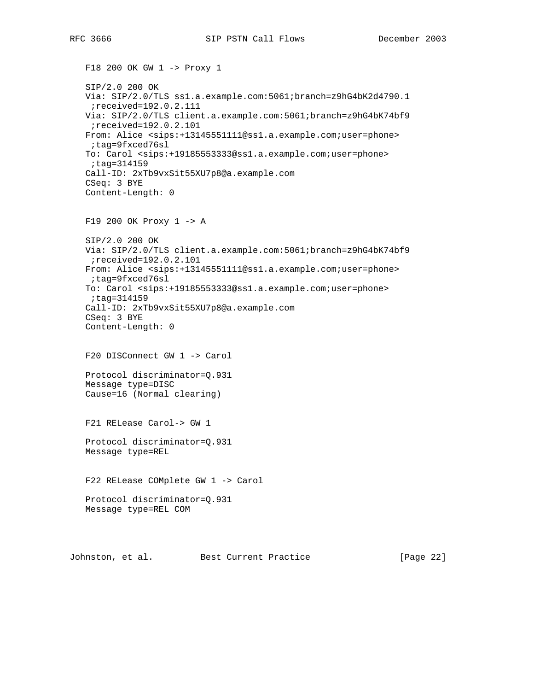F18 200 OK GW 1 -> Proxy 1 SIP/2.0 200 OK Via: SIP/2.0/TLS ss1.a.example.com:5061;branch=z9hG4bK2d4790.1 ;received=192.0.2.111 Via: SIP/2.0/TLS client.a.example.com:5061;branch=z9hG4bK74bf9 ;received=192.0.2.101 From: Alice <sips:+13145551111@ss1.a.example.com;user=phone> ;tag=9fxced76sl To: Carol <sips:+19185553333@ss1.a.example.com;user=phone> ;tag=314159 Call-ID: 2xTb9vxSit55XU7p8@a.example.com CSeq: 3 BYE Content-Length: 0 F19 200 OK Proxy 1 -> A SIP/2.0 200 OK Via: SIP/2.0/TLS client.a.example.com:5061;branch=z9hG4bK74bf9 ;received=192.0.2.101 From: Alice <sips:+13145551111@ss1.a.example.com;user=phone> ;tag=9fxced76sl To: Carol <sips:+19185553333@ss1.a.example.com;user=phone> ;tag=314159 Call-ID: 2xTb9vxSit55XU7p8@a.example.com CSeq: 3 BYE Content-Length: 0 F20 DISConnect GW 1 -> Carol Protocol discriminator=Q.931 Message type=DISC Cause=16 (Normal clearing) F21 RELease Carol-> GW 1 Protocol discriminator=Q.931 Message type=REL F22 RELease COMplete GW 1 -> Carol Protocol discriminator=Q.931 Message type=REL COM

Johnston, et al. Best Current Practice [Page 22]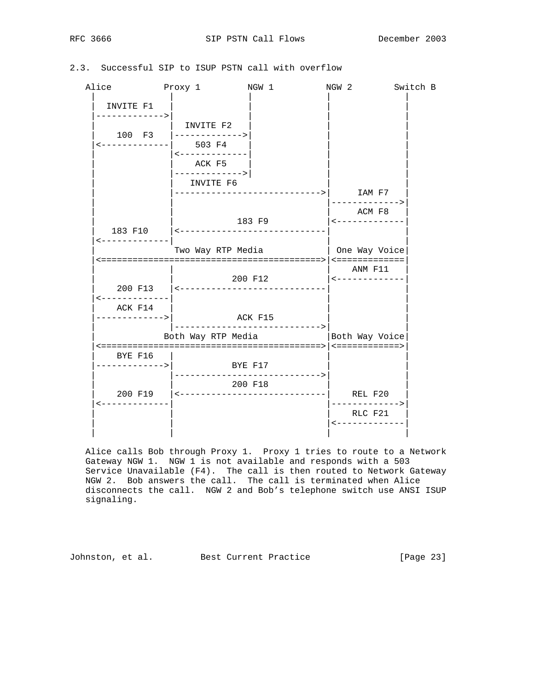RFC 3666 SIP PSTN Call Flows December 2003

| 2.3. Successful SIP to ISUP PSTN call with overflow |  |  |  |  |  |  |  |  |  |
|-----------------------------------------------------|--|--|--|--|--|--|--|--|--|
|-----------------------------------------------------|--|--|--|--|--|--|--|--|--|

| Alice<br>Proxy 1                           |                                                                    | NGW 1                                                        | NGW 2                                                              | Switch B    |
|--------------------------------------------|--------------------------------------------------------------------|--------------------------------------------------------------|--------------------------------------------------------------------|-------------|
| INVITE F1<br>------------->                |                                                                    |                                                              |                                                                    |             |
|                                            | INVITE F2<br>100 F3 $ ------$<br><-------------  503 F4            |                                                              |                                                                    |             |
|                                            | $\leftarrow$ - - - - - - - - - - - - -<br>ACK F5<br>-------------> |                                                              |                                                                    |             |
|                                            | INVITE F6                                                          |                                                              | ----------->       IAM F7                                          |             |
|                                            |                                                                    | 183 F9                                                       | -------------><br>ACM F8<br>$\leftarrow$ - - - - - - - - - - - - - |             |
| <-------------                             |                                                                    | 183 F10   <----------------------------<br>Two Way RTP Media | One Way Voice                                                      |             |
|                                            |                                                                    |                                                              |                                                                    |             |
|                                            |                                                                    | 200 F12<br>200 F13   <-----------------------------          | ANM F11<br>$\leftarrow$ - - - - - - - - - - - - -                  |             |
| <-------------<br>ACK F14<br>------------> |                                                                    |                                                              |                                                                    |             |
|                                            |                                                                    | ACK F15<br>--------------------------><br>Both Way RTP Media | Both Way Voice                                                     |             |
| BYE F16<br>------------>                   | BYE F17                                                            |                                                              |                                                                    |             |
|                                            |                                                                    | --------------------------><br>200 F18                       | REL F20                                                            |             |
| -------------                              |                                                                    |                                                              | RLC F21<br>$\leftarrow$ - - - - - - - - - - - - -                  | ----------> |
|                                            |                                                                    |                                                              |                                                                    |             |

 Alice calls Bob through Proxy 1. Proxy 1 tries to route to a Network Gateway NGW 1. NGW 1 is not available and responds with a 503 Service Unavailable (F4). The call is then routed to Network Gateway NGW 2. Bob answers the call. The call is terminated when Alice disconnects the call. NGW 2 and Bob's telephone switch use ANSI ISUP signaling.

Johnston, et al. Best Current Practice [Page 23]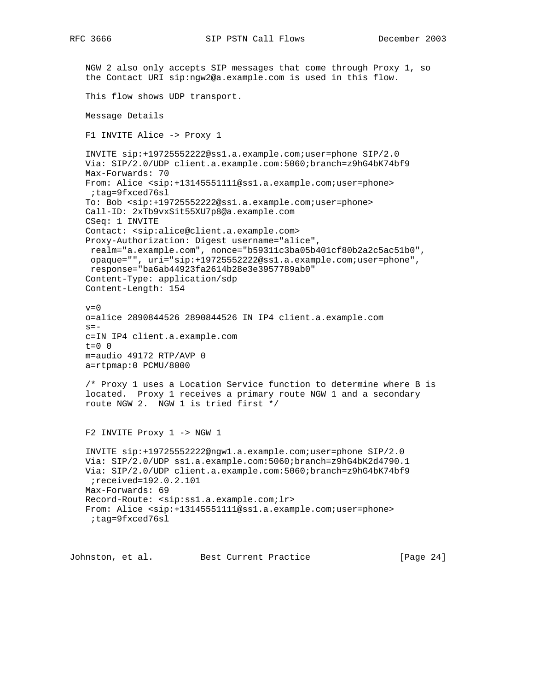RFC 3666 SIP PSTN Call Flows December 2003

```
 NGW 2 also only accepts SIP messages that come through Proxy 1, so
 the Contact URI sip:ngw2@a.example.com is used in this flow.
 This flow shows UDP transport.
 Message Details
 F1 INVITE Alice -> Proxy 1
 INVITE sip:+19725552222@ss1.a.example.com;user=phone SIP/2.0
 Via: SIP/2.0/UDP client.a.example.com:5060;branch=z9hG4bK74bf9
 Max-Forwards: 70
 From: Alice <sip:+13145551111@ss1.a.example.com;user=phone>
  ;tag=9fxced76sl
 To: Bob <sip:+19725552222@ss1.a.example.com;user=phone>
 Call-ID: 2xTb9vxSit55XU7p8@a.example.com
 CSeq: 1 INVITE
 Contact: <sip:alice@client.a.example.com>
 Proxy-Authorization: Digest username="alice",
 realm="a.example.com", nonce="b59311c3ba05b401cf80b2a2c5ac51b0",
 opaque="", uri="sip:+19725552222@ss1.a.example.com;user=phone",
 response="ba6ab44923fa2614b28e3e3957789ab0"
 Content-Type: application/sdp
 Content-Length: 154
v=0 o=alice 2890844526 2890844526 IN IP4 client.a.example.com
s=- c=IN IP4 client.a.example.com
t=0 0
 m=audio 49172 RTP/AVP 0
 a=rtpmap:0 PCMU/8000
 /* Proxy 1 uses a Location Service function to determine where B is
 located. Proxy 1 receives a primary route NGW 1 and a secondary
 route NGW 2. NGW 1 is tried first */
 F2 INVITE Proxy 1 -> NGW 1
 INVITE sip:+19725552222@ngw1.a.example.com;user=phone SIP/2.0
 Via: SIP/2.0/UDP ss1.a.example.com:5060;branch=z9hG4bK2d4790.1
 Via: SIP/2.0/UDP client.a.example.com:5060;branch=z9hG4bK74bf9
  ;received=192.0.2.101
 Max-Forwards: 69
 Record-Route: <sip:ss1.a.example.com;lr>
 From: Alice <sip:+13145551111@ss1.a.example.com;user=phone>
 ;tag=9fxced76sl
```
Johnston, et al. Best Current Practice [Page 24]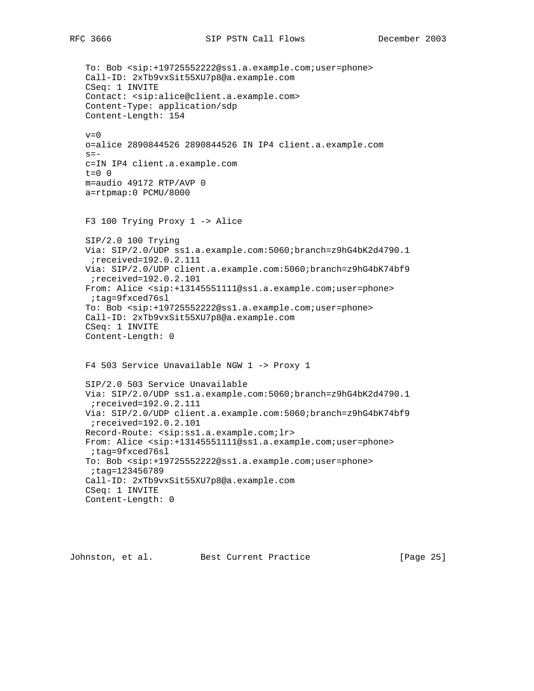To: Bob <sip:+19725552222@ss1.a.example.com;user=phone> Call-ID: 2xTb9vxSit55XU7p8@a.example.com CSeq: 1 INVITE Contact: <sip:alice@client.a.example.com> Content-Type: application/sdp Content-Length: 154  $v=0$  o=alice 2890844526 2890844526 IN IP4 client.a.example.com  $s=$  c=IN IP4 client.a.example.com  $t=0$  0 m=audio 49172 RTP/AVP 0 a=rtpmap:0 PCMU/8000 F3 100 Trying Proxy 1 -> Alice SIP/2.0 100 Trying Via: SIP/2.0/UDP ss1.a.example.com:5060;branch=z9hG4bK2d4790.1 ;received=192.0.2.111 Via: SIP/2.0/UDP client.a.example.com:5060;branch=z9hG4bK74bf9 ;received=192.0.2.101 From: Alice <sip:+13145551111@ss1.a.example.com;user=phone> ;tag=9fxced76sl To: Bob <sip:+19725552222@ss1.a.example.com;user=phone> Call-ID: 2xTb9vxSit55XU7p8@a.example.com CSeq: 1 INVITE Content-Length: 0 F4 503 Service Unavailable NGW 1 -> Proxy 1 SIP/2.0 503 Service Unavailable Via: SIP/2.0/UDP ss1.a.example.com:5060;branch=z9hG4bK2d4790.1 ;received=192.0.2.111 Via: SIP/2.0/UDP client.a.example.com:5060;branch=z9hG4bK74bf9 ;received=192.0.2.101 Record-Route: <sip:ss1.a.example.com;lr> From: Alice <sip:+13145551111@ss1.a.example.com;user=phone> ;tag=9fxced76sl To: Bob <sip:+19725552222@ss1.a.example.com;user=phone> ;tag=123456789 Call-ID: 2xTb9vxSit55XU7p8@a.example.com CSeq: 1 INVITE Content-Length: 0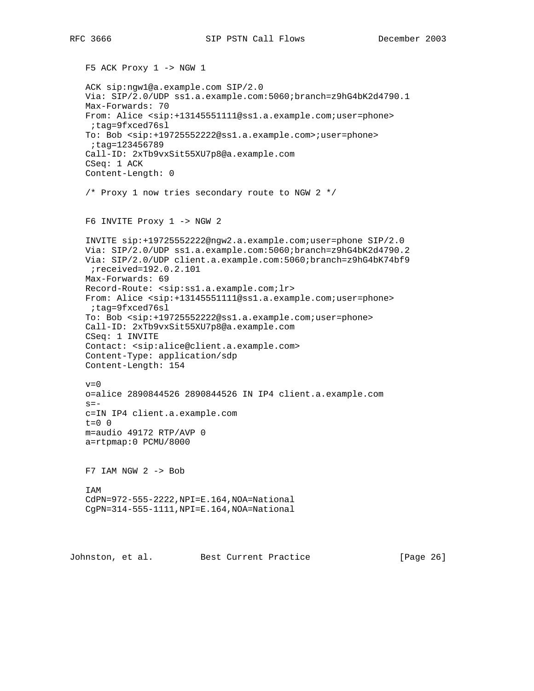F5 ACK Proxy 1 -> NGW 1 ACK sip:ngw1@a.example.com SIP/2.0 Via: SIP/2.0/UDP ss1.a.example.com:5060;branch=z9hG4bK2d4790.1 Max-Forwards: 70 From: Alice <sip:+13145551111@ss1.a.example.com;user=phone> ;tag=9fxced76sl To: Bob <sip:+19725552222@ss1.a.example.com>;user=phone> ;tag=123456789 Call-ID: 2xTb9vxSit55XU7p8@a.example.com CSeq: 1 ACK Content-Length: 0 /\* Proxy 1 now tries secondary route to NGW 2 \*/ F6 INVITE Proxy 1 -> NGW 2 INVITE sip:+19725552222@ngw2.a.example.com;user=phone SIP/2.0 Via: SIP/2.0/UDP ss1.a.example.com:5060;branch=z9hG4bK2d4790.2 Via: SIP/2.0/UDP client.a.example.com:5060;branch=z9hG4bK74bf9 ;received=192.0.2.101 Max-Forwards: 69 Record-Route: <sip:ss1.a.example.com;lr> From: Alice <sip:+13145551111@ss1.a.example.com;user=phone> ;tag=9fxced76sl To: Bob <sip:+19725552222@ss1.a.example.com;user=phone> Call-ID: 2xTb9vxSit55XU7p8@a.example.com CSeq: 1 INVITE Contact: <sip:alice@client.a.example.com> Content-Type: application/sdp Content-Length: 154  $v=0$  o=alice 2890844526 2890844526 IN IP4 client.a.example.com  $s=$  c=IN IP4 client.a.example.com t=0 0 m=audio 49172 RTP/AVP 0 a=rtpmap:0 PCMU/8000 F7 IAM NGW 2 -> Bob IAM CdPN=972-555-2222,NPI=E.164,NOA=National CgPN=314-555-1111,NPI=E.164,NOA=National Johnston, et al. Best Current Practice [Page 26]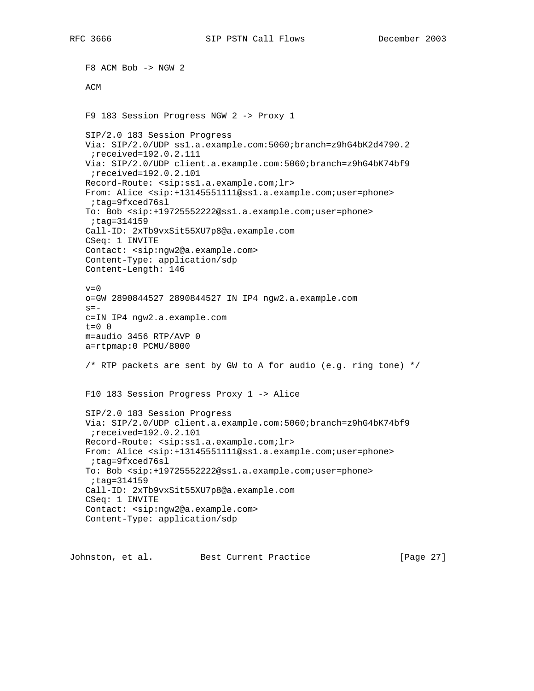F8 ACM Bob -> NGW 2 ACM F9 183 Session Progress NGW 2 -> Proxy 1 SIP/2.0 183 Session Progress Via: SIP/2.0/UDP ss1.a.example.com:5060;branch=z9hG4bK2d4790.2 ;received=192.0.2.111 Via: SIP/2.0/UDP client.a.example.com:5060;branch=z9hG4bK74bf9 ;received=192.0.2.101 Record-Route: <sip:ss1.a.example.com;lr> From: Alice <sip:+13145551111@ss1.a.example.com;user=phone> ;tag=9fxced76sl To: Bob <sip:+19725552222@ss1.a.example.com;user=phone> ;tag=314159 Call-ID: 2xTb9vxSit55XU7p8@a.example.com CSeq: 1 INVITE Contact: <sip:ngw2@a.example.com> Content-Type: application/sdp Content-Length: 146  $v=0$  o=GW 2890844527 2890844527 IN IP4 ngw2.a.example.com  $s =$  c=IN IP4 ngw2.a.example.com t=0 0 m=audio 3456 RTP/AVP 0 a=rtpmap:0 PCMU/8000 /\* RTP packets are sent by GW to A for audio (e.g. ring tone) \*/ F10 183 Session Progress Proxy 1 -> Alice SIP/2.0 183 Session Progress Via: SIP/2.0/UDP client.a.example.com:5060;branch=z9hG4bK74bf9 ;received=192.0.2.101 Record-Route: <sip:ss1.a.example.com;lr> From: Alice <sip:+13145551111@ss1.a.example.com;user=phone> ;tag=9fxced76sl To: Bob <sip:+19725552222@ss1.a.example.com;user=phone> ;tag=314159 Call-ID: 2xTb9vxSit55XU7p8@a.example.com CSeq: 1 INVITE Contact: <sip:ngw2@a.example.com> Content-Type: application/sdp

Johnston, et al. Best Current Practice [Page 27]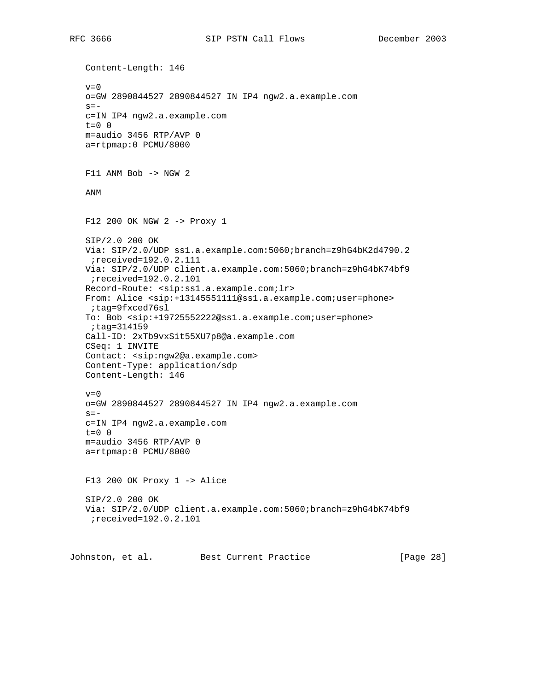Content-Length: 146  $v=0$  o=GW 2890844527 2890844527 IN IP4 ngw2.a.example.com  $s =$  c=IN IP4 ngw2.a.example.com  $t=0$  0 m=audio 3456 RTP/AVP 0 a=rtpmap:0 PCMU/8000 F11 ANM Bob -> NGW 2 ANM F12 200 OK NGW 2 -> Proxy 1 SIP/2.0 200 OK Via: SIP/2.0/UDP ss1.a.example.com:5060;branch=z9hG4bK2d4790.2 ;received=192.0.2.111 Via: SIP/2.0/UDP client.a.example.com:5060;branch=z9hG4bK74bf9 ;received=192.0.2.101 Record-Route: <sip:ss1.a.example.com;lr> From: Alice <sip:+13145551111@ss1.a.example.com;user=phone> ;tag=9fxced76sl To: Bob <sip:+19725552222@ss1.a.example.com;user=phone> ;tag=314159 Call-ID: 2xTb9vxSit55XU7p8@a.example.com CSeq: 1 INVITE Contact: <sip:ngw2@a.example.com> Content-Type: application/sdp Content-Length: 146  $v=0$  o=GW 2890844527 2890844527 IN IP4 ngw2.a.example.com  $s=$  c=IN IP4 ngw2.a.example.com t=0 0 m=audio 3456 RTP/AVP 0 a=rtpmap:0 PCMU/8000 F13 200 OK Proxy 1 -> Alice SIP/2.0 200 OK Via: SIP/2.0/UDP client.a.example.com:5060;branch=z9hG4bK74bf9 ;received=192.0.2.101 Johnston, et al. Best Current Practice [Page 28]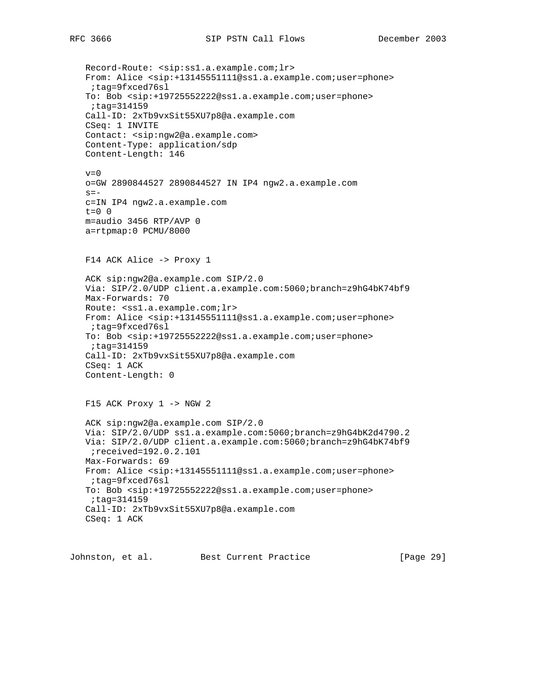Record-Route: <sip:ss1.a.example.com;lr> From: Alice <sip:+13145551111@ss1.a.example.com;user=phone> ;tag=9fxced76sl To: Bob <sip:+19725552222@ss1.a.example.com;user=phone> ;tag=314159 Call-ID: 2xTb9vxSit55XU7p8@a.example.com CSeq: 1 INVITE Contact: <sip:ngw2@a.example.com> Content-Type: application/sdp Content-Length: 146  $v=0$  o=GW 2890844527 2890844527 IN IP4 ngw2.a.example.com  $s =$  c=IN IP4 ngw2.a.example.com  $t=0$  0 m=audio 3456 RTP/AVP 0 a=rtpmap:0 PCMU/8000 F14 ACK Alice -> Proxy 1 ACK sip:ngw2@a.example.com SIP/2.0 Via: SIP/2.0/UDP client.a.example.com:5060;branch=z9hG4bK74bf9 Max-Forwards: 70 Route: <ss1.a.example.com; lr> From: Alice <sip:+13145551111@ss1.a.example.com;user=phone> ;tag=9fxced76sl To: Bob <sip:+19725552222@ss1.a.example.com;user=phone> ;tag=314159 Call-ID: 2xTb9vxSit55XU7p8@a.example.com CSeq: 1 ACK Content-Length: 0 F15 ACK Proxy 1 -> NGW 2 ACK sip:ngw2@a.example.com SIP/2.0 Via: SIP/2.0/UDP ss1.a.example.com:5060;branch=z9hG4bK2d4790.2 Via: SIP/2.0/UDP client.a.example.com:5060;branch=z9hG4bK74bf9 ;received=192.0.2.101 Max-Forwards: 69 From: Alice <sip:+13145551111@ss1.a.example.com;user=phone> ;tag=9fxced76sl To: Bob <sip:+19725552222@ss1.a.example.com;user=phone> ;tag=314159 Call-ID: 2xTb9vxSit55XU7p8@a.example.com CSeq: 1 ACK

Johnston, et al. Best Current Practice [Page 29]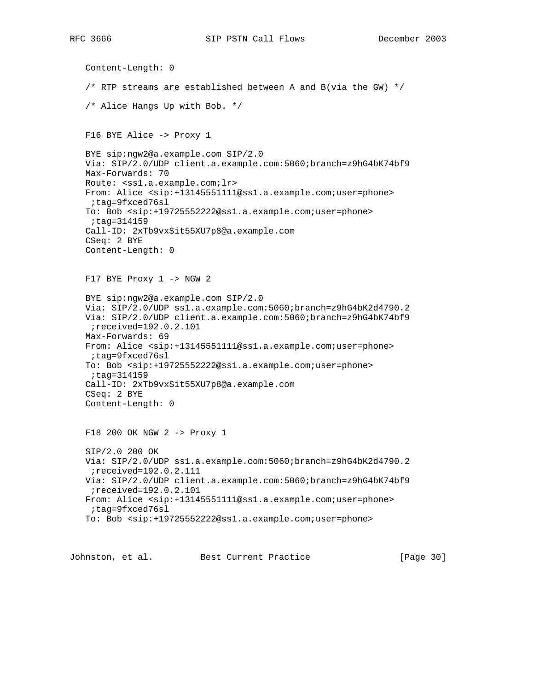Content-Length: 0 /\* RTP streams are established between A and B(via the GW)  $*/$  /\* Alice Hangs Up with Bob. \*/ F16 BYE Alice -> Proxy 1 BYE sip:ngw2@a.example.com SIP/2.0 Via: SIP/2.0/UDP client.a.example.com:5060;branch=z9hG4bK74bf9 Max-Forwards: 70 Route: <ss1.a.example.com;lr> From: Alice <sip:+13145551111@ss1.a.example.com;user=phone> ;tag=9fxced76sl To: Bob <sip:+19725552222@ss1.a.example.com;user=phone> ;tag=314159 Call-ID: 2xTb9vxSit55XU7p8@a.example.com CSeq: 2 BYE Content-Length: 0 F17 BYE Proxy 1 -> NGW 2 BYE sip:ngw2@a.example.com SIP/2.0 Via: SIP/2.0/UDP ss1.a.example.com:5060;branch=z9hG4bK2d4790.2 Via: SIP/2.0/UDP client.a.example.com:5060;branch=z9hG4bK74bf9 ;received=192.0.2.101 Max-Forwards: 69 From: Alice <sip:+13145551111@ss1.a.example.com;user=phone> ;tag=9fxced76sl To: Bob <sip:+19725552222@ss1.a.example.com;user=phone> ;tag=314159 Call-ID: 2xTb9vxSit55XU7p8@a.example.com CSeq: 2 BYE Content-Length: 0 F18 200 OK NGW 2 -> Proxy 1 SIP/2.0 200 OK Via: SIP/2.0/UDP ss1.a.example.com:5060;branch=z9hG4bK2d4790.2 ;received=192.0.2.111 Via: SIP/2.0/UDP client.a.example.com:5060;branch=z9hG4bK74bf9 ;received=192.0.2.101 From: Alice <sip:+13145551111@ss1.a.example.com;user=phone> ;tag=9fxced76sl To: Bob <sip:+19725552222@ss1.a.example.com;user=phone>

Johnston, et al. Best Current Practice [Page 30]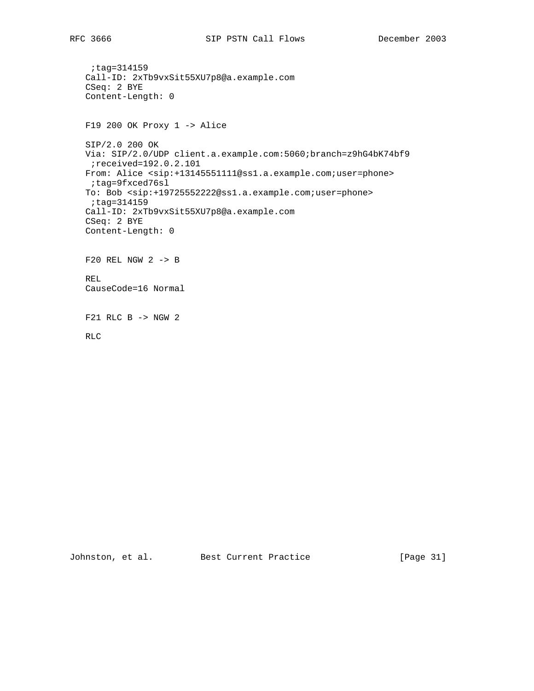```
 ;tag=314159
 Call-ID: 2xTb9vxSit55XU7p8@a.example.com
 CSeq: 2 BYE
 Content-Length: 0
 F19 200 OK Proxy 1 -> Alice
 SIP/2.0 200 OK
 Via: SIP/2.0/UDP client.a.example.com:5060;branch=z9hG4bK74bf9
  ;received=192.0.2.101
 From: Alice <sip:+13145551111@ss1.a.example.com;user=phone>
  ;tag=9fxced76sl
 To: Bob <sip:+19725552222@ss1.a.example.com;user=phone>
  ;tag=314159
 Call-ID: 2xTb9vxSit55XU7p8@a.example.com
 CSeq: 2 BYE
 Content-Length: 0
 F20 REL NGW 2 -> B
 REL
 CauseCode=16 Normal
 F21 RLC B -> NGW 2
 RLC
```
Johnston, et al. Best Current Practice [Page 31]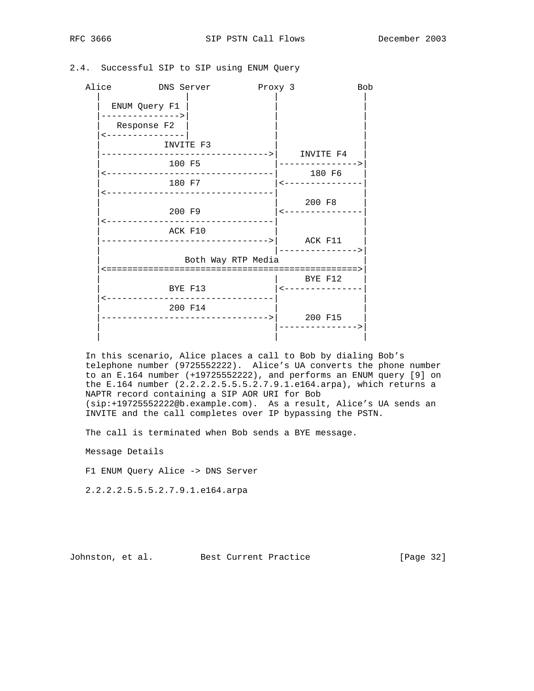## 2.4. Successful SIP to SIP using ENUM Query

| Alice DNS Server                                   | Proxy 3            |                                                        | <b>Bob</b> |
|----------------------------------------------------|--------------------|--------------------------------------------------------|------------|
| ENUM Query F1                                      |                    |                                                        |            |
| ---------------><br>Response F2<br>--------------- |                    |                                                        |            |
| INVITE F3                                          |                    |                                                        |            |
| 100 F5                                             |                    | ---------------------->   INVITE F4<br>--------------> |            |
| <----------------------------------<br>180 F7      |                    | 180 F6<br>  <-------------                             |            |
| <---------------------------------                 |                    | 200 F8                                                 |            |
| 200 F9                                             |                    | $\leftarrow$ - - - - - - - - - - - - -                 |            |
| ACK F10                                            |                    |                                                        |            |
|                                                    | Both Way RTP Media |                                                        |            |
|                                                    |                    | BYE F12                                                |            |
| BYE F13<br>--------------------------------        |                    | $\leftarrow$ - - - - - - - - - - - - - - -             |            |
| 200 F14                                            |                    | 200 F15                                                |            |
|                                                    |                    |                                                        |            |

 In this scenario, Alice places a call to Bob by dialing Bob's telephone number (9725552222). Alice's UA converts the phone number to an E.164 number (+19725552222), and performs an ENUM query [9] on the E.164 number (2.2.2.2.5.5.5.2.7.9.1.e164.arpa), which returns a NAPTR record containing a SIP AOR URI for Bob (sip:+19725552222@b.example.com). As a result, Alice's UA sends an INVITE and the call completes over IP bypassing the PSTN.

The call is terminated when Bob sends a BYE message.

Message Details

F1 ENUM Query Alice -> DNS Server

2.2.2.2.5.5.5.2.7.9.1.e164.arpa

Johnston, et al. Best Current Practice [Page 32]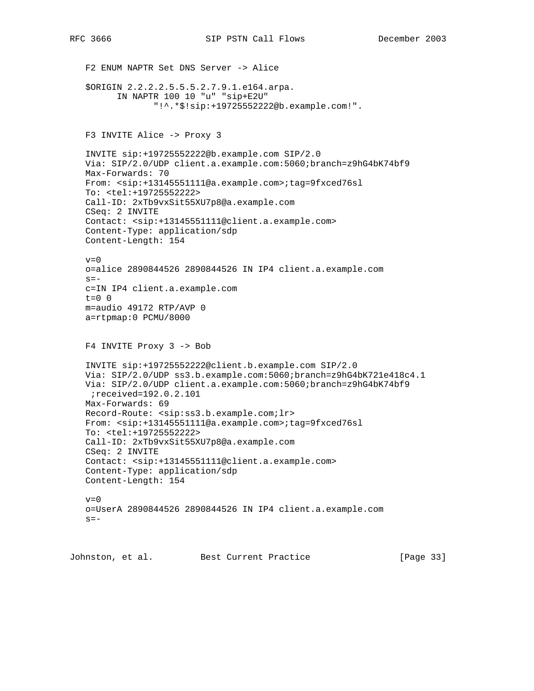F2 ENUM NAPTR Set DNS Server -> Alice \$ORIGIN 2.2.2.2.5.5.5.2.7.9.1.e164.arpa. IN NAPTR 100 10 "u" "sip+E2U" "!^.\*\$!sip:+19725552222@b.example.com!". F3 INVITE Alice -> Proxy 3 INVITE sip:+19725552222@b.example.com SIP/2.0 Via: SIP/2.0/UDP client.a.example.com:5060;branch=z9hG4bK74bf9 Max-Forwards: 70 From: <sip:+13145551111@a.example.com>;tag=9fxced76sl To: <tel:+19725552222> Call-ID: 2xTb9vxSit55XU7p8@a.example.com CSeq: 2 INVITE Contact: <sip:+13145551111@client.a.example.com> Content-Type: application/sdp Content-Length: 154  $v=0$  o=alice 2890844526 2890844526 IN IP4 client.a.example.com  $s=$  c=IN IP4 client.a.example.com t=0 0 m=audio 49172 RTP/AVP 0 a=rtpmap:0 PCMU/8000 F4 INVITE Proxy 3 -> Bob INVITE sip:+19725552222@client.b.example.com SIP/2.0 Via: SIP/2.0/UDP ss3.b.example.com:5060;branch=z9hG4bK721e418c4.1 Via: SIP/2.0/UDP client.a.example.com:5060;branch=z9hG4bK74bf9 ;received=192.0.2.101 Max-Forwards: 69 Record-Route: <sip:ss3.b.example.com;lr> From: <sip:+13145551111@a.example.com>;tag=9fxced76sl To: <tel:+19725552222> Call-ID: 2xTb9vxSit55XU7p8@a.example.com CSeq: 2 INVITE Contact: <sip:+13145551111@client.a.example.com> Content-Type: application/sdp Content-Length: 154  $v=0$  o=UserA 2890844526 2890844526 IN IP4 client.a.example.com  $s=-$ 

Johnston, et al. Best Current Practice [Page 33]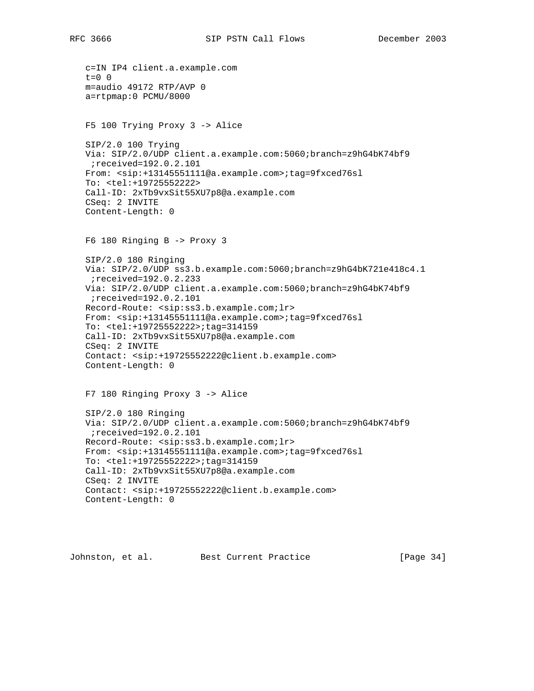```
 c=IN IP4 client.a.example.com
 t=0 0
 m=audio 49172 RTP/AVP 0
 a=rtpmap:0 PCMU/8000
 F5 100 Trying Proxy 3 -> Alice
 SIP/2.0 100 Trying
 Via: SIP/2.0/UDP client.a.example.com:5060;branch=z9hG4bK74bf9
 ;received=192.0.2.101
 From: <sip:+13145551111@a.example.com>;tag=9fxced76sl
 To: <tel:+19725552222>
 Call-ID: 2xTb9vxSit55XU7p8@a.example.com
 CSeq: 2 INVITE
 Content-Length: 0
 F6 180 Ringing B -> Proxy 3
 SIP/2.0 180 Ringing
 Via: SIP/2.0/UDP ss3.b.example.com:5060;branch=z9hG4bK721e418c4.1
 ;received=192.0.2.233
 Via: SIP/2.0/UDP client.a.example.com:5060;branch=z9hG4bK74bf9
 ;received=192.0.2.101
 Record-Route: <sip:ss3.b.example.com;lr>
 From: <sip:+13145551111@a.example.com>;tag=9fxced76sl
 To: <tel:+19725552222>;tag=314159
 Call-ID: 2xTb9vxSit55XU7p8@a.example.com
 CSeq: 2 INVITE
 Contact: <sip:+19725552222@client.b.example.com>
 Content-Length: 0
 F7 180 Ringing Proxy 3 -> Alice
 SIP/2.0 180 Ringing
 Via: SIP/2.0/UDP client.a.example.com:5060;branch=z9hG4bK74bf9
  ;received=192.0.2.101
 Record-Route: <sip:ss3.b.example.com;lr>
 From: <sip:+13145551111@a.example.com>;tag=9fxced76sl
 To: <tel:+19725552222>;tag=314159
 Call-ID: 2xTb9vxSit55XU7p8@a.example.com
 CSeq: 2 INVITE
 Contact: <sip:+19725552222@client.b.example.com>
 Content-Length: 0
```
Johnston, et al. Best Current Practice [Page 34]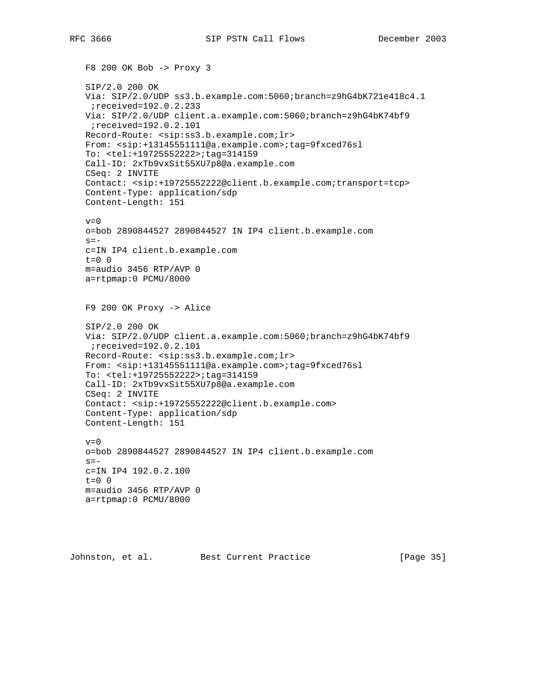```
 F8 200 OK Bob -> Proxy 3
 SIP/2.0 200 OK
 Via: SIP/2.0/UDP ss3.b.example.com:5060;branch=z9hG4bK721e418c4.1
  ;received=192.0.2.233
 Via: SIP/2.0/UDP client.a.example.com:5060;branch=z9hG4bK74bf9
 ;received=192.0.2.101
 Record-Route: <sip:ss3.b.example.com;lr>
 From: <sip:+13145551111@a.example.com>;tag=9fxced76sl
 To: <tel:+19725552222>;tag=314159
 Call-ID: 2xTb9vxSit55XU7p8@a.example.com
 CSeq: 2 INVITE
 Contact: <sip:+19725552222@client.b.example.com;transport=tcp>
 Content-Type: application/sdp
 Content-Length: 151
v=0 o=bob 2890844527 2890844527 IN IP4 client.b.example.com
s = - c=IN IP4 client.b.example.com
t=0 0
 m=audio 3456 RTP/AVP 0
 a=rtpmap:0 PCMU/8000
 F9 200 OK Proxy -> Alice
 SIP/2.0 200 OK
 Via: SIP/2.0/UDP client.a.example.com:5060;branch=z9hG4bK74bf9
 ;received=192.0.2.101
 Record-Route: <sip:ss3.b.example.com;lr>
 From: <sip:+13145551111@a.example.com>;tag=9fxced76sl
 To: <tel:+19725552222>;tag=314159
 Call-ID: 2xTb9vxSit55XU7p8@a.example.com
 CSeq: 2 INVITE
 Contact: <sip:+19725552222@client.b.example.com>
 Content-Type: application/sdp
 Content-Length: 151
v=0 o=bob 2890844527 2890844527 IN IP4 client.b.example.com
s = - c=IN IP4 192.0.2.100
 t=0 0
 m=audio 3456 RTP/AVP 0
 a=rtpmap:0 PCMU/8000
```
Johnston, et al. Best Current Practice [Page 35]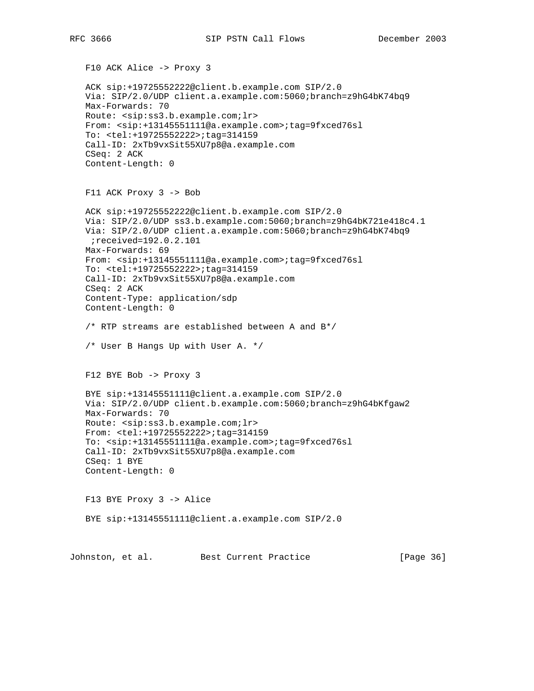F10 ACK Alice -> Proxy 3 ACK sip:+19725552222@client.b.example.com SIP/2.0 Via: SIP/2.0/UDP client.a.example.com:5060;branch=z9hG4bK74bq9 Max-Forwards: 70 Route: <sip:ss3.b.example.com;lr> From: <sip:+13145551111@a.example.com>;tag=9fxced76sl To: <tel:+19725552222>;tag=314159 Call-ID: 2xTb9vxSit55XU7p8@a.example.com CSeq: 2 ACK Content-Length: 0 F11 ACK Proxy 3 -> Bob ACK sip:+19725552222@client.b.example.com SIP/2.0 Via: SIP/2.0/UDP ss3.b.example.com:5060;branch=z9hG4bK721e418c4.1 Via: SIP/2.0/UDP client.a.example.com:5060;branch=z9hG4bK74bq9 ;received=192.0.2.101 Max-Forwards: 69 From: <sip:+13145551111@a.example.com>;tag=9fxced76sl To: <tel:+19725552222>;tag=314159 Call-ID: 2xTb9vxSit55XU7p8@a.example.com CSeq: 2 ACK Content-Type: application/sdp Content-Length: 0 /\* RTP streams are established between A and B\*/ /\* User B Hangs Up with User A. \*/ F12 BYE Bob -> Proxy 3 BYE sip:+13145551111@client.a.example.com SIP/2.0 Via: SIP/2.0/UDP client.b.example.com:5060;branch=z9hG4bKfgaw2 Max-Forwards: 70 Route: <sip:ss3.b.example.com;lr> From: <tel:+19725552222>;tag=314159 To: <sip:+13145551111@a.example.com>;tag=9fxced76sl Call-ID: 2xTb9vxSit55XU7p8@a.example.com CSeq: 1 BYE Content-Length: 0 F13 BYE Proxy 3 -> Alice BYE sip:+13145551111@client.a.example.com SIP/2.0

Johnston, et al. Best Current Practice [Page 36]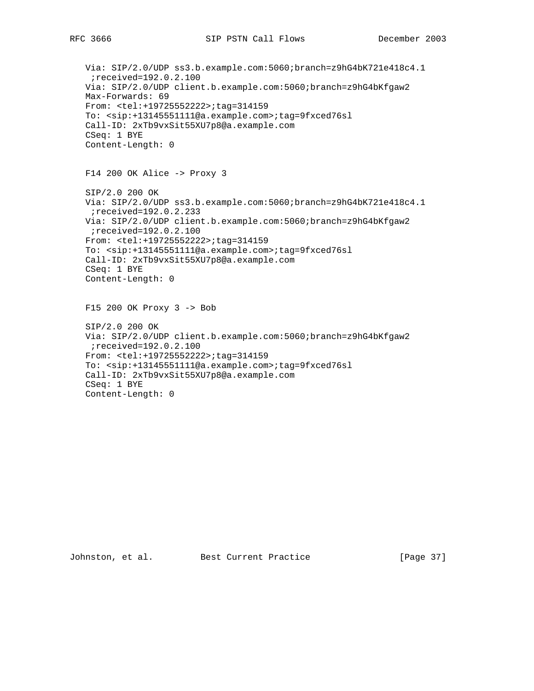Via: SIP/2.0/UDP ss3.b.example.com:5060;branch=z9hG4bK721e418c4.1 ;received=192.0.2.100 Via: SIP/2.0/UDP client.b.example.com:5060;branch=z9hG4bKfgaw2 Max-Forwards: 69 From: <tel:+19725552222>;tag=314159 To: <sip:+13145551111@a.example.com>;tag=9fxced76sl Call-ID: 2xTb9vxSit55XU7p8@a.example.com CSeq: 1 BYE Content-Length: 0 F14 200 OK Alice -> Proxy 3 SIP/2.0 200 OK Via: SIP/2.0/UDP ss3.b.example.com:5060;branch=z9hG4bK721e418c4.1 ;received=192.0.2.233 Via: SIP/2.0/UDP client.b.example.com:5060;branch=z9hG4bKfgaw2 ;received=192.0.2.100 From: <tel:+19725552222>;tag=314159 To: <sip:+13145551111@a.example.com>;tag=9fxced76sl Call-ID: 2xTb9vxSit55XU7p8@a.example.com CSeq: 1 BYE Content-Length: 0 F15 200 OK Proxy 3 -> Bob SIP/2.0 200 OK Via: SIP/2.0/UDP client.b.example.com:5060;branch=z9hG4bKfgaw2 ;received=192.0.2.100 From: <tel:+19725552222>;tag=314159 To: <sip:+13145551111@a.example.com>;tag=9fxced76sl Call-ID: 2xTb9vxSit55XU7p8@a.example.com CSeq: 1 BYE Content-Length: 0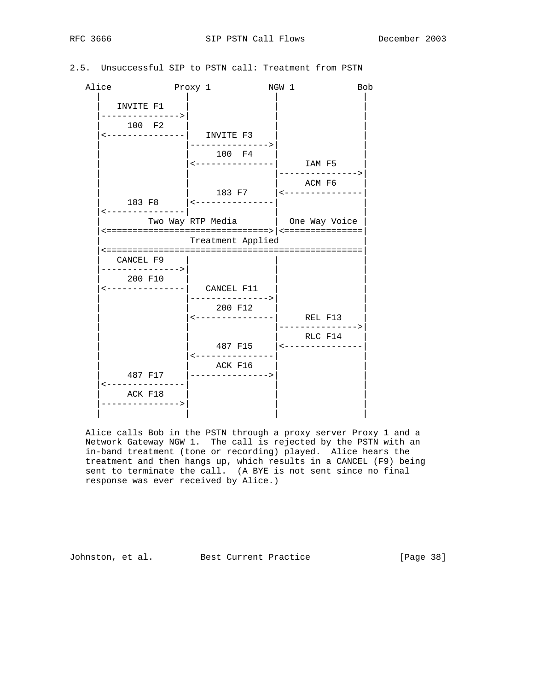# 2.5. Unsuccessful SIP to PSTN call: Treatment from PSTN

| Alice |                             | Proxy 1                      | NGW 1                               | <b>Bob</b> |
|-------|-----------------------------|------------------------------|-------------------------------------|------------|
|       | INVITE F1                   |                              |                                     |            |
|       | ---------------><br>100 F2  | <---------------  INVITE F3  |                                     |            |
|       |                             | 100 F4                       |                                     |            |
|       |                             | <---------------  IAM F5     | --------------->                    |            |
|       |                             |                              | ACM F6                              |            |
|       |                             | 183 F8   <---------------    |                                     |            |
|       |                             | Two Way RTP Media            | One Way Voice                       |            |
|       |                             | Treatment Applied            |                                     |            |
|       | CANCEL F9                   |                              |                                     |            |
|       | ---------------><br>200 F10 | <---------------  CANCEL F11 |                                     |            |
|       |                             | 200 F12                      | <---------------  REL F13           |            |
|       |                             |                              | RLC F14<br>487 F15   <------------- |            |
|       |                             | ACK F16                      |                                     |            |
|       | 487 F17<br>------------     | _________________            |                                     |            |
|       | ACK F18<br>---------------> |                              |                                     |            |
|       |                             |                              |                                     |            |

 Alice calls Bob in the PSTN through a proxy server Proxy 1 and a Network Gateway NGW 1. The call is rejected by the PSTN with an in-band treatment (tone or recording) played. Alice hears the treatment and then hangs up, which results in a CANCEL (F9) being sent to terminate the call. (A BYE is not sent since no final response was ever received by Alice.)

Johnston, et al. Best Current Practice [Page 38]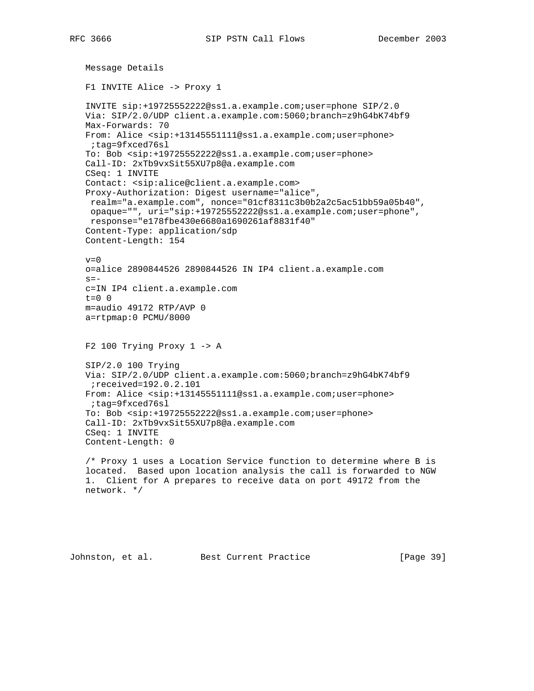```
 Message Details
 F1 INVITE Alice -> Proxy 1
 INVITE sip:+19725552222@ss1.a.example.com;user=phone SIP/2.0
 Via: SIP/2.0/UDP client.a.example.com:5060;branch=z9hG4bK74bf9
 Max-Forwards: 70
 From: Alice <sip:+13145551111@ss1.a.example.com;user=phone>
 ;tag=9fxced76sl
 To: Bob <sip:+19725552222@ss1.a.example.com;user=phone>
 Call-ID: 2xTb9vxSit55XU7p8@a.example.com
 CSeq: 1 INVITE
 Contact: <sip:alice@client.a.example.com>
 Proxy-Authorization: Digest username="alice",
 realm="a.example.com", nonce="01cf8311c3b0b2a2c5ac51bb59a05b40",
 opaque="", uri="sip:+19725552222@ss1.a.example.com;user=phone",
 response="e178fbe430e6680a1690261af8831f40"
 Content-Type: application/sdp
 Content-Length: 154
v=0 o=alice 2890844526 2890844526 IN IP4 client.a.example.com
s=- c=IN IP4 client.a.example.com
 t=0 0
 m=audio 49172 RTP/AVP 0
 a=rtpmap:0 PCMU/8000
 F2 100 Trying Proxy 1 -> A
 SIP/2.0 100 Trying
 Via: SIP/2.0/UDP client.a.example.com:5060;branch=z9hG4bK74bf9
 ;received=192.0.2.101
 From: Alice <sip:+13145551111@ss1.a.example.com;user=phone>
 ;tag=9fxced76sl
 To: Bob <sip:+19725552222@ss1.a.example.com;user=phone>
 Call-ID: 2xTb9vxSit55XU7p8@a.example.com
 CSeq: 1 INVITE
 Content-Length: 0
 /* Proxy 1 uses a Location Service function to determine where B is
 located. Based upon location analysis the call is forwarded to NGW
 1. Client for A prepares to receive data on port 49172 from the
 network. */
```
Johnston, et al. Best Current Practice [Page 39]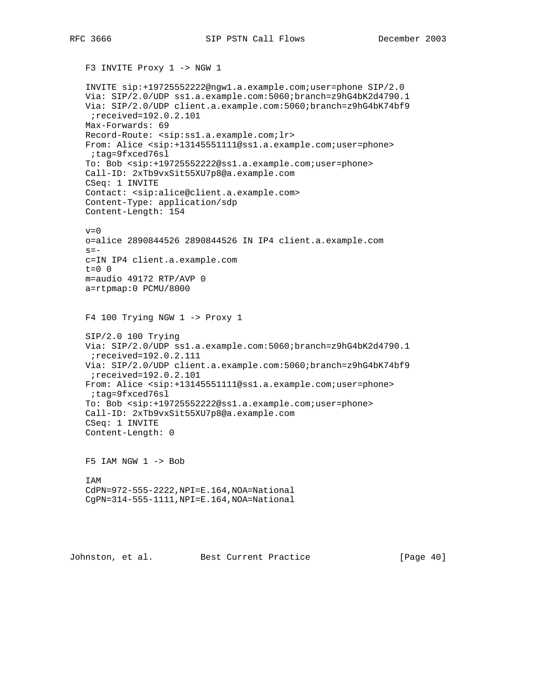F3 INVITE Proxy 1 -> NGW 1

 INVITE sip:+19725552222@ngw1.a.example.com;user=phone SIP/2.0 Via: SIP/2.0/UDP ss1.a.example.com:5060;branch=z9hG4bK2d4790.1 Via: SIP/2.0/UDP client.a.example.com:5060;branch=z9hG4bK74bf9 ;received=192.0.2.101 Max-Forwards: 69 Record-Route: <sip:ss1.a.example.com;lr> From: Alice <sip:+13145551111@ss1.a.example.com;user=phone> ;tag=9fxced76sl To: Bob <sip:+19725552222@ss1.a.example.com;user=phone> Call-ID: 2xTb9vxSit55XU7p8@a.example.com CSeq: 1 INVITE Contact: <sip:alice@client.a.example.com> Content-Type: application/sdp Content-Length: 154  $v=0$  o=alice 2890844526 2890844526 IN IP4 client.a.example.com  $s =$  c=IN IP4 client.a.example.com  $t=0$  0 m=audio 49172 RTP/AVP 0 a=rtpmap:0 PCMU/8000 F4 100 Trying NGW 1 -> Proxy 1 SIP/2.0 100 Trying Via: SIP/2.0/UDP ss1.a.example.com:5060;branch=z9hG4bK2d4790.1 ;received=192.0.2.111 Via: SIP/2.0/UDP client.a.example.com:5060;branch=z9hG4bK74bf9 ;received=192.0.2.101 From: Alice <sip:+13145551111@ss1.a.example.com;user=phone> ;tag=9fxced76sl To: Bob <sip:+19725552222@ss1.a.example.com;user=phone> Call-ID: 2xTb9vxSit55XU7p8@a.example.com CSeq: 1 INVITE Content-Length: 0 F5 IAM NGW 1 -> Bob IAM CdPN=972-555-2222,NPI=E.164,NOA=National CgPN=314-555-1111,NPI=E.164,NOA=National

Johnston, et al. Best Current Practice [Page 40]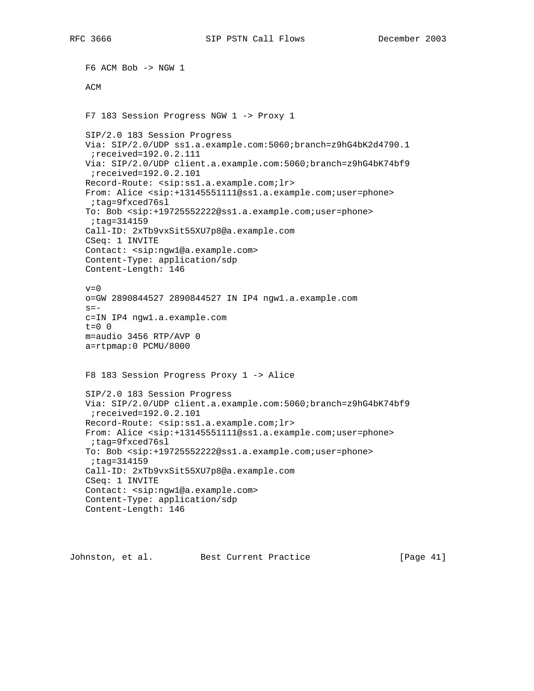F6 ACM Bob -> NGW 1 ACM F7 183 Session Progress NGW 1 -> Proxy 1 SIP/2.0 183 Session Progress Via: SIP/2.0/UDP ss1.a.example.com:5060;branch=z9hG4bK2d4790.1 ;received=192.0.2.111 Via: SIP/2.0/UDP client.a.example.com:5060;branch=z9hG4bK74bf9 ;received=192.0.2.101 Record-Route: <sip:ss1.a.example.com;lr> From: Alice <sip:+13145551111@ss1.a.example.com;user=phone> ;tag=9fxced76sl To: Bob <sip:+19725552222@ss1.a.example.com;user=phone> ;tag=314159 Call-ID: 2xTb9vxSit55XU7p8@a.example.com CSeq: 1 INVITE Contact: <sip:ngw1@a.example.com> Content-Type: application/sdp Content-Length: 146  $v=0$  o=GW 2890844527 2890844527 IN IP4 ngw1.a.example.com  $s=$  c=IN IP4 ngw1.a.example.com t=0 0 m=audio 3456 RTP/AVP 0 a=rtpmap:0 PCMU/8000 F8 183 Session Progress Proxy 1 -> Alice SIP/2.0 183 Session Progress Via: SIP/2.0/UDP client.a.example.com:5060;branch=z9hG4bK74bf9 ;received=192.0.2.101 Record-Route: <sip:ss1.a.example.com;lr> From: Alice <sip:+13145551111@ss1.a.example.com;user=phone> ;tag=9fxced76sl To: Bob <sip:+19725552222@ss1.a.example.com;user=phone> ;tag=314159 Call-ID: 2xTb9vxSit55XU7p8@a.example.com CSeq: 1 INVITE Contact: <sip:ngw1@a.example.com> Content-Type: application/sdp Content-Length: 146

Johnston, et al. Best Current Practice [Page 41]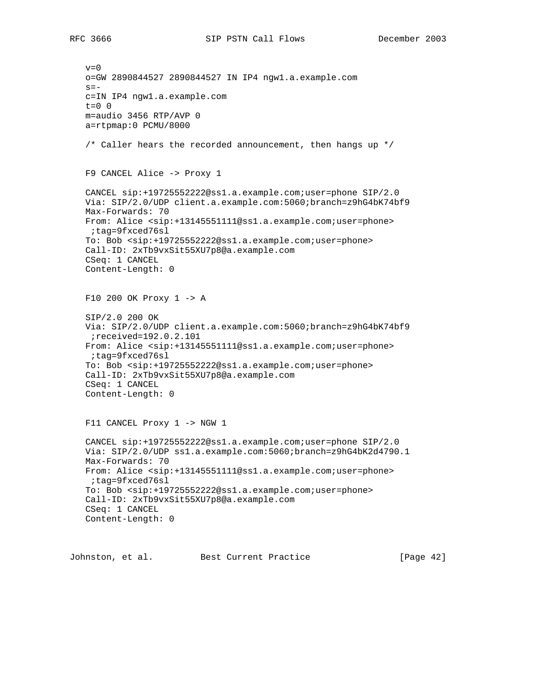$v=0$  o=GW 2890844527 2890844527 IN IP4 ngw1.a.example.com  $s=$  c=IN IP4 ngw1.a.example.com  $t=0$  0 m=audio 3456 RTP/AVP 0 a=rtpmap:0 PCMU/8000  $/*$  Caller hears the recorded announcement, then hangs up  $*/$  F9 CANCEL Alice -> Proxy 1 CANCEL sip:+19725552222@ss1.a.example.com;user=phone SIP/2.0 Via: SIP/2.0/UDP client.a.example.com:5060;branch=z9hG4bK74bf9 Max-Forwards: 70 From: Alice <sip:+13145551111@ss1.a.example.com;user=phone> ;tag=9fxced76sl To: Bob <sip:+19725552222@ss1.a.example.com;user=phone> Call-ID: 2xTb9vxSit55XU7p8@a.example.com CSeq: 1 CANCEL Content-Length: 0 F10 200 OK Proxy 1 -> A SIP/2.0 200 OK Via: SIP/2.0/UDP client.a.example.com:5060;branch=z9hG4bK74bf9 ;received=192.0.2.101 From: Alice <sip:+13145551111@ss1.a.example.com;user=phone> ;tag=9fxced76sl To: Bob <sip:+19725552222@ss1.a.example.com;user=phone> Call-ID: 2xTb9vxSit55XU7p8@a.example.com CSeq: 1 CANCEL Content-Length: 0 F11 CANCEL Proxy 1 -> NGW 1 CANCEL sip:+19725552222@ss1.a.example.com;user=phone SIP/2.0 Via: SIP/2.0/UDP ss1.a.example.com:5060;branch=z9hG4bK2d4790.1 Max-Forwards: 70 From: Alice <sip:+13145551111@ss1.a.example.com;user=phone> ;tag=9fxced76sl To: Bob <sip:+19725552222@ss1.a.example.com;user=phone> Call-ID: 2xTb9vxSit55XU7p8@a.example.com CSeq: 1 CANCEL Content-Length: 0

Johnston, et al. Best Current Practice [Page 42]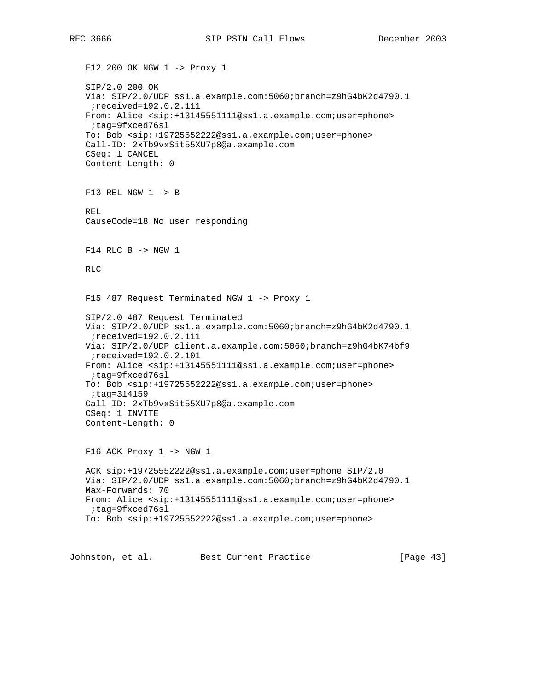F12 200 OK NGW 1 -> Proxy 1 SIP/2.0 200 OK Via: SIP/2.0/UDP ss1.a.example.com:5060;branch=z9hG4bK2d4790.1 ;received=192.0.2.111 From: Alice <sip:+13145551111@ss1.a.example.com;user=phone> ;tag=9fxced76sl To: Bob <sip:+19725552222@ss1.a.example.com;user=phone> Call-ID: 2xTb9vxSit55XU7p8@a.example.com CSeq: 1 CANCEL Content-Length: 0 F13 REL NGW 1 -> B REL CauseCode=18 No user responding F14 RLC B -> NGW 1 RLC F15 487 Request Terminated NGW 1 -> Proxy 1 SIP/2.0 487 Request Terminated Via: SIP/2.0/UDP ss1.a.example.com:5060;branch=z9hG4bK2d4790.1 ;received=192.0.2.111 Via: SIP/2.0/UDP client.a.example.com:5060;branch=z9hG4bK74bf9 ;received=192.0.2.101 From: Alice <sip:+13145551111@ss1.a.example.com;user=phone> ;tag=9fxced76sl To: Bob <sip:+19725552222@ss1.a.example.com;user=phone> ;tag=314159 Call-ID: 2xTb9vxSit55XU7p8@a.example.com CSeq: 1 INVITE Content-Length: 0 F16 ACK Proxy 1 -> NGW 1 ACK sip:+19725552222@ss1.a.example.com;user=phone SIP/2.0 Via: SIP/2.0/UDP ss1.a.example.com:5060;branch=z9hG4bK2d4790.1 Max-Forwards: 70 From: Alice <sip:+13145551111@ss1.a.example.com;user=phone> ;tag=9fxced76sl To: Bob <sip:+19725552222@ss1.a.example.com;user=phone>

Johnston, et al. Best Current Practice [Page 43]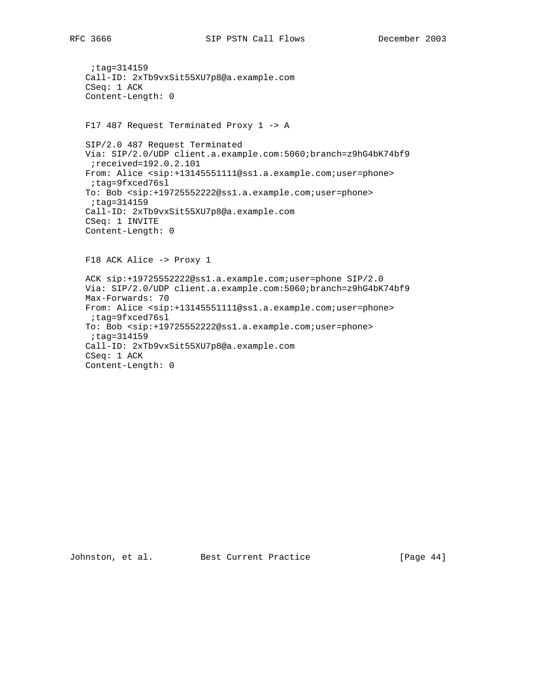```
 ;tag=314159
 Call-ID: 2xTb9vxSit55XU7p8@a.example.com
 CSeq: 1 ACK
 Content-Length: 0
 F17 487 Request Terminated Proxy 1 -> A
 SIP/2.0 487 Request Terminated
 Via: SIP/2.0/UDP client.a.example.com:5060;branch=z9hG4bK74bf9
 ;received=192.0.2.101
 From: Alice <sip:+13145551111@ss1.a.example.com;user=phone>
 ;tag=9fxced76sl
 To: Bob <sip:+19725552222@ss1.a.example.com;user=phone>
  ;tag=314159
 Call-ID: 2xTb9vxSit55XU7p8@a.example.com
 CSeq: 1 INVITE
 Content-Length: 0
 F18 ACK Alice -> Proxy 1
 ACK sip:+19725552222@ss1.a.example.com;user=phone SIP/2.0
 Via: SIP/2.0/UDP client.a.example.com:5060;branch=z9hG4bK74bf9
 Max-Forwards: 70
 From: Alice <sip:+13145551111@ss1.a.example.com;user=phone>
 ;tag=9fxced76sl
 To: Bob <sip:+19725552222@ss1.a.example.com;user=phone>
 ;tag=314159
 Call-ID: 2xTb9vxSit55XU7p8@a.example.com
 CSeq: 1 ACK
 Content-Length: 0
```
Johnston, et al. Best Current Practice [Page 44]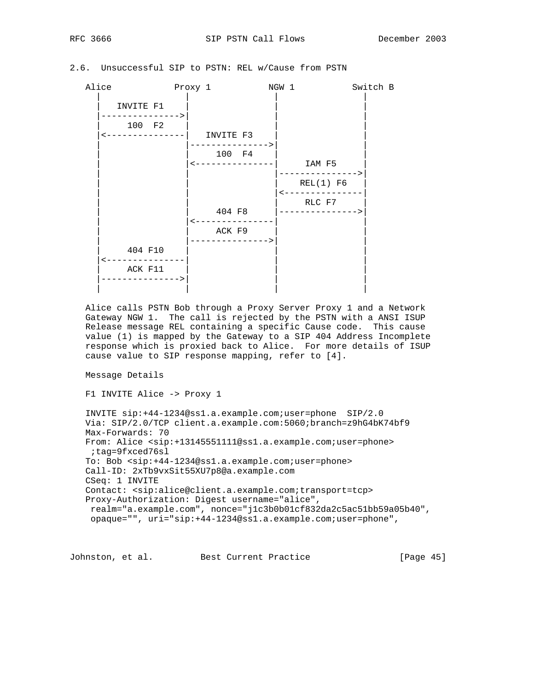# 2.6. Unsuccessful SIP to PSTN: REL w/Cause from PSTN

```
Alice Proxy 1 NGW 1 Switch B
 | | | |
     INVITE F1
     |--------------->| | |
     100 F2
     |<---------------| INVITE F3 | |
                   | |--------------->| |
                     | 100 F4 |<br>------------|   IAM F5
                  | <--------------|
                                | | |--------------->|
                                  REL(1) F6
                               | <---------------
                                   RLC F7
                     404 F8 |--------------->
                   | |<---------------| |
                     ACK F9
                  | -------------->
       404 F10
     |<---------------| | |
     ACK F11
     |--------------->| | |
 | | | |
```
 Alice calls PSTN Bob through a Proxy Server Proxy 1 and a Network Gateway NGW 1. The call is rejected by the PSTN with a ANSI ISUP Release message REL containing a specific Cause code. This cause value (1) is mapped by the Gateway to a SIP 404 Address Incomplete response which is proxied back to Alice. For more details of ISUP cause value to SIP response mapping, refer to [4].

Message Details

```
 F1 INVITE Alice -> Proxy 1
```
 INVITE sip:+44-1234@ss1.a.example.com;user=phone SIP/2.0 Via: SIP/2.0/TCP client.a.example.com:5060;branch=z9hG4bK74bf9 Max-Forwards: 70 From: Alice <sip:+13145551111@ss1.a.example.com;user=phone> ;tag=9fxced76sl To: Bob <sip:+44-1234@ss1.a.example.com;user=phone> Call-ID: 2xTb9vxSit55XU7p8@a.example.com CSeq: 1 INVITE Contact: <sip:alice@client.a.example.com;transport=tcp> Proxy-Authorization: Digest username="alice", realm="a.example.com", nonce="j1c3b0b01cf832da2c5ac51bb59a05b40", opaque="", uri="sip:+44-1234@ss1.a.example.com;user=phone",

Johnston, et al. Best Current Practice [Page 45]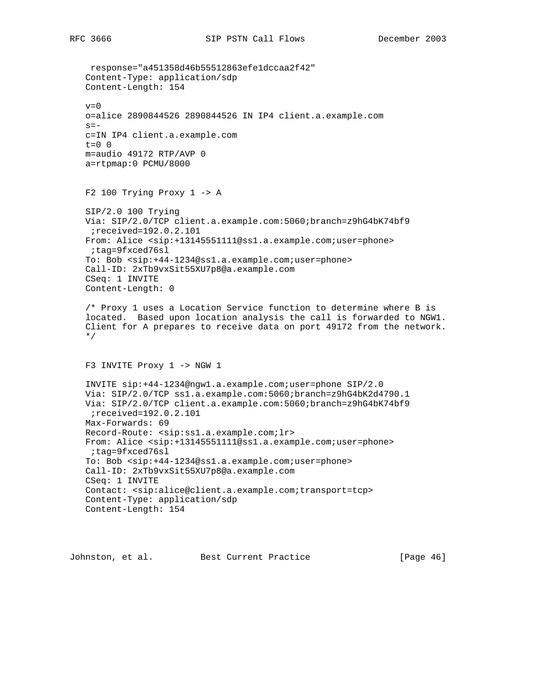response="a451358d46b55512863efe1dccaa2f42" Content-Type: application/sdp Content-Length: 154  $v=0$  o=alice 2890844526 2890844526 IN IP4 client.a.example.com  $s =$  c=IN IP4 client.a.example.com t=0 0 m=audio 49172 RTP/AVP 0 a=rtpmap:0 PCMU/8000 F2 100 Trying Proxy 1 -> A SIP/2.0 100 Trying Via: SIP/2.0/TCP client.a.example.com:5060;branch=z9hG4bK74bf9 ;received=192.0.2.101 From: Alice <sip:+13145551111@ss1.a.example.com;user=phone> ;tag=9fxced76sl To: Bob <sip:+44-1234@ss1.a.example.com;user=phone> Call-ID: 2xTb9vxSit55XU7p8@a.example.com CSeq: 1 INVITE Content-Length: 0 /\* Proxy 1 uses a Location Service function to determine where B is located. Based upon location analysis the call is forwarded to NGW1. Client for A prepares to receive data on port 49172 from the network. \*/ F3 INVITE Proxy 1 -> NGW 1 INVITE sip:+44-1234@ngw1.a.example.com;user=phone SIP/2.0 Via: SIP/2.0/TCP ss1.a.example.com:5060;branch=z9hG4bK2d4790.1 Via: SIP/2.0/TCP client.a.example.com:5060;branch=z9hG4bK74bf9 ;received=192.0.2.101 Max-Forwards: 69 Record-Route: <sip:ss1.a.example.com;lr> From: Alice <sip:+13145551111@ss1.a.example.com;user=phone> ;tag=9fxced76sl To: Bob <sip:+44-1234@ss1.a.example.com;user=phone> Call-ID: 2xTb9vxSit55XU7p8@a.example.com CSeq: 1 INVITE Contact: <sip:alice@client.a.example.com;transport=tcp> Content-Type: application/sdp Content-Length: 154

Johnston, et al. Best Current Practice [Page 46]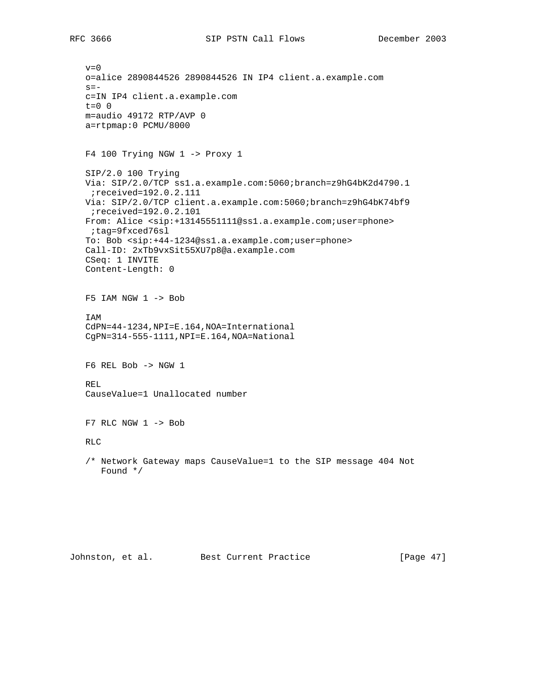$v=0$  o=alice 2890844526 2890844526 IN IP4 client.a.example.com  $s=$  c=IN IP4 client.a.example.com t=0 0 m=audio 49172 RTP/AVP 0 a=rtpmap:0 PCMU/8000 F4 100 Trying NGW 1 -> Proxy 1 SIP/2.0 100 Trying Via: SIP/2.0/TCP ss1.a.example.com:5060;branch=z9hG4bK2d4790.1 ;received=192.0.2.111 Via: SIP/2.0/TCP client.a.example.com:5060;branch=z9hG4bK74bf9 ;received=192.0.2.101 From: Alice <sip:+13145551111@ss1.a.example.com;user=phone> ;tag=9fxced76sl To: Bob <sip:+44-1234@ss1.a.example.com;user=phone> Call-ID: 2xTb9vxSit55XU7p8@a.example.com CSeq: 1 INVITE Content-Length: 0 F5 IAM NGW 1 -> Bob IAM CdPN=44-1234,NPI=E.164,NOA=International CgPN=314-555-1111,NPI=E.164,NOA=National F6 REL Bob -> NGW 1 REL CauseValue=1 Unallocated number  $F7$  RLC NGW  $1$  -> Bob RLC /\* Network Gateway maps CauseValue=1 to the SIP message 404 Not Found \*/

Johnston, et al. Best Current Practice [Page 47]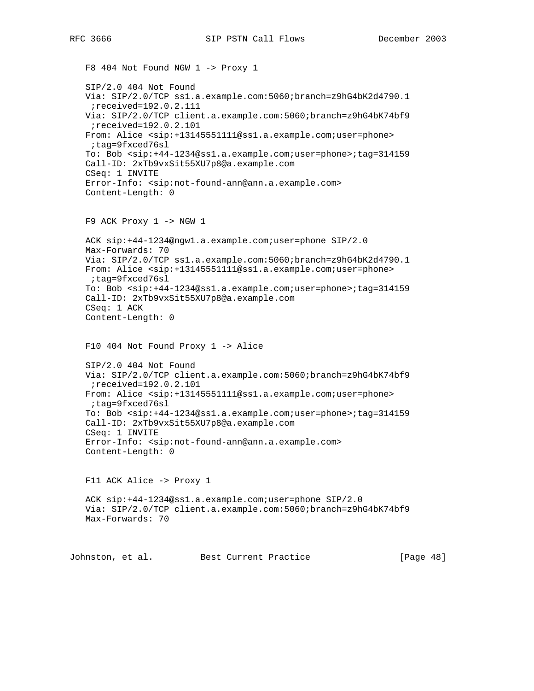F8 404 Not Found NGW 1 -> Proxy 1 SIP/2.0 404 Not Found Via: SIP/2.0/TCP ss1.a.example.com:5060;branch=z9hG4bK2d4790.1 ;received=192.0.2.111 Via: SIP/2.0/TCP client.a.example.com:5060;branch=z9hG4bK74bf9 ;received=192.0.2.101 From: Alice <sip:+13145551111@ss1.a.example.com;user=phone> ;tag=9fxced76sl To: Bob <sip:+44-1234@ss1.a.example.com;user=phone>;tag=314159 Call-ID: 2xTb9vxSit55XU7p8@a.example.com CSeq: 1 INVITE Error-Info: <sip:not-found-ann@ann.a.example.com> Content-Length: 0 F9 ACK Proxy 1 -> NGW 1 ACK sip:+44-1234@ngw1.a.example.com;user=phone SIP/2.0 Max-Forwards: 70 Via: SIP/2.0/TCP ss1.a.example.com:5060;branch=z9hG4bK2d4790.1 From: Alice <sip:+13145551111@ss1.a.example.com;user=phone> ;tag=9fxced76sl To: Bob <sip:+44-1234@ss1.a.example.com;user=phone>;tag=314159 Call-ID: 2xTb9vxSit55XU7p8@a.example.com CSeq: 1 ACK Content-Length: 0 F10 404 Not Found Proxy 1 -> Alice SIP/2.0 404 Not Found Via: SIP/2.0/TCP client.a.example.com:5060;branch=z9hG4bK74bf9 ;received=192.0.2.101 From: Alice <sip:+13145551111@ss1.a.example.com;user=phone> ;tag=9fxced76sl To: Bob <sip:+44-1234@ss1.a.example.com;user=phone>;tag=314159 Call-ID: 2xTb9vxSit55XU7p8@a.example.com CSeq: 1 INVITE Error-Info: <sip:not-found-ann@ann.a.example.com> Content-Length: 0 F11 ACK Alice -> Proxy 1 ACK sip:+44-1234@ss1.a.example.com;user=phone SIP/2.0 Via: SIP/2.0/TCP client.a.example.com:5060;branch=z9hG4bK74bf9 Max-Forwards: 70

Johnston, et al. Best Current Practice [Page 48]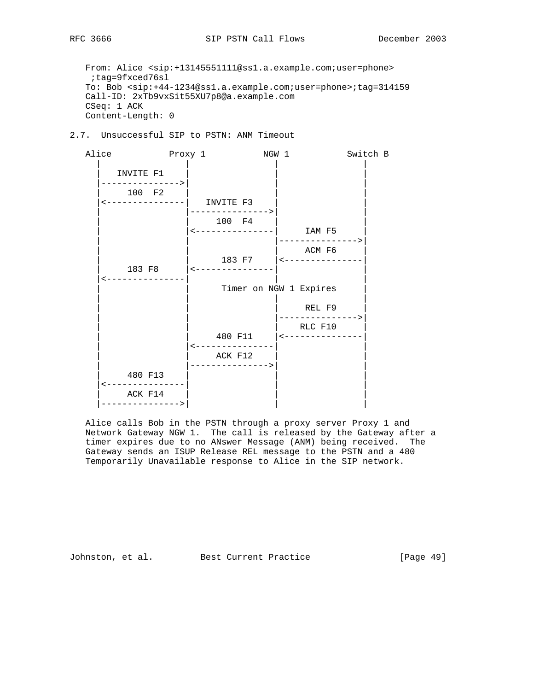From: Alice <sip:+13145551111@ss1.a.example.com;user=phone> ;tag=9fxced76sl To: Bob <sip:+44-1234@ss1.a.example.com;user=phone>;tag=314159 Call-ID: 2xTb9vxSit55XU7p8@a.example.com CSeq: 1 ACK Content-Length: 0

2.7. Unsuccessful SIP to PSTN: ANM Timeout

Alice Proxy 1 NGW 1 Switch B | | | | INVITE F1 |--------------->| | | 100 F2 |<---------------| INVITE F3 | | | |--------------->| | 100 F4 | |<---------------| IAM F5 | | --------------> ACM F6 | | 183 F7 |<---------------| | 183 F8 |<---------------| | |<---------------| | | Timer on NGW 1 Expires | | | | REL F9 | | |--------------->| | | | RLC F10 | | | 480 F11 |<---------------| | |<---------------| | ACK F12 | |--------------->| | | 480 F13 | | | |<---------------| | | ACK F14 |--------------->| | |

 Alice calls Bob in the PSTN through a proxy server Proxy 1 and Network Gateway NGW 1. The call is released by the Gateway after a timer expires due to no ANswer Message (ANM) being received. The Gateway sends an ISUP Release REL message to the PSTN and a 480 Temporarily Unavailable response to Alice in the SIP network.

Johnston, et al. Best Current Practice [Page 49]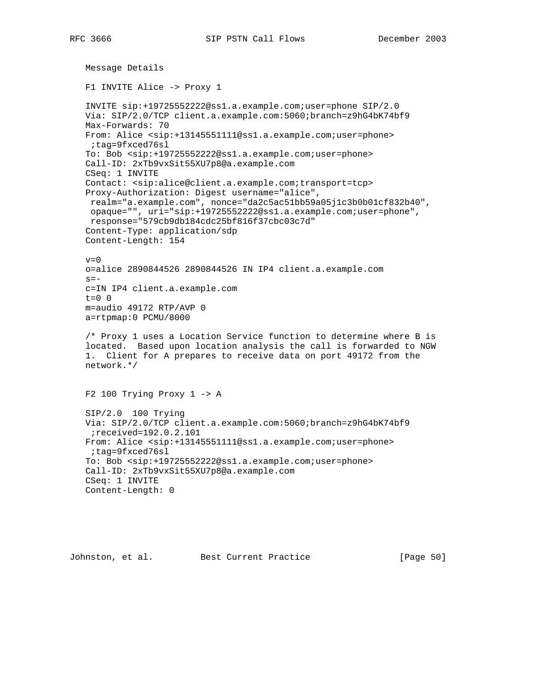```
 Message Details
 F1 INVITE Alice -> Proxy 1
 INVITE sip:+19725552222@ss1.a.example.com;user=phone SIP/2.0
 Via: SIP/2.0/TCP client.a.example.com:5060;branch=z9hG4bK74bf9
 Max-Forwards: 70
 From: Alice <sip:+13145551111@ss1.a.example.com;user=phone>
 ;tag=9fxced76sl
 To: Bob <sip:+19725552222@ss1.a.example.com;user=phone>
 Call-ID: 2xTb9vxSit55XU7p8@a.example.com
 CSeq: 1 INVITE
 Contact: <sip:alice@client.a.example.com;transport=tcp>
 Proxy-Authorization: Digest username="alice",
 realm="a.example.com", nonce="da2c5ac51bb59a05j1c3b0b01cf832b40",
 opaque="", uri="sip:+19725552222@ss1.a.example.com;user=phone",
 response="579cb9db184cdc25bf816f37cbc03c7d"
 Content-Type: application/sdp
 Content-Length: 154
v=0 o=alice 2890844526 2890844526 IN IP4 client.a.example.com
s = - c=IN IP4 client.a.example.com
 t=0 0
 m=audio 49172 RTP/AVP 0
 a=rtpmap:0 PCMU/8000
 /* Proxy 1 uses a Location Service function to determine where B is
 located. Based upon location analysis the call is forwarded to NGW
 1. Client for A prepares to receive data on port 49172 from the
 network.*/
 F2 100 Trying Proxy 1 -> A
 SIP/2.0 100 Trying
 Via: SIP/2.0/TCP client.a.example.com:5060;branch=z9hG4bK74bf9
  ;received=192.0.2.101
 From: Alice <sip:+13145551111@ss1.a.example.com;user=phone>
 ;tag=9fxced76sl
 To: Bob <sip:+19725552222@ss1.a.example.com;user=phone>
 Call-ID: 2xTb9vxSit55XU7p8@a.example.com
 CSeq: 1 INVITE
 Content-Length: 0
```
Johnston, et al. Best Current Practice [Page 50]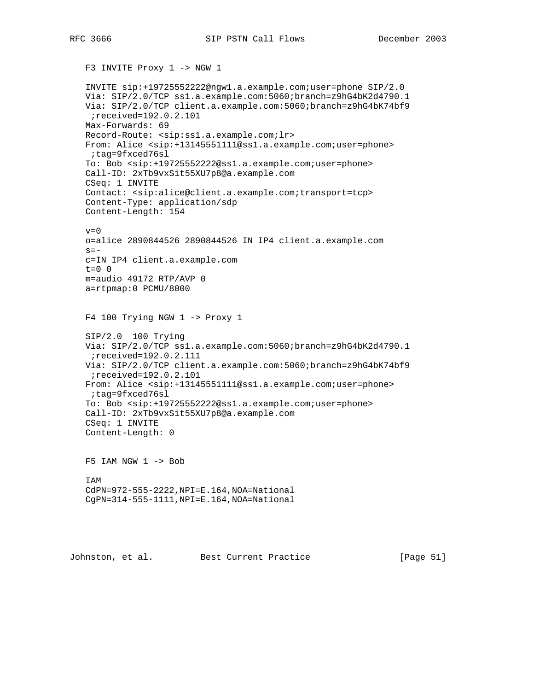F3 INVITE Proxy 1 -> NGW 1

 INVITE sip:+19725552222@ngw1.a.example.com;user=phone SIP/2.0 Via: SIP/2.0/TCP ss1.a.example.com:5060;branch=z9hG4bK2d4790.1 Via: SIP/2.0/TCP client.a.example.com:5060;branch=z9hG4bK74bf9 ;received=192.0.2.101 Max-Forwards: 69 Record-Route: <sip:ss1.a.example.com;lr> From: Alice <sip:+13145551111@ss1.a.example.com;user=phone> ;tag=9fxced76sl To: Bob <sip:+19725552222@ss1.a.example.com;user=phone> Call-ID: 2xTb9vxSit55XU7p8@a.example.com CSeq: 1 INVITE Contact: <sip:alice@client.a.example.com;transport=tcp> Content-Type: application/sdp Content-Length: 154  $v=0$  o=alice 2890844526 2890844526 IN IP4 client.a.example.com  $s =$  c=IN IP4 client.a.example.com  $t=0$  0 m=audio 49172 RTP/AVP 0 a=rtpmap:0 PCMU/8000 F4 100 Trying NGW 1 -> Proxy 1 SIP/2.0 100 Trying Via: SIP/2.0/TCP ss1.a.example.com:5060;branch=z9hG4bK2d4790.1 ;received=192.0.2.111 Via: SIP/2.0/TCP client.a.example.com:5060;branch=z9hG4bK74bf9 ;received=192.0.2.101 From: Alice <sip:+13145551111@ss1.a.example.com;user=phone> ;tag=9fxced76sl To: Bob <sip:+19725552222@ss1.a.example.com;user=phone> Call-ID: 2xTb9vxSit55XU7p8@a.example.com CSeq: 1 INVITE Content-Length: 0 F5 IAM NGW 1 -> Bob IAM CdPN=972-555-2222,NPI=E.164,NOA=National CgPN=314-555-1111,NPI=E.164,NOA=National

Johnston, et al. Best Current Practice [Page 51]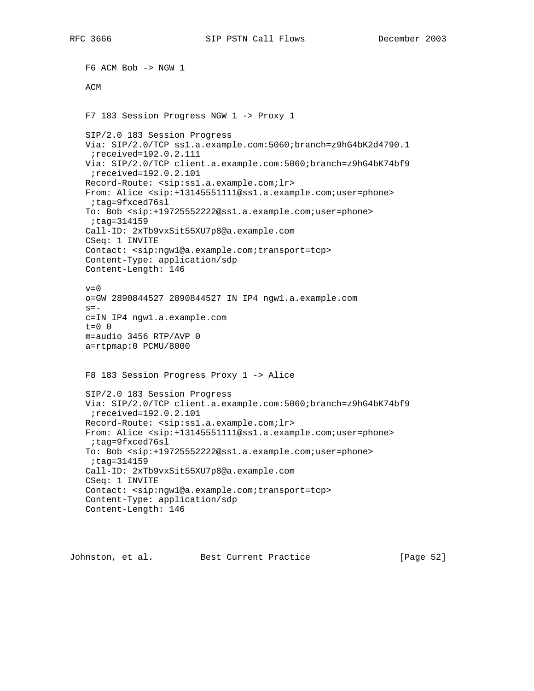F6 ACM Bob -> NGW 1 ACM F7 183 Session Progress NGW 1 -> Proxy 1 SIP/2.0 183 Session Progress Via: SIP/2.0/TCP ss1.a.example.com:5060;branch=z9hG4bK2d4790.1 ;received=192.0.2.111 Via: SIP/2.0/TCP client.a.example.com:5060;branch=z9hG4bK74bf9 ;received=192.0.2.101 Record-Route: <sip:ss1.a.example.com;lr> From: Alice <sip:+13145551111@ss1.a.example.com;user=phone> ;tag=9fxced76sl To: Bob <sip:+19725552222@ss1.a.example.com;user=phone> ;tag=314159 Call-ID: 2xTb9vxSit55XU7p8@a.example.com CSeq: 1 INVITE Contact: <sip:ngw1@a.example.com;transport=tcp> Content-Type: application/sdp Content-Length: 146  $v=0$  o=GW 2890844527 2890844527 IN IP4 ngw1.a.example.com  $s=$  c=IN IP4 ngw1.a.example.com t=0 0 m=audio 3456 RTP/AVP 0 a=rtpmap:0 PCMU/8000 F8 183 Session Progress Proxy 1 -> Alice SIP/2.0 183 Session Progress Via: SIP/2.0/TCP client.a.example.com:5060;branch=z9hG4bK74bf9 ;received=192.0.2.101 Record-Route: <sip:ss1.a.example.com;lr> From: Alice <sip:+13145551111@ss1.a.example.com;user=phone> ;tag=9fxced76sl To: Bob <sip:+19725552222@ss1.a.example.com;user=phone> ;tag=314159 Call-ID: 2xTb9vxSit55XU7p8@a.example.com CSeq: 1 INVITE Contact: <sip:ngw1@a.example.com;transport=tcp> Content-Type: application/sdp Content-Length: 146

Johnston, et al. Best Current Practice [Page 52]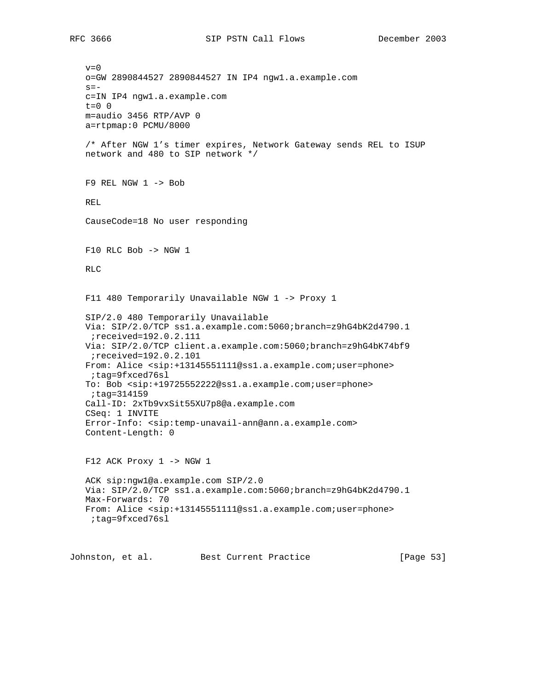$v=0$  o=GW 2890844527 2890844527 IN IP4 ngw1.a.example.com  $s=$  c=IN IP4 ngw1.a.example.com  $t=0$  0 m=audio 3456 RTP/AVP 0 a=rtpmap:0 PCMU/8000 /\* After NGW 1's timer expires, Network Gateway sends REL to ISUP network and 480 to SIP network \*/ F9 REL NGW 1 -> Bob REL CauseCode=18 No user responding F10 RLC Bob -> NGW 1 RLC F11 480 Temporarily Unavailable NGW 1 -> Proxy 1 SIP/2.0 480 Temporarily Unavailable Via: SIP/2.0/TCP ss1.a.example.com:5060;branch=z9hG4bK2d4790.1 ;received=192.0.2.111 Via: SIP/2.0/TCP client.a.example.com:5060;branch=z9hG4bK74bf9 ;received=192.0.2.101 From: Alice <sip:+13145551111@ss1.a.example.com;user=phone> ;tag=9fxced76sl To: Bob <sip:+19725552222@ss1.a.example.com;user=phone> ;tag=314159 Call-ID: 2xTb9vxSit55XU7p8@a.example.com CSeq: 1 INVITE Error-Info: <sip:temp-unavail-ann@ann.a.example.com> Content-Length: 0 F12 ACK Proxy 1 -> NGW 1 ACK sip:ngw1@a.example.com SIP/2.0 Via: SIP/2.0/TCP ss1.a.example.com:5060;branch=z9hG4bK2d4790.1 Max-Forwards: 70 From: Alice <sip:+13145551111@ss1.a.example.com;user=phone> ;tag=9fxced76sl Johnston, et al. Best Current Practice [Page 53]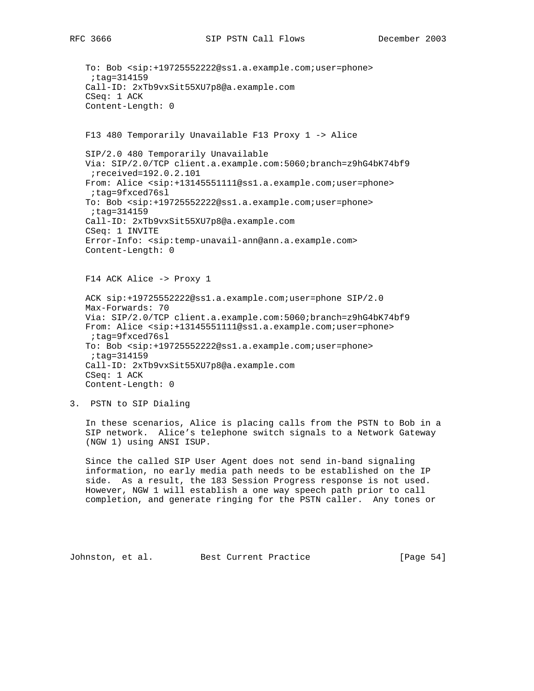```
 To: Bob <sip:+19725552222@ss1.a.example.com;user=phone>
  ;tag=314159
 Call-ID: 2xTb9vxSit55XU7p8@a.example.com
 CSeq: 1 ACK
 Content-Length: 0
 F13 480 Temporarily Unavailable F13 Proxy 1 -> Alice
 SIP/2.0 480 Temporarily Unavailable
 Via: SIP/2.0/TCP client.a.example.com:5060;branch=z9hG4bK74bf9
 ;received=192.0.2.101
 From: Alice <sip:+13145551111@ss1.a.example.com;user=phone>
  ;tag=9fxced76sl
 To: Bob <sip:+19725552222@ss1.a.example.com;user=phone>
  ;tag=314159
 Call-ID: 2xTb9vxSit55XU7p8@a.example.com
 CSeq: 1 INVITE
 Error-Info: <sip:temp-unavail-ann@ann.a.example.com>
 Content-Length: 0
 F14 ACK Alice -> Proxy 1
 ACK sip:+19725552222@ss1.a.example.com;user=phone SIP/2.0
 Max-Forwards: 70
 Via: SIP/2.0/TCP client.a.example.com:5060;branch=z9hG4bK74bf9
 From: Alice <sip:+13145551111@ss1.a.example.com;user=phone>
 ;tag=9fxced76sl
 To: Bob <sip:+19725552222@ss1.a.example.com;user=phone>
 ;tag=314159
 Call-ID: 2xTb9vxSit55XU7p8@a.example.com
 CSeq: 1 ACK
 Content-Length: 0
```
3. PSTN to SIP Dialing

 In these scenarios, Alice is placing calls from the PSTN to Bob in a SIP network. Alice's telephone switch signals to a Network Gateway (NGW 1) using ANSI ISUP.

 Since the called SIP User Agent does not send in-band signaling information, no early media path needs to be established on the IP side. As a result, the 183 Session Progress response is not used. However, NGW 1 will establish a one way speech path prior to call completion, and generate ringing for the PSTN caller. Any tones or

Johnston, et al. Best Current Practice [Page 54]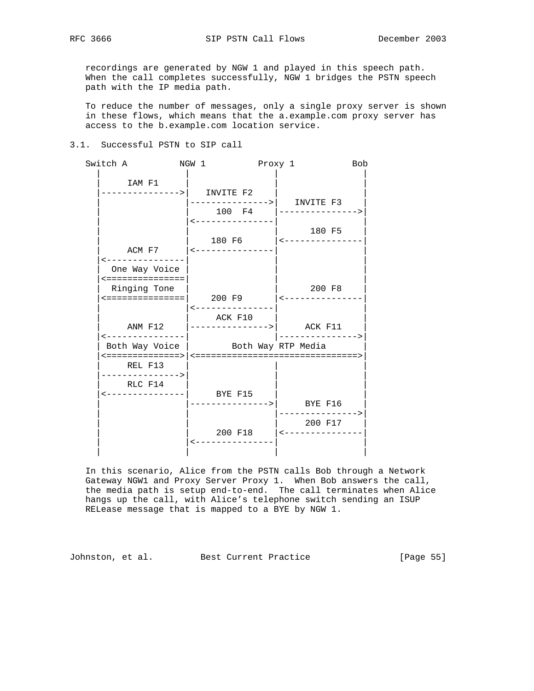recordings are generated by NGW 1 and played in this speech path. When the call completes successfully, NGW 1 bridges the PSTN speech path with the IP media path.

 To reduce the number of messages, only a single proxy server is shown in these flows, which means that the a.example.com proxy server has access to the b.example.com location service.

### 3.1. Successful PSTN to SIP call

| Switch A                                                              | NGW 1 Proxy 1                  |                                                         | <b>Bob</b> |
|-----------------------------------------------------------------------|--------------------------------|---------------------------------------------------------|------------|
| IAM F1<br>--------------->  INVITE F2                                 |                                | -------------->  INVITE F3                              |            |
|                                                                       | <---------------               | 100 F4  --------------->                                |            |
| ACM F7                                                                | <---------------               | 180 F5                                                  |            |
| ---------------<br>One Way Voice<br><===============                  |                                | 200 F8                                                  |            |
| Ringing Tone                                                          | $\leftarrow$ - - - - - - - - - |                                                         |            |
| <---------------                                                      | ACK F10                        | -------------->                                         |            |
| Both Way Voice   Both Way RTP Media<br>REL F13                        |                                |                                                         |            |
| . - - - - - - - - - - - - - ><br>RLC F14<br><---------------  BYE F15 |                                |                                                         |            |
|                                                                       |                                | --------------->  BYE F16<br>--------------><br>200 F17 |            |
|                                                                       |                                | 200 F18   <---------------                              |            |

 In this scenario, Alice from the PSTN calls Bob through a Network Gateway NGW1 and Proxy Server Proxy 1. When Bob answers the call, the media path is setup end-to-end. The call terminates when Alice hangs up the call, with Alice's telephone switch sending an ISUP RELease message that is mapped to a BYE by NGW 1.

Johnston, et al. Best Current Practice [Page 55]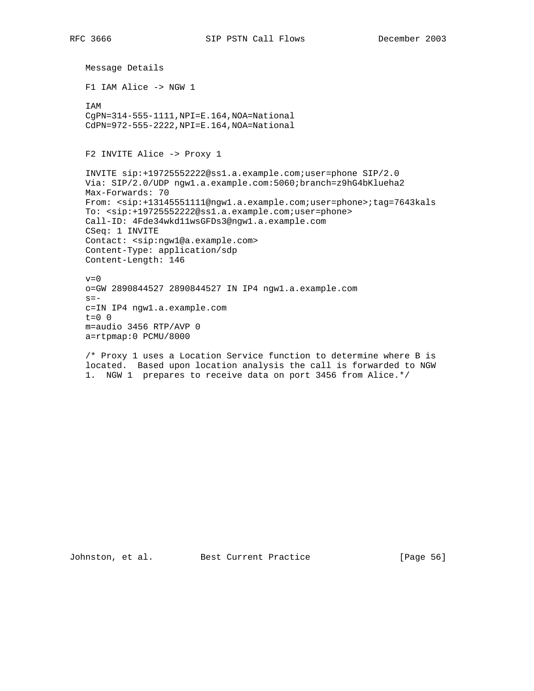Message Details F1 IAM Alice -> NGW 1 IAM CgPN=314-555-1111,NPI=E.164,NOA=National CdPN=972-555-2222,NPI=E.164,NOA=National F2 INVITE Alice -> Proxy 1 INVITE sip:+19725552222@ss1.a.example.com;user=phone SIP/2.0 Via: SIP/2.0/UDP ngw1.a.example.com:5060;branch=z9hG4bKlueha2 Max-Forwards: 70 From: <sip:+13145551111@ngw1.a.example.com;user=phone>;tag=7643kals To: <sip:+19725552222@ss1.a.example.com;user=phone> Call-ID: 4Fde34wkd11wsGFDs3@ngw1.a.example.com CSeq: 1 INVITE Contact: <sip:ngw1@a.example.com> Content-Type: application/sdp Content-Length: 146  $v=0$  o=GW 2890844527 2890844527 IN IP4 ngw1.a.example.com  $s=$  c=IN IP4 ngw1.a.example.com  $t=0$  0 m=audio 3456 RTP/AVP 0 a=rtpmap:0 PCMU/8000

 /\* Proxy 1 uses a Location Service function to determine where B is located. Based upon location analysis the call is forwarded to NGW 1. NGW 1 prepares to receive data on port 3456 from Alice.\*/

Johnston, et al. Best Current Practice [Page 56]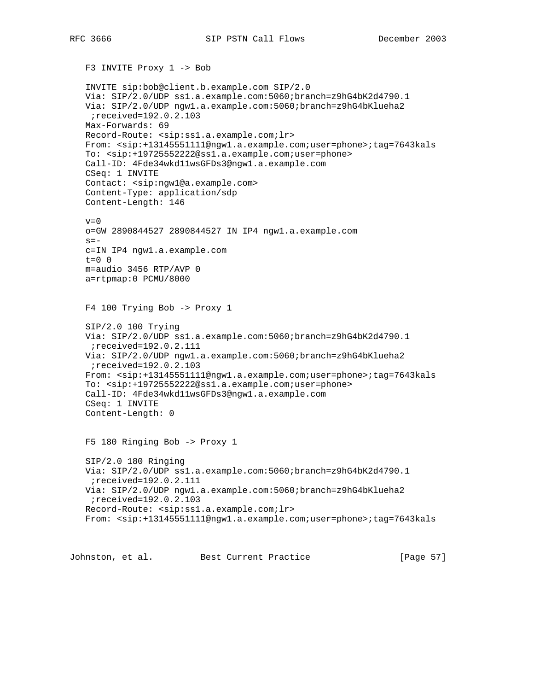```
 F3 INVITE Proxy 1 -> Bob
 INVITE sip:bob@client.b.example.com SIP/2.0
 Via: SIP/2.0/UDP ss1.a.example.com:5060;branch=z9hG4bK2d4790.1
 Via: SIP/2.0/UDP ngw1.a.example.com:5060;branch=z9hG4bKlueha2
 ;received=192.0.2.103
 Max-Forwards: 69
 Record-Route: <sip:ss1.a.example.com;lr>
 From: <sip:+13145551111@ngw1.a.example.com;user=phone>;tag=7643kals
 To: <sip:+19725552222@ss1.a.example.com;user=phone>
 Call-ID: 4Fde34wkd11wsGFDs3@ngw1.a.example.com
 CSeq: 1 INVITE
 Contact: <sip:ngw1@a.example.com>
 Content-Type: application/sdp
 Content-Length: 146
v=0 o=GW 2890844527 2890844527 IN IP4 ngw1.a.example.com
s = - c=IN IP4 ngw1.a.example.com
t=0 0
 m=audio 3456 RTP/AVP 0
 a=rtpmap:0 PCMU/8000
 F4 100 Trying Bob -> Proxy 1
 SIP/2.0 100 Trying
 Via: SIP/2.0/UDP ss1.a.example.com:5060;branch=z9hG4bK2d4790.1
 ;received=192.0.2.111
 Via: SIP/2.0/UDP ngw1.a.example.com:5060;branch=z9hG4bKlueha2
 ;received=192.0.2.103
 From: <sip:+13145551111@ngw1.a.example.com;user=phone>;tag=7643kals
 To: <sip:+19725552222@ss1.a.example.com;user=phone>
 Call-ID: 4Fde34wkd11wsGFDs3@ngw1.a.example.com
 CSeq: 1 INVITE
 Content-Length: 0
 F5 180 Ringing Bob -> Proxy 1
 SIP/2.0 180 Ringing
 Via: SIP/2.0/UDP ss1.a.example.com:5060;branch=z9hG4bK2d4790.1
 ;received=192.0.2.111
 Via: SIP/2.0/UDP ngw1.a.example.com:5060;branch=z9hG4bKlueha2
 ;received=192.0.2.103
 Record-Route: <sip:ss1.a.example.com;lr>
 From: <sip:+13145551111@ngw1.a.example.com;user=phone>;tag=7643kals
```
Johnston, et al. Best Current Practice [Page 57]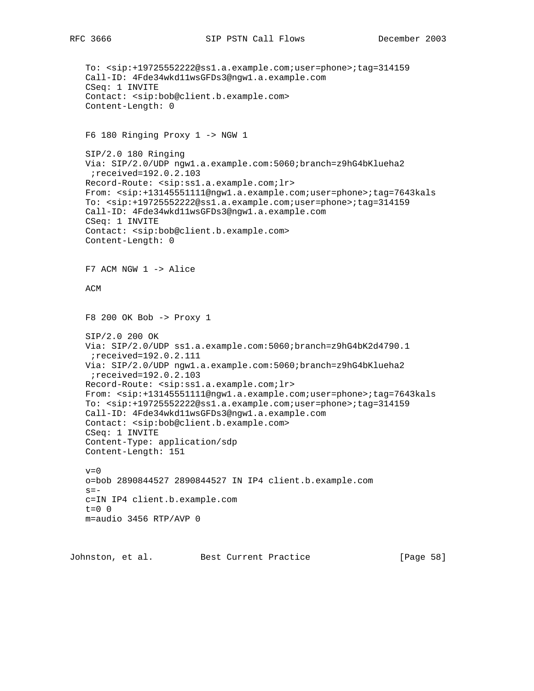```
 To: <sip:+19725552222@ss1.a.example.com;user=phone>;tag=314159
 Call-ID: 4Fde34wkd11wsGFDs3@ngw1.a.example.com
 CSeq: 1 INVITE
 Contact: <sip:bob@client.b.example.com>
 Content-Length: 0
 F6 180 Ringing Proxy 1 -> NGW 1
 SIP/2.0 180 Ringing
 Via: SIP/2.0/UDP ngw1.a.example.com:5060;branch=z9hG4bKlueha2
 ;received=192.0.2.103
 Record-Route: <sip:ss1.a.example.com;lr>
 From: <sip:+13145551111@ngw1.a.example.com;user=phone>;tag=7643kals
 To: <sip:+19725552222@ss1.a.example.com;user=phone>;tag=314159
 Call-ID: 4Fde34wkd11wsGFDs3@ngw1.a.example.com
 CSeq: 1 INVITE
 Contact: <sip:bob@client.b.example.com>
 Content-Length: 0
 F7 ACM NGW 1 -> Alice
 ACM
 F8 200 OK Bob -> Proxy 1
 SIP/2.0 200 OK
 Via: SIP/2.0/UDP ss1.a.example.com:5060;branch=z9hG4bK2d4790.1
 ;received=192.0.2.111
 Via: SIP/2.0/UDP ngw1.a.example.com:5060;branch=z9hG4bKlueha2
 ;received=192.0.2.103
 Record-Route: <sip:ss1.a.example.com;lr>
 From: <sip:+13145551111@ngw1.a.example.com;user=phone>;tag=7643kals
 To: <sip:+19725552222@ss1.a.example.com;user=phone>;tag=314159
 Call-ID: 4Fde34wkd11wsGFDs3@ngw1.a.example.com
 Contact: <sip:bob@client.b.example.com>
 CSeq: 1 INVITE
 Content-Type: application/sdp
 Content-Length: 151
v=0 o=bob 2890844527 2890844527 IN IP4 client.b.example.com
s = - c=IN IP4 client.b.example.com
 t=0 0
 m=audio 3456 RTP/AVP 0
```
Johnston, et al. Best Current Practice [Page 58]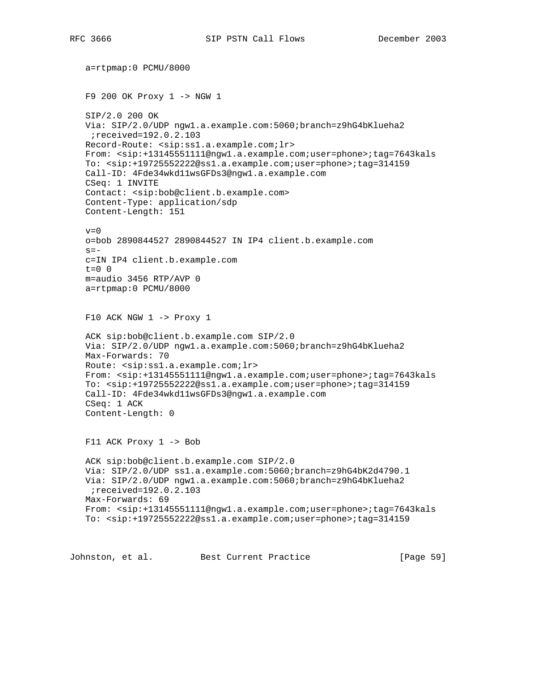```
 a=rtpmap:0 PCMU/8000
 F9 200 OK Proxy 1 -> NGW 1
 SIP/2.0 200 OK
 Via: SIP/2.0/UDP ngw1.a.example.com:5060;branch=z9hG4bKlueha2
 ;received=192.0.2.103
 Record-Route: <sip:ss1.a.example.com;lr>
 From: <sip:+13145551111@ngw1.a.example.com;user=phone>;tag=7643kals
 To: <sip:+19725552222@ss1.a.example.com;user=phone>;tag=314159
 Call-ID: 4Fde34wkd11wsGFDs3@ngw1.a.example.com
 CSeq: 1 INVITE
 Contact: <sip:bob@client.b.example.com>
 Content-Type: application/sdp
 Content-Length: 151
v=0 o=bob 2890844527 2890844527 IN IP4 client.b.example.com
s = - c=IN IP4 client.b.example.com
t=0 0
 m=audio 3456 RTP/AVP 0
 a=rtpmap:0 PCMU/8000
 F10 ACK NGW 1 -> Proxy 1
 ACK sip:bob@client.b.example.com SIP/2.0
 Via: SIP/2.0/UDP ngw1.a.example.com:5060;branch=z9hG4bKlueha2
 Max-Forwards: 70
 Route: <sip:ss1.a.example.com;lr>
 From: <sip:+13145551111@ngw1.a.example.com;user=phone>;tag=7643kals
 To: <sip:+19725552222@ss1.a.example.com;user=phone>;tag=314159
 Call-ID: 4Fde34wkd11wsGFDs3@ngw1.a.example.com
 CSeq: 1 ACK
 Content-Length: 0
 F11 ACK Proxy 1 -> Bob
 ACK sip:bob@client.b.example.com SIP/2.0
 Via: SIP/2.0/UDP ss1.a.example.com:5060;branch=z9hG4bK2d4790.1
 Via: SIP/2.0/UDP ngw1.a.example.com:5060;branch=z9hG4bKlueha2
  ;received=192.0.2.103
 Max-Forwards: 69
 From: <sip:+13145551111@ngw1.a.example.com;user=phone>;tag=7643kals
 To: <sip:+19725552222@ss1.a.example.com;user=phone>;tag=314159
```
Johnston, et al. Best Current Practice [Page 59]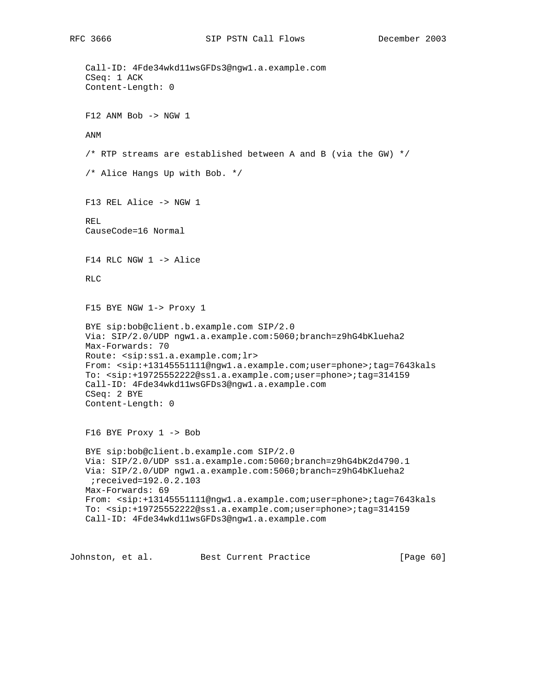```
 Call-ID: 4Fde34wkd11wsGFDs3@ngw1.a.example.com
 CSeq: 1 ACK
 Content-Length: 0
F12 ANM Bob -> NGW 1
 ANM
 /* RTP streams are established between A and B (via the GW) */
 /* Alice Hangs Up with Bob. */
 F13 REL Alice -> NGW 1
 REL
 CauseCode=16 Normal
 F14 RLC NGW 1 -> Alice
 RLC
 F15 BYE NGW 1-> Proxy 1
 BYE sip:bob@client.b.example.com SIP/2.0
 Via: SIP/2.0/UDP ngw1.a.example.com:5060;branch=z9hG4bKlueha2
 Max-Forwards: 70
 Route: <sip:ss1.a.example.com;lr>
 From: <sip:+13145551111@ngw1.a.example.com;user=phone>;tag=7643kals
 To: <sip:+19725552222@ss1.a.example.com;user=phone>;tag=314159
 Call-ID: 4Fde34wkd11wsGFDs3@ngw1.a.example.com
 CSeq: 2 BYE
 Content-Length: 0
 F16 BYE Proxy 1 -> Bob
 BYE sip:bob@client.b.example.com SIP/2.0
 Via: SIP/2.0/UDP ss1.a.example.com:5060;branch=z9hG4bK2d4790.1
 Via: SIP/2.0/UDP ngw1.a.example.com:5060;branch=z9hG4bKlueha2
 ;received=192.0.2.103
 Max-Forwards: 69
 From: <sip:+13145551111@ngw1.a.example.com;user=phone>;tag=7643kals
 To: <sip:+19725552222@ss1.a.example.com;user=phone>;tag=314159
 Call-ID: 4Fde34wkd11wsGFDs3@ngw1.a.example.com
```
Johnston, et al. Best Current Practice [Page 60]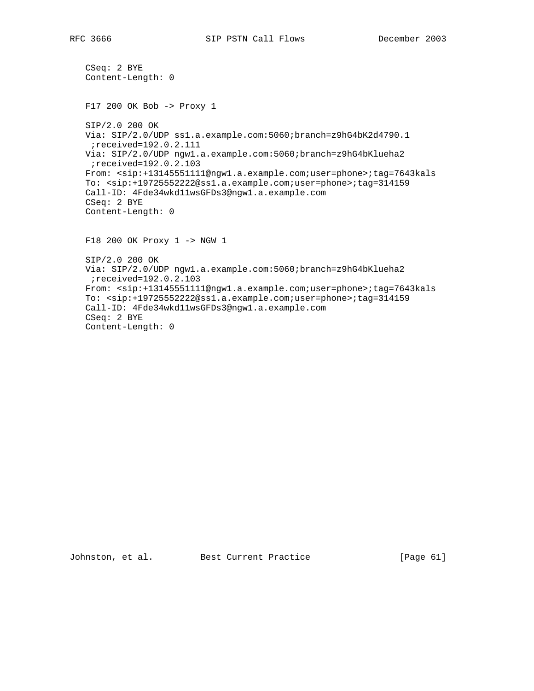```
 CSeq: 2 BYE
 Content-Length: 0
 F17 200 OK Bob -> Proxy 1
 SIP/2.0 200 OK
 Via: SIP/2.0/UDP ss1.a.example.com:5060;branch=z9hG4bK2d4790.1
 ;received=192.0.2.111
 Via: SIP/2.0/UDP ngw1.a.example.com:5060;branch=z9hG4bKlueha2
 ;received=192.0.2.103
 From: <sip:+13145551111@ngw1.a.example.com;user=phone>;tag=7643kals
 To: <sip:+19725552222@ss1.a.example.com;user=phone>;tag=314159
 Call-ID: 4Fde34wkd11wsGFDs3@ngw1.a.example.com
 CSeq: 2 BYE
 Content-Length: 0
 F18 200 OK Proxy 1 -> NGW 1
 SIP/2.0 200 OK
 Via: SIP/2.0/UDP ngw1.a.example.com:5060;branch=z9hG4bKlueha2
 ;received=192.0.2.103
 From: <sip:+13145551111@ngw1.a.example.com;user=phone>;tag=7643kals
 To: <sip:+19725552222@ss1.a.example.com;user=phone>;tag=314159
 Call-ID: 4Fde34wkd11wsGFDs3@ngw1.a.example.com
 CSeq: 2 BYE
 Content-Length: 0
```
Johnston, et al. Best Current Practice [Page 61]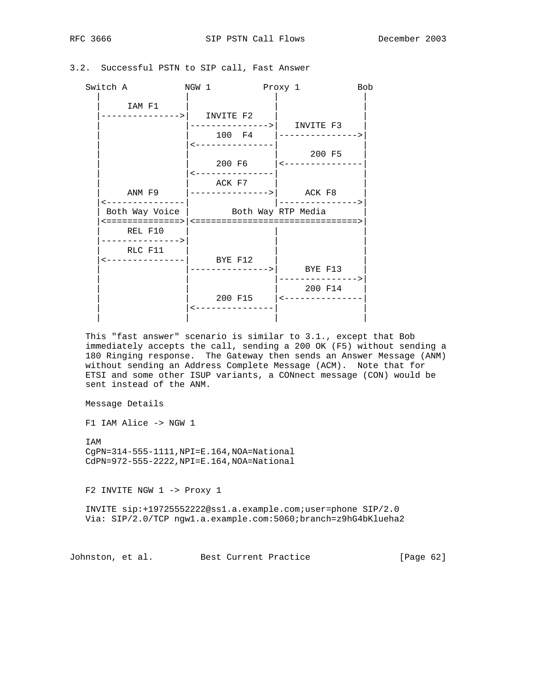| Switch A                             | NGW 1                               | Proxy 1<br><b>Bob</b>                    |
|--------------------------------------|-------------------------------------|------------------------------------------|
| IAM F1<br>-------------->            | INVITE F2                           |                                          |
|                                      | ------------->   INVITE F3          | 100 F4  --------------->                 |
|                                      | ---------------                     | 200 F5<br>200 F6   <------------         |
|                                      | ACK F7                              |                                          |
| ANM F9<br>-------------              | $ $ ---------------> $ $ ACK F8     |                                          |
|                                      | Both Way Voice   Both Way RTP Media |                                          |
| REL F10<br>-------------->           |                                     |                                          |
| RLC F11<br><---------------  BYE F12 |                                     |                                          |
|                                      | --------------->  BYE F13           |                                          |
|                                      |                                     | . _ _ _ _ _ _ _ _ _ _ _ _ _ ><br>200 F14 |
|                                      | 200 F15                             | $ $ < - - - - - - - - - -                |
|                                      |                                     |                                          |

### 3.2. Successful PSTN to SIP call, Fast Answer

 This "fast answer" scenario is similar to 3.1., except that Bob immediately accepts the call, sending a 200 OK (F5) without sending a 180 Ringing response. The Gateway then sends an Answer Message (ANM) without sending an Address Complete Message (ACM). Note that for ETSI and some other ISUP variants, a CONnect message (CON) would be sent instead of the ANM.

Message Details

F1 IAM Alice -> NGW 1

 IAM CgPN=314-555-1111,NPI=E.164,NOA=National CdPN=972-555-2222,NPI=E.164,NOA=National

F2 INVITE NGW 1 -> Proxy 1

 INVITE sip:+19725552222@ss1.a.example.com;user=phone SIP/2.0 Via: SIP/2.0/TCP ngw1.a.example.com:5060;branch=z9hG4bKlueha2

Johnston, et al. Best Current Practice [Page 62]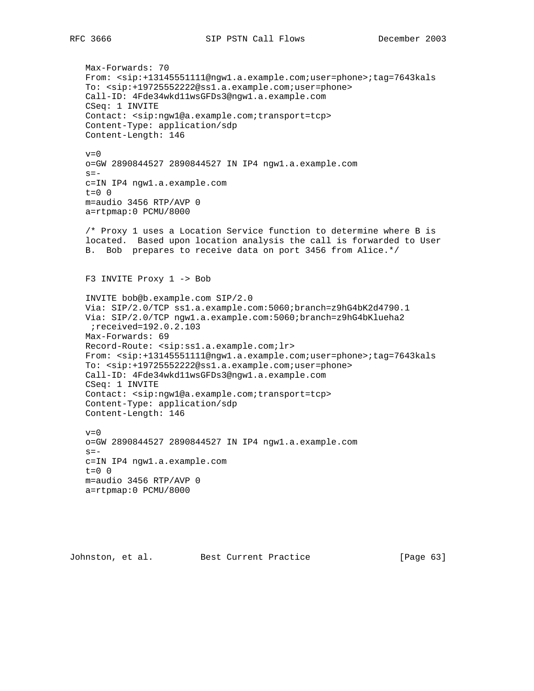Max-Forwards: 70 From: <sip:+13145551111@ngw1.a.example.com;user=phone>;tag=7643kals To: <sip:+19725552222@ss1.a.example.com;user=phone> Call-ID: 4Fde34wkd11wsGFDs3@ngw1.a.example.com CSeq: 1 INVITE Contact: <sip:ngw1@a.example.com;transport=tcp> Content-Type: application/sdp Content-Length: 146  $v=0$  o=GW 2890844527 2890844527 IN IP4 ngw1.a.example.com  $s=$  c=IN IP4 ngw1.a.example.com t=0 0 m=audio 3456 RTP/AVP 0 a=rtpmap:0 PCMU/8000 /\* Proxy 1 uses a Location Service function to determine where B is located. Based upon location analysis the call is forwarded to User B. Bob prepares to receive data on port 3456 from Alice.\*/ F3 INVITE Proxy 1 -> Bob INVITE bob@b.example.com SIP/2.0 Via: SIP/2.0/TCP ss1.a.example.com:5060;branch=z9hG4bK2d4790.1 Via: SIP/2.0/TCP ngw1.a.example.com:5060;branch=z9hG4bKlueha2 ;received=192.0.2.103 Max-Forwards: 69 Record-Route: <sip:ss1.a.example.com;lr> From: <sip:+13145551111@ngw1.a.example.com;user=phone>;tag=7643kals To: <sip:+19725552222@ss1.a.example.com;user=phone> Call-ID: 4Fde34wkd11wsGFDs3@ngw1.a.example.com CSeq: 1 INVITE Contact: <sip:ngw1@a.example.com;transport=tcp> Content-Type: application/sdp Content-Length: 146  $v=0$  o=GW 2890844527 2890844527 IN IP4 ngw1.a.example.com  $s =$  c=IN IP4 ngw1.a.example.com  $t=0$  0 m=audio 3456 RTP/AVP 0 a=rtpmap:0 PCMU/8000

Johnston, et al. Best Current Practice [Page 63]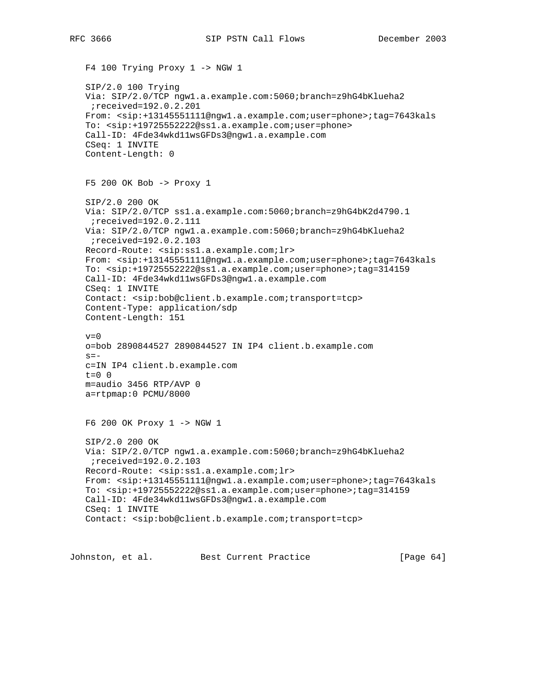F4 100 Trying Proxy 1 -> NGW 1 SIP/2.0 100 Trying Via: SIP/2.0/TCP ngw1.a.example.com:5060;branch=z9hG4bKlueha2 ;received=192.0.2.201 From: <sip:+13145551111@ngw1.a.example.com;user=phone>;tag=7643kals To: <sip:+19725552222@ss1.a.example.com;user=phone> Call-ID: 4Fde34wkd11wsGFDs3@ngw1.a.example.com CSeq: 1 INVITE Content-Length: 0 F5 200 OK Bob -> Proxy 1 SIP/2.0 200 OK Via: SIP/2.0/TCP ss1.a.example.com:5060;branch=z9hG4bK2d4790.1 ;received=192.0.2.111 Via: SIP/2.0/TCP ngw1.a.example.com:5060;branch=z9hG4bKlueha2 ;received=192.0.2.103 Record-Route: <sip:ss1.a.example.com;lr> From: <sip:+13145551111@ngw1.a.example.com;user=phone>;tag=7643kals To: <sip:+19725552222@ss1.a.example.com;user=phone>;tag=314159 Call-ID: 4Fde34wkd11wsGFDs3@ngw1.a.example.com CSeq: 1 INVITE Contact: <sip:bob@client.b.example.com;transport=tcp> Content-Type: application/sdp Content-Length: 151  $v=0$  o=bob 2890844527 2890844527 IN IP4 client.b.example.com  $s =$  c=IN IP4 client.b.example.com t=0 0 m=audio 3456 RTP/AVP 0 a=rtpmap:0 PCMU/8000 F6 200 OK Proxy 1 -> NGW 1 SIP/2.0 200 OK Via: SIP/2.0/TCP ngw1.a.example.com:5060;branch=z9hG4bKlueha2 ;received=192.0.2.103 Record-Route: <sip:ss1.a.example.com;lr> From: <sip:+13145551111@ngw1.a.example.com;user=phone>;tag=7643kals To: <sip:+19725552222@ss1.a.example.com;user=phone>;tag=314159 Call-ID: 4Fde34wkd11wsGFDs3@ngw1.a.example.com CSeq: 1 INVITE Contact: <sip:bob@client.b.example.com;transport=tcp>

Johnston, et al. Best Current Practice [Page 64]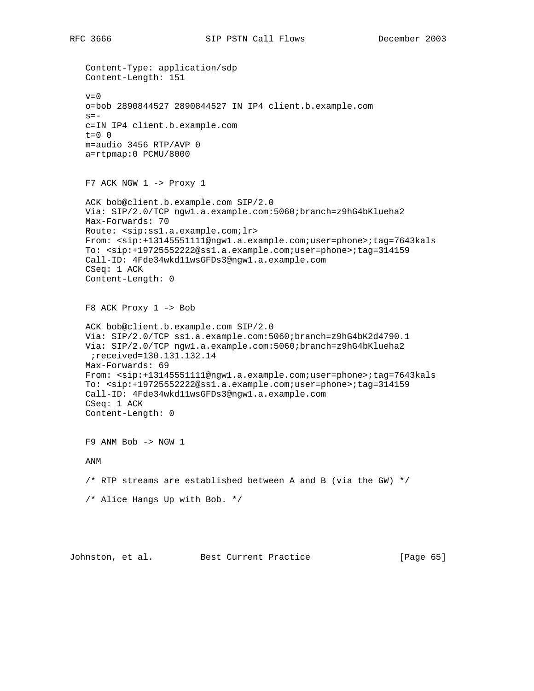Content-Type: application/sdp Content-Length: 151  $v=0$  o=bob 2890844527 2890844527 IN IP4 client.b.example.com  $s =$  c=IN IP4 client.b.example.com t=0 0 m=audio 3456 RTP/AVP 0 a=rtpmap:0 PCMU/8000 F7 ACK NGW 1 -> Proxy 1 ACK bob@client.b.example.com SIP/2.0 Via: SIP/2.0/TCP ngw1.a.example.com:5060;branch=z9hG4bKlueha2 Max-Forwards: 70 Route: <sip:ss1.a.example.com;lr> From: <sip:+13145551111@ngw1.a.example.com;user=phone>;tag=7643kals To: <sip:+19725552222@ss1.a.example.com;user=phone>;tag=314159 Call-ID: 4Fde34wkd11wsGFDs3@ngw1.a.example.com CSeq: 1 ACK Content-Length: 0 F8 ACK Proxy 1 -> Bob ACK bob@client.b.example.com SIP/2.0 Via: SIP/2.0/TCP ss1.a.example.com:5060;branch=z9hG4bK2d4790.1 Via: SIP/2.0/TCP ngw1.a.example.com:5060;branch=z9hG4bKlueha2 ;received=130.131.132.14 Max-Forwards: 69 From: <sip:+13145551111@ngw1.a.example.com;user=phone>;tag=7643kals To: <sip:+19725552222@ss1.a.example.com;user=phone>;tag=314159 Call-ID: 4Fde34wkd11wsGFDs3@ngw1.a.example.com CSeq: 1 ACK Content-Length: 0 F9 ANM Bob -> NGW 1 ANM /\* RTP streams are established between A and B (via the GW) \*/ /\* Alice Hangs Up with Bob. \*/

Johnston, et al. Best Current Practice [Page 65]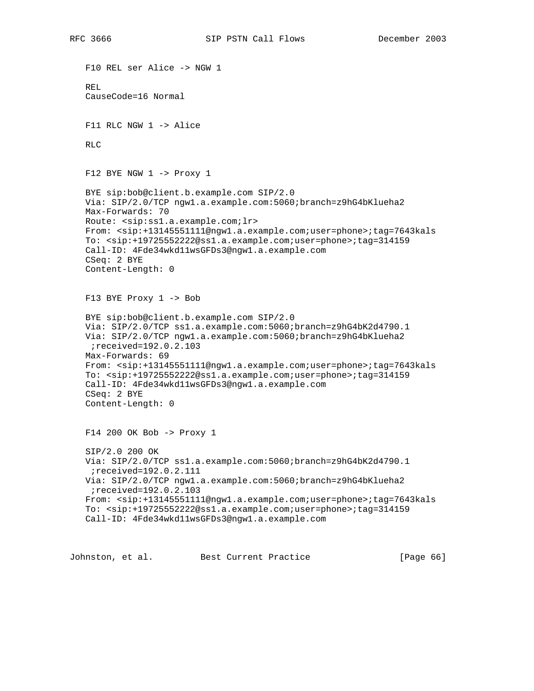F10 REL ser Alice -> NGW 1 REL CauseCode=16 Normal F11 RLC NGW 1 -> Alice R<sub>LC</sub> F12 BYE NGW 1 -> Proxy 1 BYE sip:bob@client.b.example.com SIP/2.0 Via: SIP/2.0/TCP ngw1.a.example.com:5060;branch=z9hG4bKlueha2 Max-Forwards: 70 Route: <sip:ss1.a.example.com;lr> From: <sip:+13145551111@ngw1.a.example.com;user=phone>;tag=7643kals To: <sip:+19725552222@ss1.a.example.com;user=phone>;tag=314159 Call-ID: 4Fde34wkd11wsGFDs3@ngw1.a.example.com CSeq: 2 BYE Content-Length: 0 F13 BYE Proxy 1 -> Bob BYE sip:bob@client.b.example.com SIP/2.0 Via: SIP/2.0/TCP ss1.a.example.com:5060;branch=z9hG4bK2d4790.1 Via: SIP/2.0/TCP ngw1.a.example.com:5060;branch=z9hG4bKlueha2 ;received=192.0.2.103 Max-Forwards: 69 From: <sip:+13145551111@ngw1.a.example.com;user=phone>;tag=7643kals To: <sip:+19725552222@ss1.a.example.com;user=phone>;tag=314159 Call-ID: 4Fde34wkd11wsGFDs3@ngw1.a.example.com CSeq: 2 BYE Content-Length: 0 F14 200 OK Bob -> Proxy 1 SIP/2.0 200 OK Via: SIP/2.0/TCP ss1.a.example.com:5060;branch=z9hG4bK2d4790.1 ;received=192.0.2.111 Via: SIP/2.0/TCP ngw1.a.example.com:5060;branch=z9hG4bKlueha2 ;received=192.0.2.103 From: <sip:+13145551111@ngw1.a.example.com;user=phone>;tag=7643kals To: <sip:+19725552222@ss1.a.example.com;user=phone>;tag=314159 Call-ID: 4Fde34wkd11wsGFDs3@ngw1.a.example.com

Johnston, et al. Best Current Practice [Page 66]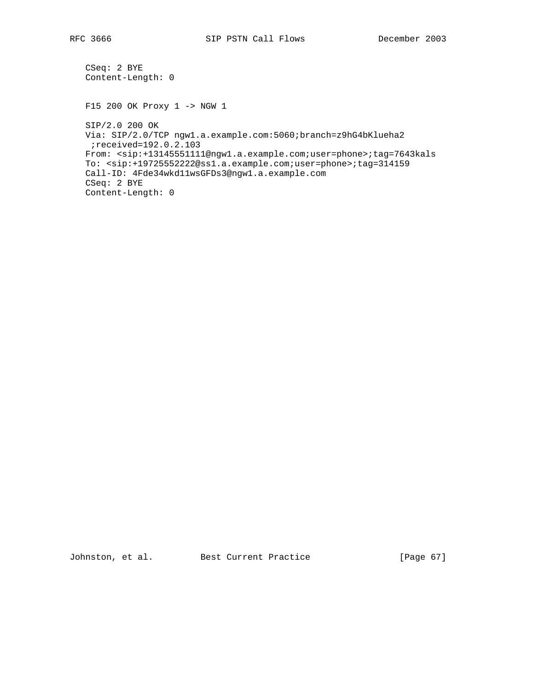```
 CSeq: 2 BYE
 Content-Length: 0
 F15 200 OK Proxy 1 -> NGW 1
 SIP/2.0 200 OK
 Via: SIP/2.0/TCP ngw1.a.example.com:5060;branch=z9hG4bKlueha2
 ;received=192.0.2.103
 From: <sip:+13145551111@ngw1.a.example.com;user=phone>;tag=7643kals
 To: <sip:+19725552222@ss1.a.example.com;user=phone>;tag=314159
 Call-ID: 4Fde34wkd11wsGFDs3@ngw1.a.example.com
 CSeq: 2 BYE
 Content-Length: 0
```
Johnston, et al. Best Current Practice [Page 67]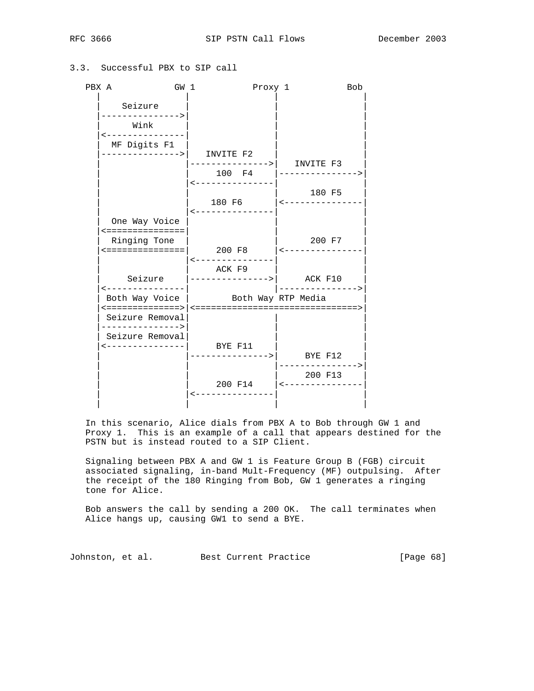# 3.3. Successful PBX to SIP call

| PBX A                              | GW <sub>1</sub> |                                                            | Proxy 1 |                  | <b>Bob</b> |
|------------------------------------|-----------------|------------------------------------------------------------|---------|------------------|------------|
| Seizure                            |                 |                                                            |         |                  |            |
| --------------><br>Wink            |                 |                                                            |         |                  |            |
| <---------------<br>MF Digits F1   |                 |                                                            |         |                  |            |
|                                    |                 | -------------->    INVITE F2                               |         |                  |            |
|                                    |                 | ------------->  INVITE F3<br>100 F4                        |         | ---------------> |            |
|                                    |                 | ----------------                                           |         | 180 F5           |            |
|                                    |                 |                                                            |         |                  |            |
| One Way Voice<br><===============  |                 | <---------------                                           |         |                  |            |
| Ringing Tone<br><===============   |                 | $200 \text{ F8}$   $\leftarrow$ ---------------            |         | 200 F7           |            |
|                                    |                 | <---------------                                           |         |                  |            |
| ----------------                   |                 | ACK F9<br>Seizure $\vert$ ---------------> $\vert$ ACK F10 |         | ---------------> |            |
|                                    |                 | Both Way Voice   Both Way RTP Media                        |         |                  |            |
| Seizure Removal<br>--------------> |                 |                                                            |         |                  |            |
| Seizure Removal<br>_______________ |                 | BYE F11                                                    |         |                  |            |
|                                    |                 | ------------->     BYE F12<br> -------------->             |         |                  |            |
|                                    |                 | 200 F14   <--------------                                  |         | 200 F13          |            |
|                                    |                 |                                                            |         |                  |            |

 In this scenario, Alice dials from PBX A to Bob through GW 1 and Proxy 1. This is an example of a call that appears destined for the PSTN but is instead routed to a SIP Client.

 Signaling between PBX A and GW 1 is Feature Group B (FGB) circuit associated signaling, in-band Mult-Frequency (MF) outpulsing. After the receipt of the 180 Ringing from Bob, GW 1 generates a ringing tone for Alice.

 Bob answers the call by sending a 200 OK. The call terminates when Alice hangs up, causing GW1 to send a BYE.

Johnston, et al. Best Current Practice [Page 68]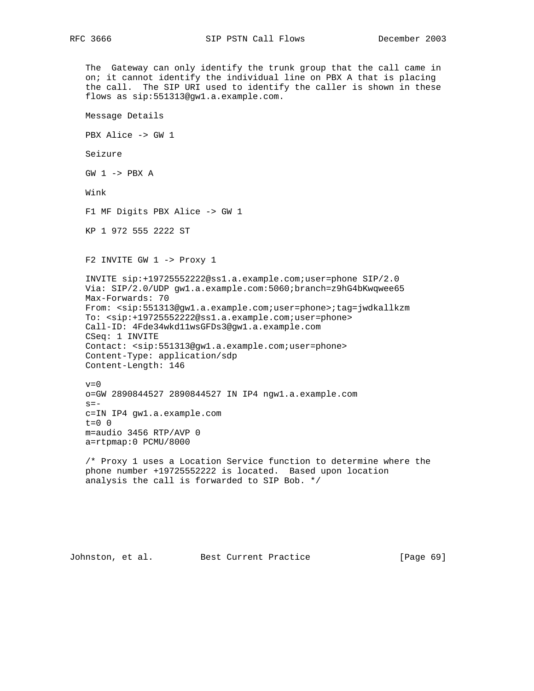The Gateway can only identify the trunk group that the call came in on; it cannot identify the individual line on PBX A that is placing the call. The SIP URI used to identify the caller is shown in these flows as sip:551313@gw1.a.example.com. Message Details PBX Alice -> GW 1 Seizure  $GW$  1 -> PBX A Wink F1 MF Digits PBX Alice -> GW 1 KP 1 972 555 2222 ST F2 INVITE GW 1 -> Proxy 1 INVITE sip:+19725552222@ss1.a.example.com;user=phone SIP/2.0 Via: SIP/2.0/UDP gw1.a.example.com:5060;branch=z9hG4bKwqwee65 Max-Forwards: 70 From: <sip:551313@gw1.a.example.com;user=phone>;tag=jwdkallkzm To: <sip:+19725552222@ss1.a.example.com;user=phone> Call-ID: 4Fde34wkd11wsGFDs3@gw1.a.example.com CSeq: 1 INVITE Contact: <sip:551313@gw1.a.example.com;user=phone> Content-Type: application/sdp Content-Length: 146  $v=0$  o=GW 2890844527 2890844527 IN IP4 ngw1.a.example.com  $s=$  c=IN IP4 gw1.a.example.com t=0 0 m=audio 3456 RTP/AVP 0 a=rtpmap:0 PCMU/8000 /\* Proxy 1 uses a Location Service function to determine where the phone number +19725552222 is located. Based upon location analysis the call is forwarded to SIP Bob. \*/

Johnston, et al. Best Current Practice [Page 69]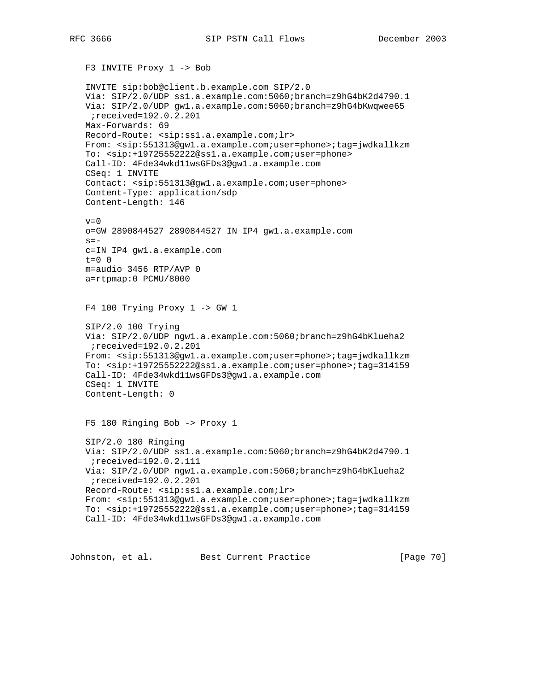```
 F3 INVITE Proxy 1 -> Bob
 INVITE sip:bob@client.b.example.com SIP/2.0
 Via: SIP/2.0/UDP ss1.a.example.com:5060;branch=z9hG4bK2d4790.1
 Via: SIP/2.0/UDP gw1.a.example.com:5060;branch=z9hG4bKwqwee65
 ;received=192.0.2.201
 Max-Forwards: 69
 Record-Route: <sip:ss1.a.example.com;lr>
 From: <sip:551313@gw1.a.example.com;user=phone>;tag=jwdkallkzm
 To: <sip:+19725552222@ss1.a.example.com;user=phone>
 Call-ID: 4Fde34wkd11wsGFDs3@gw1.a.example.com
 CSeq: 1 INVITE
 Contact: <sip:551313@gw1.a.example.com;user=phone>
 Content-Type: application/sdp
 Content-Length: 146
v=0 o=GW 2890844527 2890844527 IN IP4 gw1.a.example.com
s = - c=IN IP4 gw1.a.example.com
t=0 0
 m=audio 3456 RTP/AVP 0
 a=rtpmap:0 PCMU/8000
F4 100 Trying Proxy 1 -> GW 1
 SIP/2.0 100 Trying
 Via: SIP/2.0/UDP ngw1.a.example.com:5060;branch=z9hG4bKlueha2
 ;received=192.0.2.201
 From: <sip:551313@gw1.a.example.com;user=phone>;tag=jwdkallkzm
 To: <sip:+19725552222@ss1.a.example.com;user=phone>;tag=314159
 Call-ID: 4Fde34wkd11wsGFDs3@gw1.a.example.com
 CSeq: 1 INVITE
 Content-Length: 0
 F5 180 Ringing Bob -> Proxy 1
 SIP/2.0 180 Ringing
 Via: SIP/2.0/UDP ss1.a.example.com:5060;branch=z9hG4bK2d4790.1
 ;received=192.0.2.111
 Via: SIP/2.0/UDP ngw1.a.example.com:5060;branch=z9hG4bKlueha2
 ;received=192.0.2.201
 Record-Route: <sip:ss1.a.example.com;lr>
 From: <sip:551313@gw1.a.example.com;user=phone>;tag=jwdkallkzm
 To: <sip:+19725552222@ss1.a.example.com;user=phone>;tag=314159
 Call-ID: 4Fde34wkd11wsGFDs3@gw1.a.example.com
```
Johnston, et al. Best Current Practice [Page 70]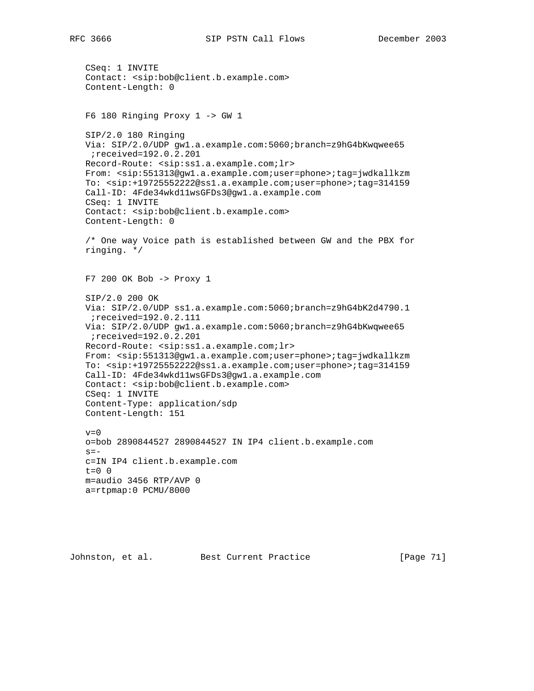```
 CSeq: 1 INVITE
 Contact: <sip:bob@client.b.example.com>
 Content-Length: 0
 F6 180 Ringing Proxy 1 -> GW 1
 SIP/2.0 180 Ringing
 Via: SIP/2.0/UDP gw1.a.example.com:5060;branch=z9hG4bKwqwee65
 ;received=192.0.2.201
 Record-Route: <sip:ss1.a.example.com;lr>
 From: <sip:551313@gw1.a.example.com;user=phone>;tag=jwdkallkzm
 To: <sip:+19725552222@ss1.a.example.com;user=phone>;tag=314159
 Call-ID: 4Fde34wkd11wsGFDs3@gw1.a.example.com
 CSeq: 1 INVITE
 Contact: <sip:bob@client.b.example.com>
 Content-Length: 0
 /* One way Voice path is established between GW and the PBX for
 ringing. */
 F7 200 OK Bob -> Proxy 1
 SIP/2.0 200 OK
 Via: SIP/2.0/UDP ss1.a.example.com:5060;branch=z9hG4bK2d4790.1
 ;received=192.0.2.111
 Via: SIP/2.0/UDP gw1.a.example.com:5060;branch=z9hG4bKwqwee65
 ;received=192.0.2.201
 Record-Route: <sip:ss1.a.example.com;lr>
 From: <sip:551313@gw1.a.example.com;user=phone>;tag=jwdkallkzm
 To: <sip:+19725552222@ss1.a.example.com;user=phone>;tag=314159
 Call-ID: 4Fde34wkd11wsGFDs3@gw1.a.example.com
 Contact: <sip:bob@client.b.example.com>
 CSeq: 1 INVITE
 Content-Type: application/sdp
 Content-Length: 151
v=0 o=bob 2890844527 2890844527 IN IP4 client.b.example.com
s = - c=IN IP4 client.b.example.com
t=0 0
 m=audio 3456 RTP/AVP 0
 a=rtpmap:0 PCMU/8000
```
Johnston, et al. Best Current Practice [Page 71]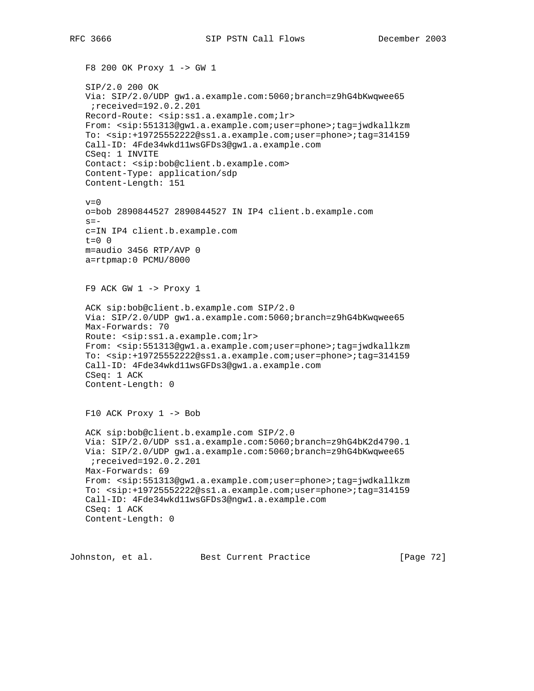F8 200 OK Proxy 1 -> GW 1 SIP/2.0 200 OK Via: SIP/2.0/UDP gw1.a.example.com:5060;branch=z9hG4bKwqwee65 ;received=192.0.2.201 Record-Route: <sip:ss1.a.example.com;lr> From: <sip:551313@gw1.a.example.com;user=phone>;tag=jwdkallkzm To: <sip:+19725552222@ss1.a.example.com;user=phone>;tag=314159 Call-ID: 4Fde34wkd11wsGFDs3@gw1.a.example.com CSeq: 1 INVITE Contact: <sip:bob@client.b.example.com> Content-Type: application/sdp Content-Length: 151  $v=0$  o=bob 2890844527 2890844527 IN IP4 client.b.example.com  $s =$  c=IN IP4 client.b.example.com  $t=0$  0 m=audio 3456 RTP/AVP 0 a=rtpmap:0 PCMU/8000  $F9$  ACK GW  $1$  -> Proxy  $1$  ACK sip:bob@client.b.example.com SIP/2.0 Via: SIP/2.0/UDP gw1.a.example.com:5060;branch=z9hG4bKwqwee65 Max-Forwards: 70 Route: <sip:ss1.a.example.com;lr> From: <sip:551313@gw1.a.example.com;user=phone>;tag=jwdkallkzm To: <sip:+19725552222@ss1.a.example.com;user=phone>;tag=314159 Call-ID: 4Fde34wkd11wsGFDs3@gw1.a.example.com CSeq: 1 ACK Content-Length: 0 F10 ACK Proxy 1 -> Bob ACK sip:bob@client.b.example.com SIP/2.0 Via: SIP/2.0/UDP ss1.a.example.com:5060;branch=z9hG4bK2d4790.1 Via: SIP/2.0/UDP gw1.a.example.com:5060;branch=z9hG4bKwqwee65 ;received=192.0.2.201 Max-Forwards: 69 From: <sip:551313@gw1.a.example.com;user=phone>;tag=jwdkallkzm To: <sip:+19725552222@ss1.a.example.com;user=phone>;tag=314159 Call-ID: 4Fde34wkd11wsGFDs3@ngw1.a.example.com CSeq: 1 ACK Content-Length: 0

Johnston, et al. Best Current Practice [Page 72]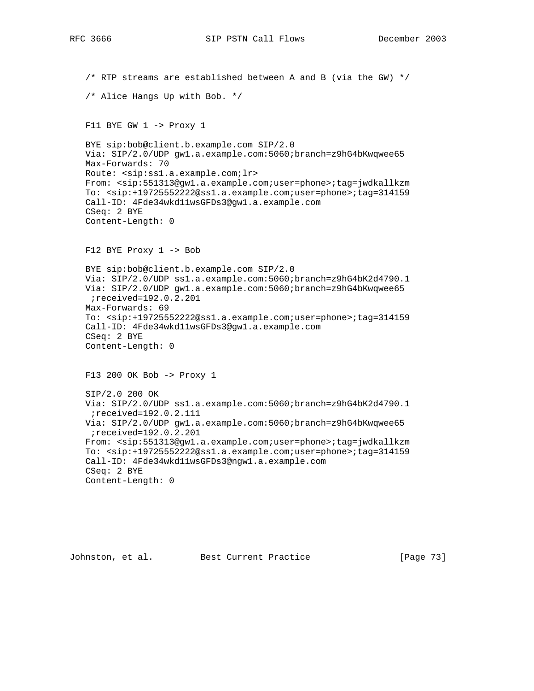/\* RTP streams are established between A and B (via the GW) \*/ /\* Alice Hangs Up with Bob. \*/ F11 BYE GW 1 -> Proxy 1 BYE sip:bob@client.b.example.com SIP/2.0 Via: SIP/2.0/UDP gw1.a.example.com:5060;branch=z9hG4bKwqwee65 Max-Forwards: 70 Route: <sip:ss1.a.example.com;lr> From: <sip:551313@gw1.a.example.com;user=phone>;tag=jwdkallkzm To: <sip:+19725552222@ss1.a.example.com;user=phone>;tag=314159 Call-ID: 4Fde34wkd11wsGFDs3@gw1.a.example.com CSeq: 2 BYE Content-Length: 0 F12 BYE Proxy 1 -> Bob BYE sip:bob@client.b.example.com SIP/2.0 Via: SIP/2.0/UDP ss1.a.example.com:5060;branch=z9hG4bK2d4790.1 Via: SIP/2.0/UDP gw1.a.example.com:5060;branch=z9hG4bKwqwee65 ;received=192.0.2.201 Max-Forwards: 69 To: <sip:+19725552222@ss1.a.example.com;user=phone>;tag=314159 Call-ID: 4Fde34wkd11wsGFDs3@gw1.a.example.com CSeq: 2 BYE Content-Length: 0 F13 200 OK Bob -> Proxy 1 SIP/2.0 200 OK Via: SIP/2.0/UDP ss1.a.example.com:5060;branch=z9hG4bK2d4790.1 ;received=192.0.2.111 Via: SIP/2.0/UDP gw1.a.example.com:5060;branch=z9hG4bKwqwee65 ;received=192.0.2.201 From: <sip:551313@gw1.a.example.com;user=phone>;tag=jwdkallkzm To: <sip:+19725552222@ss1.a.example.com;user=phone>;tag=314159 Call-ID: 4Fde34wkd11wsGFDs3@ngw1.a.example.com CSeq: 2 BYE Content-Length: 0

Johnston, et al. Best Current Practice [Page 73]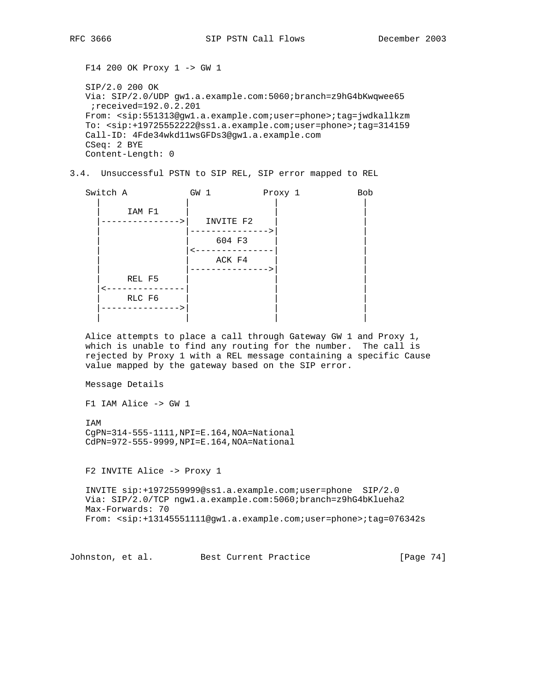F14 200 OK Proxy 1 -> GW 1 SIP/2.0 200 OK Via: SIP/2.0/UDP gw1.a.example.com:5060;branch=z9hG4bKwqwee65 ;received=192.0.2.201 From: <sip:551313@gw1.a.example.com;user=phone>;tag=jwdkallkzm To: <sip:+19725552222@ss1.a.example.com;user=phone>;tag=314159 Call-ID: 4Fde34wkd11wsGFDs3@gw1.a.example.com CSeq: 2 BYE Content-Length: 0

3.4. Unsuccessful PSTN to SIP REL, SIP error mapped to REL

| Switch A | GW 1      | Proxy 1 | Bob |
|----------|-----------|---------|-----|
| IAM F1   |           |         |     |
|          | INVITE F2 |         |     |
|          |           |         |     |
|          | 604 F3    |         |     |
|          |           |         |     |
|          | ACK F4    |         |     |
|          |           |         |     |
| REL F5   |           |         |     |
|          |           |         |     |
| RLC F6   |           |         |     |
|          |           |         |     |
|          |           |         |     |

 Alice attempts to place a call through Gateway GW 1 and Proxy 1, which is unable to find any routing for the number. The call is rejected by Proxy 1 with a REL message containing a specific Cause value mapped by the gateway based on the SIP error.

Message Details

F1 IAM Alice -> GW 1

 IAM CgPN=314-555-1111,NPI=E.164,NOA=National CdPN=972-555-9999,NPI=E.164,NOA=National

F2 INVITE Alice -> Proxy 1

 INVITE sip:+1972559999@ss1.a.example.com;user=phone SIP/2.0 Via: SIP/2.0/TCP ngw1.a.example.com:5060;branch=z9hG4bKlueha2 Max-Forwards: 70 From: <sip:+13145551111@gw1.a.example.com;user=phone>;tag=076342s

Johnston, et al. Best Current Practice [Page 74]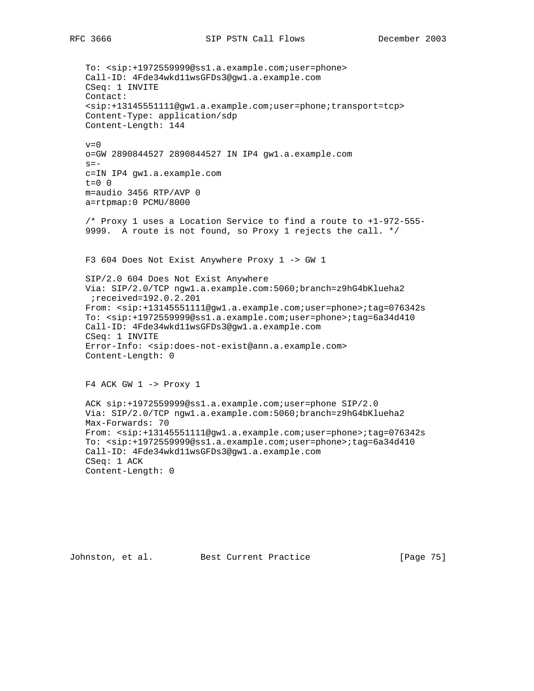To: <sip:+1972559999@ss1.a.example.com;user=phone> Call-ID: 4Fde34wkd11wsGFDs3@gw1.a.example.com CSeq: 1 INVITE Contact: <sip:+13145551111@gw1.a.example.com;user=phone;transport=tcp> Content-Type: application/sdp Content-Length: 144  $v=0$  o=GW 2890844527 2890844527 IN IP4 gw1.a.example.com  $s=$  c=IN IP4 gw1.a.example.com  $t=0$  0 m=audio 3456 RTP/AVP 0 a=rtpmap:0 PCMU/8000 /\* Proxy 1 uses a Location Service to find a route to +1-972-555- 9999. A route is not found, so Proxy 1 rejects the call. \*/ F3 604 Does Not Exist Anywhere Proxy 1 -> GW 1 SIP/2.0 604 Does Not Exist Anywhere Via: SIP/2.0/TCP ngw1.a.example.com:5060;branch=z9hG4bKlueha2 ;received=192.0.2.201 From: <sip:+13145551111@gw1.a.example.com;user=phone>;tag=076342s To: <sip:+1972559999@ss1.a.example.com;user=phone>;tag=6a34d410 Call-ID: 4Fde34wkd11wsGFDs3@gw1.a.example.com CSeq: 1 INVITE Error-Info: <sip:does-not-exist@ann.a.example.com> Content-Length: 0  $F4$  ACK GW  $1$  -> Proxy  $1$  ACK sip:+1972559999@ss1.a.example.com;user=phone SIP/2.0 Via: SIP/2.0/TCP ngw1.a.example.com:5060;branch=z9hG4bKlueha2 Max-Forwards: 70 From: <sip:+13145551111@gw1.a.example.com;user=phone>;tag=076342s To: <sip:+1972559999@ss1.a.example.com;user=phone>;tag=6a34d410 Call-ID: 4Fde34wkd11wsGFDs3@gw1.a.example.com CSeq: 1 ACK Content-Length: 0

Johnston, et al. Best Current Practice [Page 75]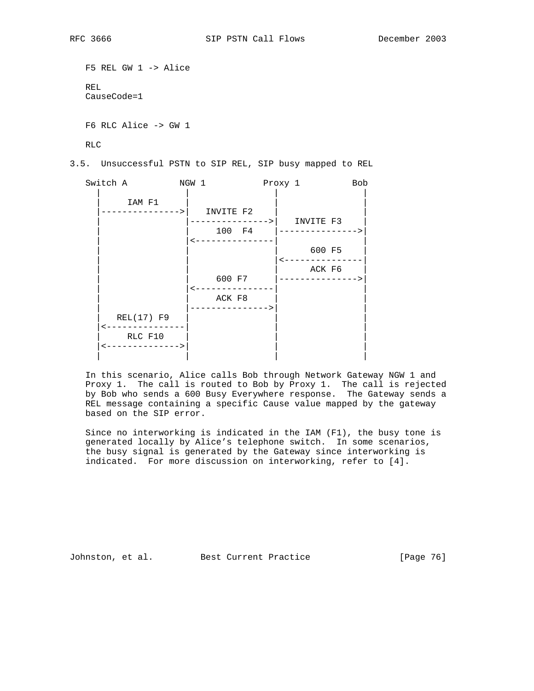```
 F5 REL GW 1 -> Alice
 REL
 CauseCode=1
 F6 RLC Alice -> GW 1
```
RLC

3.5. Unsuccessful PSTN to SIP REL, SIP busy mapped to REL

| Switch A   | NGW 1                         | Proxy 1 |                               | <b>Bob</b> |
|------------|-------------------------------|---------|-------------------------------|------------|
| IAM F1     | INVITE F2<br>600 F7<br>ACK F8 | 100 F4  | INVITE F3<br>600 F5<br>ACK F6 |            |
| REL(17) F9 |                               |         |                               |            |
|            |                               |         |                               |            |
| RLC F10    |                               |         |                               |            |
|            |                               |         |                               |            |
|            |                               |         |                               |            |

 In this scenario, Alice calls Bob through Network Gateway NGW 1 and Proxy 1. The call is routed to Bob by Proxy 1. The call is rejected by Bob who sends a 600 Busy Everywhere response. The Gateway sends a REL message containing a specific Cause value mapped by the gateway based on the SIP error.

 Since no interworking is indicated in the IAM (F1), the busy tone is generated locally by Alice's telephone switch. In some scenarios, the busy signal is generated by the Gateway since interworking is indicated. For more discussion on interworking, refer to [4].

Johnston, et al. Best Current Practice [Page 76]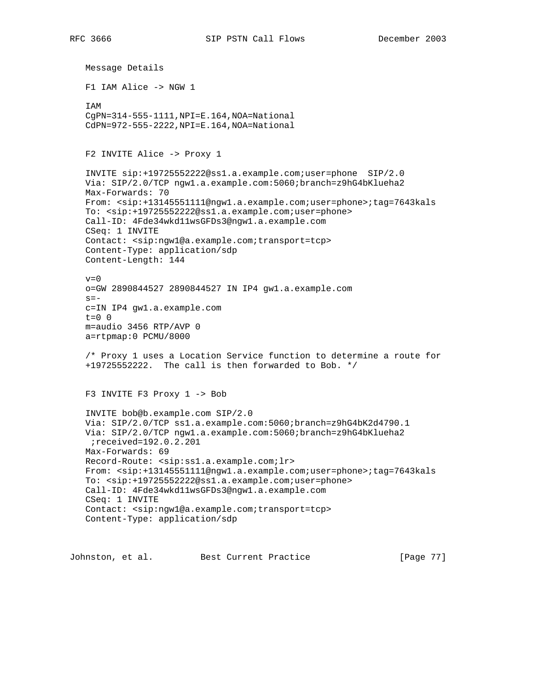Message Details F1 IAM Alice -> NGW 1 IAM CgPN=314-555-1111,NPI=E.164,NOA=National CdPN=972-555-2222,NPI=E.164,NOA=National F2 INVITE Alice -> Proxy 1 INVITE sip:+19725552222@ss1.a.example.com;user=phone SIP/2.0 Via: SIP/2.0/TCP ngw1.a.example.com:5060;branch=z9hG4bKlueha2 Max-Forwards: 70 From: <sip:+13145551111@ngw1.a.example.com;user=phone>;tag=7643kals To: <sip:+19725552222@ss1.a.example.com;user=phone> Call-ID: 4Fde34wkd11wsGFDs3@ngw1.a.example.com CSeq: 1 INVITE Contact: <sip:ngw1@a.example.com;transport=tcp> Content-Type: application/sdp Content-Length: 144  $v=0$  o=GW 2890844527 2890844527 IN IP4 gw1.a.example.com  $s=$  c=IN IP4 gw1.a.example.com  $t=0$  0 m=audio 3456 RTP/AVP 0 a=rtpmap:0 PCMU/8000 /\* Proxy 1 uses a Location Service function to determine a route for +19725552222. The call is then forwarded to Bob. \*/ F3 INVITE F3 Proxy 1 -> Bob INVITE bob@b.example.com SIP/2.0 Via: SIP/2.0/TCP ss1.a.example.com:5060;branch=z9hG4bK2d4790.1 Via: SIP/2.0/TCP ngw1.a.example.com:5060;branch=z9hG4bKlueha2 ;received=192.0.2.201 Max-Forwards: 69 Record-Route: <sip:ss1.a.example.com;lr> From: <sip:+13145551111@ngw1.a.example.com;user=phone>;tag=7643kals To: <sip:+19725552222@ss1.a.example.com;user=phone> Call-ID: 4Fde34wkd11wsGFDs3@ngw1.a.example.com CSeq: 1 INVITE Contact: <sip:ngw1@a.example.com;transport=tcp> Content-Type: application/sdp

Johnston, et al. Best Current Practice [Page 77]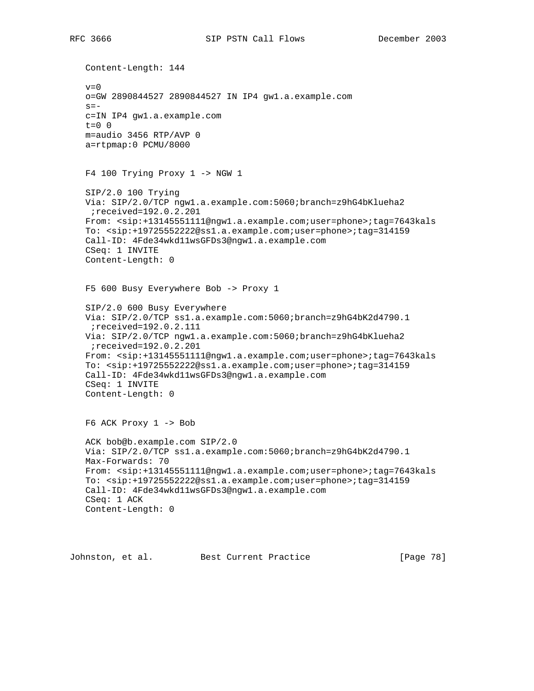Content-Length: 144  $v=0$  o=GW 2890844527 2890844527 IN IP4 gw1.a.example.com  $s =$  c=IN IP4 gw1.a.example.com  $t=0$  0 m=audio 3456 RTP/AVP 0 a=rtpmap:0 PCMU/8000 F4 100 Trying Proxy 1 -> NGW 1 SIP/2.0 100 Trying Via: SIP/2.0/TCP ngw1.a.example.com:5060;branch=z9hG4bKlueha2 ;received=192.0.2.201 From: <sip:+13145551111@ngw1.a.example.com;user=phone>;tag=7643kals To: <sip:+19725552222@ss1.a.example.com;user=phone>;tag=314159 Call-ID: 4Fde34wkd11wsGFDs3@ngw1.a.example.com CSeq: 1 INVITE Content-Length: 0 F5 600 Busy Everywhere Bob -> Proxy 1 SIP/2.0 600 Busy Everywhere Via: SIP/2.0/TCP ss1.a.example.com:5060;branch=z9hG4bK2d4790.1 ;received=192.0.2.111 Via: SIP/2.0/TCP ngw1.a.example.com:5060;branch=z9hG4bKlueha2 ;received=192.0.2.201 From: <sip:+13145551111@ngw1.a.example.com;user=phone>;tag=7643kals To: <sip:+19725552222@ss1.a.example.com;user=phone>;tag=314159 Call-ID: 4Fde34wkd11wsGFDs3@ngw1.a.example.com CSeq: 1 INVITE Content-Length: 0 F6 ACK Proxy 1 -> Bob ACK bob@b.example.com SIP/2.0 Via: SIP/2.0/TCP ss1.a.example.com:5060;branch=z9hG4bK2d4790.1 Max-Forwards: 70 From: <sip:+13145551111@ngw1.a.example.com;user=phone>;tag=7643kals To: <sip:+19725552222@ss1.a.example.com;user=phone>;tag=314159 Call-ID: 4Fde34wkd11wsGFDs3@ngw1.a.example.com CSeq: 1 ACK Content-Length: 0

Johnston, et al. Best Current Practice [Page 78]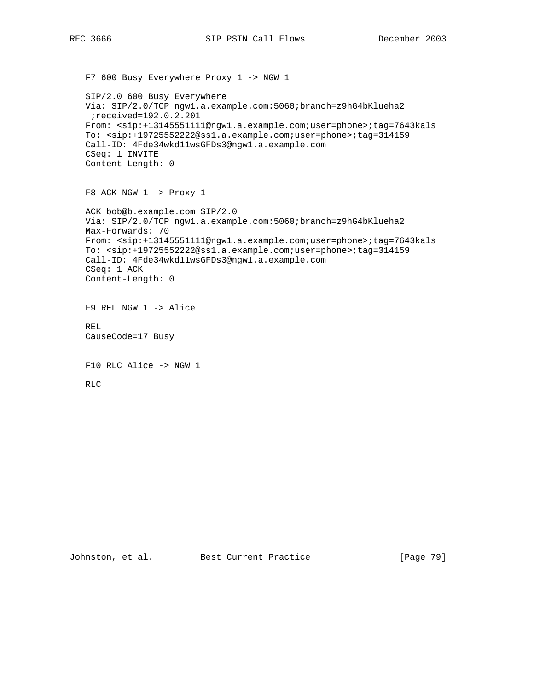```
 F7 600 Busy Everywhere Proxy 1 -> NGW 1
 SIP/2.0 600 Busy Everywhere
 Via: SIP/2.0/TCP ngw1.a.example.com:5060;branch=z9hG4bKlueha2
 ;received=192.0.2.201
 From: <sip:+13145551111@ngw1.a.example.com;user=phone>;tag=7643kals
 To: <sip:+19725552222@ss1.a.example.com;user=phone>;tag=314159
 Call-ID: 4Fde34wkd11wsGFDs3@ngw1.a.example.com
 CSeq: 1 INVITE
 Content-Length: 0
 F8 ACK NGW 1 -> Proxy 1
 ACK bob@b.example.com SIP/2.0
 Via: SIP/2.0/TCP ngw1.a.example.com:5060;branch=z9hG4bKlueha2
 Max-Forwards: 70
 From: <sip:+13145551111@ngw1.a.example.com;user=phone>;tag=7643kals
 To: <sip:+19725552222@ss1.a.example.com;user=phone>;tag=314159
 Call-ID: 4Fde34wkd11wsGFDs3@ngw1.a.example.com
 CSeq: 1 ACK
 Content-Length: 0
 F9 REL NGW 1 -> Alice
 REL
 CauseCode=17 Busy
 F10 RLC Alice -> NGW 1
 RLC
```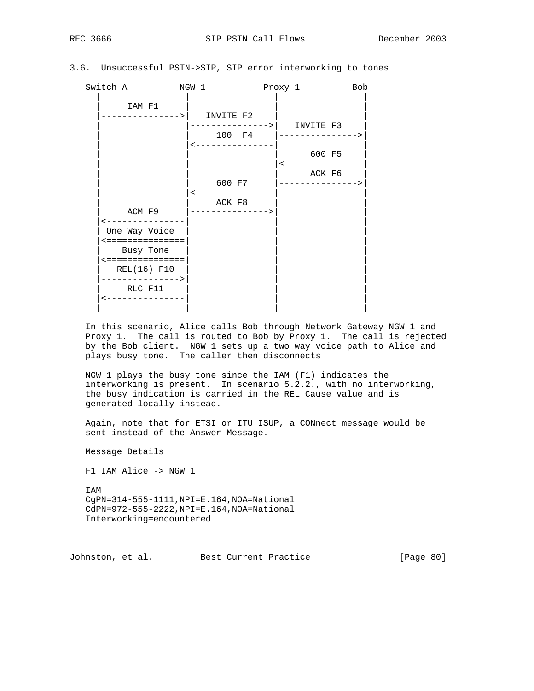## 3.6. Unsuccessful PSTN->SIP, SIP error interworking to tones

| Switch A                                                                                                        | NGW 1                               | Proxy 1                                              | <b>Bob</b> |
|-----------------------------------------------------------------------------------------------------------------|-------------------------------------|------------------------------------------------------|------------|
| IAM F1<br>---------->                                                                                           | INVITE F2                           | ------------->  INVITE F3<br>_____________<br>100 F4 |            |
|                                                                                                                 |                                     | 600 F5                                               |            |
| ACM F9                                                                                                          | 600 F7<br>ACK F8<br>--------------> | ACK F6<br>---------------                            |            |
| One Way Voice<br><===============<br>Busy Tone<br><===============<br>REL(16) F10<br>--------------><br>RLC F11 |                                     |                                                      |            |

 In this scenario, Alice calls Bob through Network Gateway NGW 1 and Proxy 1. The call is routed to Bob by Proxy 1. The call is rejected by the Bob client. NGW 1 sets up a two way voice path to Alice and plays busy tone. The caller then disconnects

 NGW 1 plays the busy tone since the IAM (F1) indicates the interworking is present. In scenario 5.2.2., with no interworking, the busy indication is carried in the REL Cause value and is generated locally instead.

 Again, note that for ETSI or ITU ISUP, a CONnect message would be sent instead of the Answer Message.

Message Details

F1 IAM Alice -> NGW 1

 IAM CgPN=314-555-1111,NPI=E.164,NOA=National CdPN=972-555-2222,NPI=E.164,NOA=National Interworking=encountered

Johnston, et al. Best Current Practice [Page 80]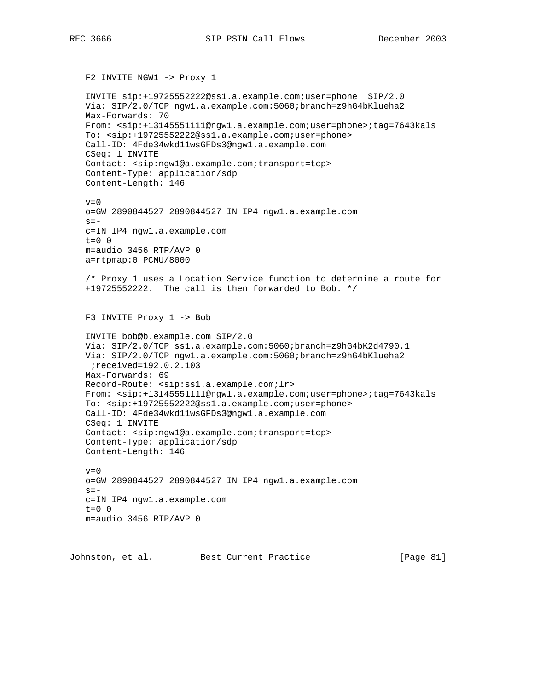```
 INVITE sip:+19725552222@ss1.a.example.com;user=phone SIP/2.0
 Via: SIP/2.0/TCP ngw1.a.example.com:5060;branch=z9hG4bKlueha2
 Max-Forwards: 70
 From: <sip:+13145551111@ngw1.a.example.com;user=phone>;tag=7643kals
 To: <sip:+19725552222@ss1.a.example.com;user=phone>
 Call-ID: 4Fde34wkd11wsGFDs3@ngw1.a.example.com
 CSeq: 1 INVITE
 Contact: <sip:ngw1@a.example.com;transport=tcp>
 Content-Type: application/sdp
 Content-Length: 146
v=0 o=GW 2890844527 2890844527 IN IP4 ngw1.a.example.com
s = - c=IN IP4 ngw1.a.example.com
t=0 0
 m=audio 3456 RTP/AVP 0
 a=rtpmap:0 PCMU/8000
 /* Proxy 1 uses a Location Service function to determine a route for
 +19725552222. The call is then forwarded to Bob. */
 F3 INVITE Proxy 1 -> Bob
 INVITE bob@b.example.com SIP/2.0
 Via: SIP/2.0/TCP ss1.a.example.com:5060;branch=z9hG4bK2d4790.1
 Via: SIP/2.0/TCP ngw1.a.example.com:5060;branch=z9hG4bKlueha2
 ;received=192.0.2.103
 Max-Forwards: 69
 Record-Route: <sip:ss1.a.example.com;lr>
 From: <sip:+13145551111@ngw1.a.example.com;user=phone>;tag=7643kals
 To: <sip:+19725552222@ss1.a.example.com;user=phone>
 Call-ID: 4Fde34wkd11wsGFDs3@ngw1.a.example.com
 CSeq: 1 INVITE
 Contact: <sip:ngw1@a.example.com;transport=tcp>
 Content-Type: application/sdp
 Content-Length: 146
v=0 o=GW 2890844527 2890844527 IN IP4 ngw1.a.example.com
s=- c=IN IP4 ngw1.a.example.com
 t=0 0
 m=audio 3456 RTP/AVP 0
```
Johnston, et al. Best Current Practice [Page 81]

F2 INVITE NGW1 -> Proxy 1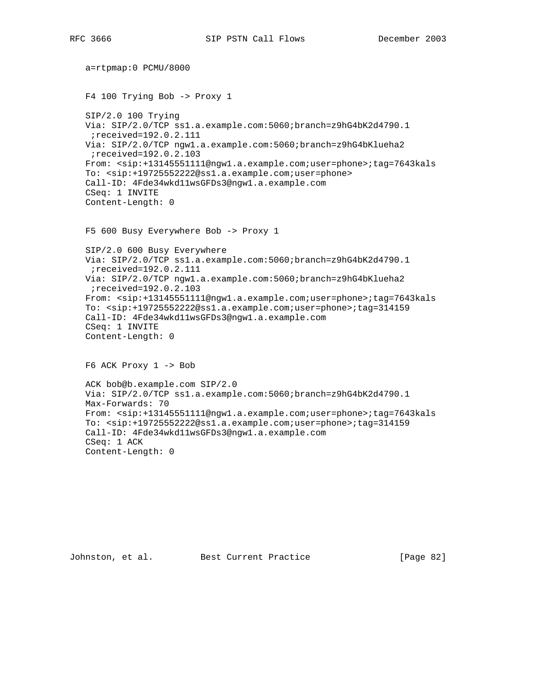```
 a=rtpmap:0 PCMU/8000
 F4 100 Trying Bob -> Proxy 1
 SIP/2.0 100 Trying
 Via: SIP/2.0/TCP ss1.a.example.com:5060;branch=z9hG4bK2d4790.1
 ;received=192.0.2.111
 Via: SIP/2.0/TCP ngw1.a.example.com:5060;branch=z9hG4bKlueha2
 ;received=192.0.2.103
 From: <sip:+13145551111@ngw1.a.example.com;user=phone>;tag=7643kals
 To: <sip:+19725552222@ss1.a.example.com;user=phone>
 Call-ID: 4Fde34wkd11wsGFDs3@ngw1.a.example.com
 CSeq: 1 INVITE
 Content-Length: 0
 F5 600 Busy Everywhere Bob -> Proxy 1
 SIP/2.0 600 Busy Everywhere
 Via: SIP/2.0/TCP ss1.a.example.com:5060;branch=z9hG4bK2d4790.1
 ;received=192.0.2.111
 Via: SIP/2.0/TCP ngw1.a.example.com:5060;branch=z9hG4bKlueha2
 ;received=192.0.2.103
 From: <sip:+13145551111@ngw1.a.example.com;user=phone>;tag=7643kals
 To: <sip:+19725552222@ss1.a.example.com;user=phone>;tag=314159
 Call-ID: 4Fde34wkd11wsGFDs3@ngw1.a.example.com
 CSeq: 1 INVITE
 Content-Length: 0
 F6 ACK Proxy 1 -> Bob
 ACK bob@b.example.com SIP/2.0
 Via: SIP/2.0/TCP ss1.a.example.com:5060;branch=z9hG4bK2d4790.1
 Max-Forwards: 70
 From: <sip:+13145551111@ngw1.a.example.com;user=phone>;tag=7643kals
 To: <sip:+19725552222@ss1.a.example.com;user=phone>;tag=314159
 Call-ID: 4Fde34wkd11wsGFDs3@ngw1.a.example.com
 CSeq: 1 ACK
 Content-Length: 0
```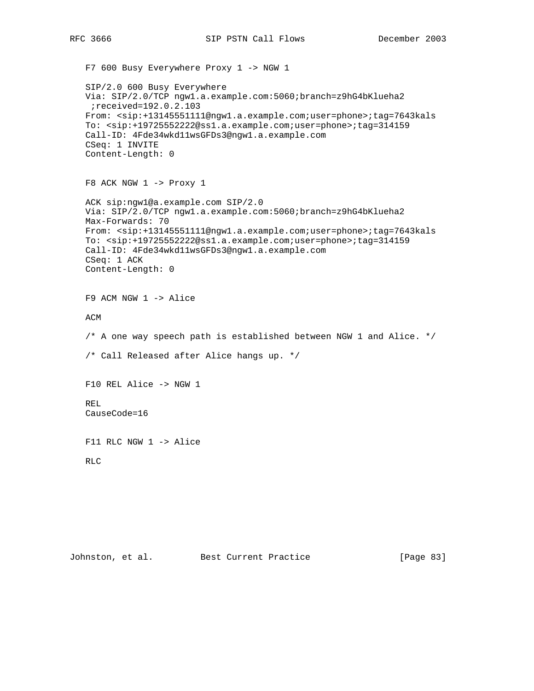```
 F7 600 Busy Everywhere Proxy 1 -> NGW 1
 SIP/2.0 600 Busy Everywhere
 Via: SIP/2.0/TCP ngw1.a.example.com:5060;branch=z9hG4bKlueha2
 ;received=192.0.2.103
 From: <sip:+13145551111@ngw1.a.example.com;user=phone>;tag=7643kals
 To: <sip:+19725552222@ss1.a.example.com;user=phone>;tag=314159
 Call-ID: 4Fde34wkd11wsGFDs3@ngw1.a.example.com
 CSeq: 1 INVITE
 Content-Length: 0
 F8 ACK NGW 1 -> Proxy 1
 ACK sip:ngw1@a.example.com SIP/2.0
 Via: SIP/2.0/TCP ngw1.a.example.com:5060;branch=z9hG4bKlueha2
 Max-Forwards: 70
 From: <sip:+13145551111@ngw1.a.example.com;user=phone>;tag=7643kals
 To: <sip:+19725552222@ss1.a.example.com;user=phone>;tag=314159
 Call-ID: 4Fde34wkd11wsGFDs3@ngw1.a.example.com
 CSeq: 1 ACK
 Content-Length: 0
 F9 ACM NGW 1 -> Alice
 ACM
 /* A one way speech path is established between NGW 1 and Alice. */
 /* Call Released after Alice hangs up. */
 F10 REL Alice -> NGW 1
 REL
 CauseCode=16
 F11 RLC NGW 1 -> Alice
 RLC
```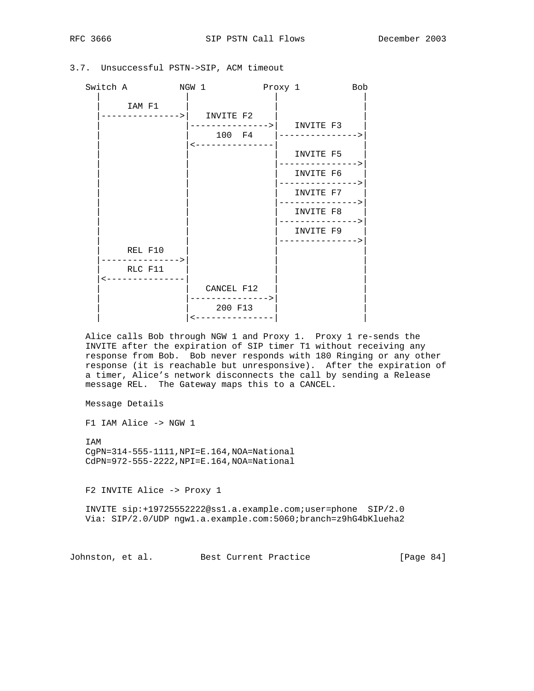| Switch A | NGW 1                 | Proxy 1              | <b>Bob</b>                |
|----------|-----------------------|----------------------|---------------------------|
| IAM F1   | INVITE F2             | --------> <br>100 F4 | INVITE F3                 |
|          |                       |                      | INVITE F5<br>-----------> |
|          |                       |                      | INVITE F6<br>----------   |
|          |                       |                      | INVITE F7<br>---------->  |
|          |                       |                      | INVITE F8<br>-----------> |
|          |                       |                      | INVITE F9                 |
| REL F10  | $-----$               |                      |                           |
| RLC F11  |                       |                      |                           |
|          | CANCEL F12<br>200 F13 |                      |                           |

## 3.7. Unsuccessful PSTN->SIP, ACM timeout

 Alice calls Bob through NGW 1 and Proxy 1. Proxy 1 re-sends the INVITE after the expiration of SIP timer T1 without receiving any response from Bob. Bob never responds with 180 Ringing or any other response (it is reachable but unresponsive). After the expiration of a timer, Alice's network disconnects the call by sending a Release message REL. The Gateway maps this to a CANCEL.

Message Details

F1 IAM Alice -> NGW 1

 IAM CgPN=314-555-1111,NPI=E.164,NOA=National CdPN=972-555-2222,NPI=E.164,NOA=National

F2 INVITE Alice -> Proxy 1

 INVITE sip:+19725552222@ss1.a.example.com;user=phone SIP/2.0 Via: SIP/2.0/UDP ngw1.a.example.com:5060;branch=z9hG4bKlueha2

Johnston, et al. Best Current Practice [Page 84]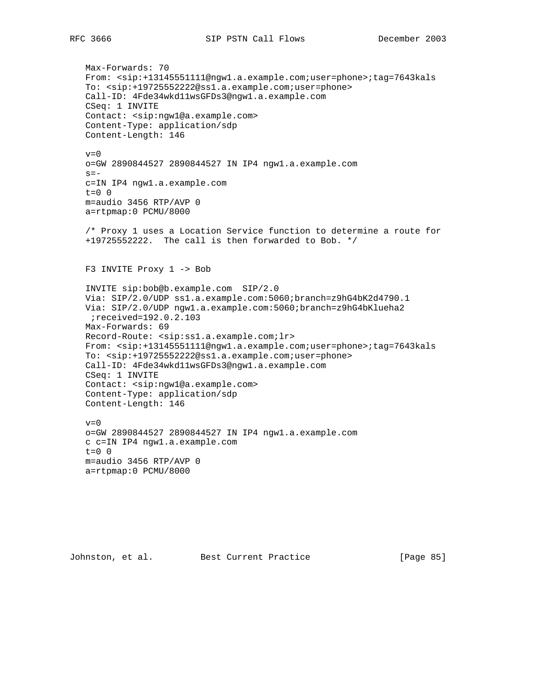Max-Forwards: 70 From: <sip:+13145551111@ngw1.a.example.com;user=phone>;tag=7643kals To: <sip:+19725552222@ss1.a.example.com;user=phone> Call-ID: 4Fde34wkd11wsGFDs3@ngw1.a.example.com CSeq: 1 INVITE Contact: <sip:ngw1@a.example.com> Content-Type: application/sdp Content-Length: 146  $v=0$  o=GW 2890844527 2890844527 IN IP4 ngw1.a.example.com  $s=$  c=IN IP4 ngw1.a.example.com t=0 0 m=audio 3456 RTP/AVP 0 a=rtpmap:0 PCMU/8000 /\* Proxy 1 uses a Location Service function to determine a route for +19725552222. The call is then forwarded to Bob. \*/ F3 INVITE Proxy 1 -> Bob INVITE sip:bob@b.example.com SIP/2.0 Via: SIP/2.0/UDP ss1.a.example.com:5060;branch=z9hG4bK2d4790.1 Via: SIP/2.0/UDP ngw1.a.example.com:5060;branch=z9hG4bKlueha2 ;received=192.0.2.103 Max-Forwards: 69 Record-Route: <sip:ss1.a.example.com;lr> From: <sip:+13145551111@ngw1.a.example.com;user=phone>;tag=7643kals To: <sip:+19725552222@ss1.a.example.com;user=phone> Call-ID: 4Fde34wkd11wsGFDs3@ngw1.a.example.com CSeq: 1 INVITE Contact: <sip:ngw1@a.example.com> Content-Type: application/sdp Content-Length: 146  $v=0$  o=GW 2890844527 2890844527 IN IP4 ngw1.a.example.com c c=IN IP4 ngw1.a.example.com  $t=0$  0 m=audio 3456 RTP/AVP 0 a=rtpmap:0 PCMU/8000

Johnston, et al. Best Current Practice [Page 85]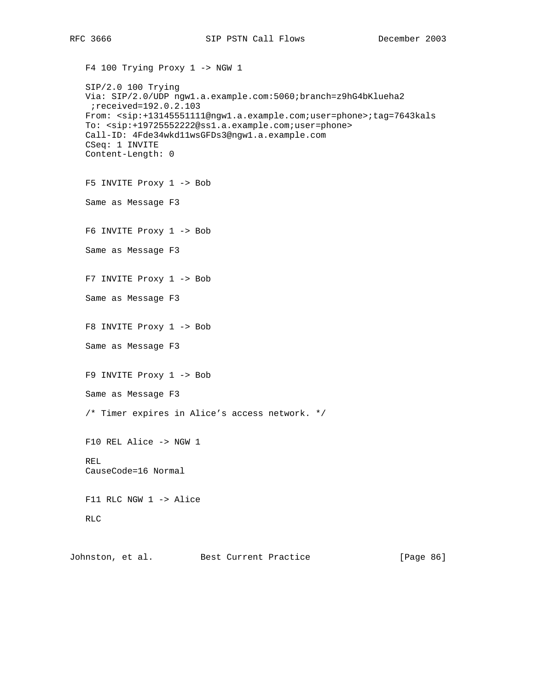F4 100 Trying Proxy 1 -> NGW 1

```
 SIP/2.0 100 Trying
 Via: SIP/2.0/UDP ngw1.a.example.com:5060;branch=z9hG4bKlueha2
 ;received=192.0.2.103
 From: <sip:+13145551111@ngw1.a.example.com;user=phone>;tag=7643kals
 To: <sip:+19725552222@ss1.a.example.com;user=phone>
 Call-ID: 4Fde34wkd11wsGFDs3@ngw1.a.example.com
 CSeq: 1 INVITE
 Content-Length: 0
 F5 INVITE Proxy 1 -> Bob
 Same as Message F3
 F6 INVITE Proxy 1 -> Bob
 Same as Message F3
```
F7 INVITE Proxy 1 -> Bob

Same as Message F3

F8 INVITE Proxy 1 -> Bob

Same as Message F3

F9 INVITE Proxy 1 -> Bob

Same as Message F3

/\* Timer expires in Alice's access network. \*/

 F10 REL Alice -> NGW 1 REL CauseCode=16 Normal

F11 RLC NGW 1 -> Alice

RLC

Johnston, et al. Best Current Practice [Page 86]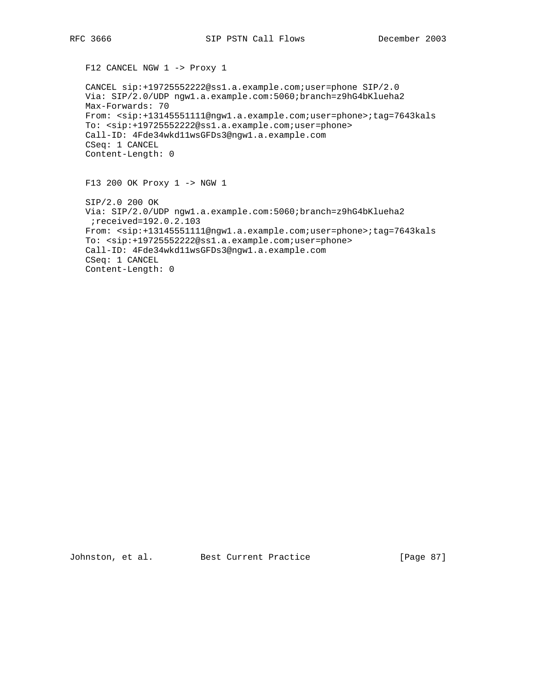F12 CANCEL NGW 1 -> Proxy 1

 CANCEL sip:+19725552222@ss1.a.example.com;user=phone SIP/2.0 Via: SIP/2.0/UDP ngw1.a.example.com:5060;branch=z9hG4bKlueha2 Max-Forwards: 70 From: <sip:+13145551111@ngw1.a.example.com;user=phone>;tag=7643kals To: <sip:+19725552222@ss1.a.example.com;user=phone> Call-ID: 4Fde34wkd11wsGFDs3@ngw1.a.example.com CSeq: 1 CANCEL Content-Length: 0

F13 200 OK Proxy 1 -> NGW 1

 SIP/2.0 200 OK Via: SIP/2.0/UDP ngw1.a.example.com:5060;branch=z9hG4bKlueha2 ;received=192.0.2.103 From: <sip:+13145551111@ngw1.a.example.com;user=phone>;tag=7643kals To: <sip:+19725552222@ss1.a.example.com;user=phone> Call-ID: 4Fde34wkd11wsGFDs3@ngw1.a.example.com CSeq: 1 CANCEL Content-Length: 0

Johnston, et al. Best Current Practice [Page 87]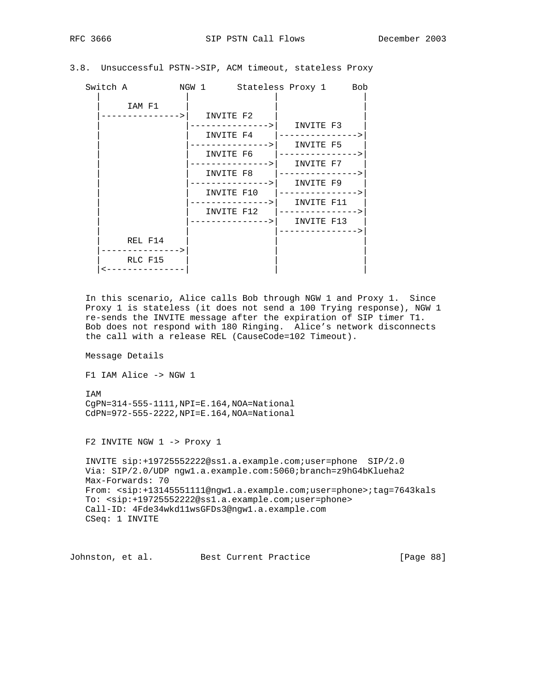|  | 3.8. Unsuccessful PSTN->SIP, ACM timeout, stateless Proxy |  |  |  |  |  |
|--|-----------------------------------------------------------|--|--|--|--|--|
|--|-----------------------------------------------------------|--|--|--|--|--|

| <b>TA7</b> | n<br>∼. |
|------------|---------|

| Switch A                           |           | NGW 1 Stateless Proxy 1 Bob                                                                                                                                                                                                                                                                                                |  |
|------------------------------------|-----------|----------------------------------------------------------------------------------------------------------------------------------------------------------------------------------------------------------------------------------------------------------------------------------------------------------------------------|--|
| IAM F1<br>------------->           | INVITE F2 | ------------->  INVITE F3<br>INVITE F4  ---------------><br>-------------->    INVITE F5<br>INVITE $F6$  ---------------><br>--------------->  INVITE F7<br>-------------->    INVITE F9<br>INVITE F10  ---------------><br>-------------->    INVITE F11<br>INVITE F12  ---------------><br>-------------->    INVITE F13 |  |
| REL F14<br>-----------><br>RLC F15 |           |                                                                                                                                                                                                                                                                                                                            |  |

 In this scenario, Alice calls Bob through NGW 1 and Proxy 1. Since Proxy 1 is stateless (it does not send a 100 Trying response), NGW 1 re-sends the INVITE message after the expiration of SIP timer T1. Bob does not respond with 180 Ringing. Alice's network disconnects the call with a release REL (CauseCode=102 Timeout).

Message Details

F1 IAM Alice -> NGW 1

 IAM CgPN=314-555-1111,NPI=E.164,NOA=National CdPN=972-555-2222,NPI=E.164,NOA=National

F2 INVITE NGW 1 -> Proxy 1

```
 INVITE sip:+19725552222@ss1.a.example.com;user=phone SIP/2.0
 Via: SIP/2.0/UDP ngw1.a.example.com:5060;branch=z9hG4bKlueha2
 Max-Forwards: 70
 From: <sip:+13145551111@ngw1.a.example.com;user=phone>;tag=7643kals
 To: <sip:+19725552222@ss1.a.example.com;user=phone>
 Call-ID: 4Fde34wkd11wsGFDs3@ngw1.a.example.com
 CSeq: 1 INVITE
```
Johnston, et al. Best Current Practice [Page 88]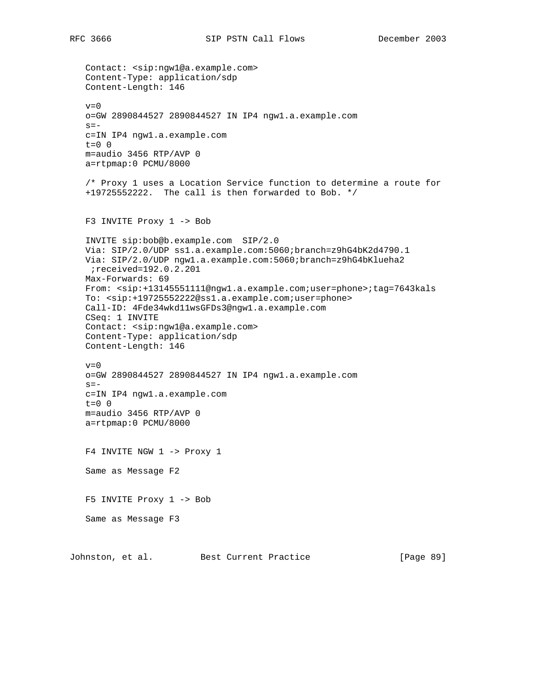Contact: <sip:ngw1@a.example.com> Content-Type: application/sdp Content-Length: 146  $v=0$  o=GW 2890844527 2890844527 IN IP4 ngw1.a.example.com  $s =$  c=IN IP4 ngw1.a.example.com  $t=0$  0 m=audio 3456 RTP/AVP 0 a=rtpmap:0 PCMU/8000 /\* Proxy 1 uses a Location Service function to determine a route for +19725552222. The call is then forwarded to Bob. \*/ F3 INVITE Proxy 1 -> Bob INVITE sip:bob@b.example.com SIP/2.0 Via: SIP/2.0/UDP ss1.a.example.com:5060;branch=z9hG4bK2d4790.1 Via: SIP/2.0/UDP ngw1.a.example.com:5060;branch=z9hG4bKlueha2 ;received=192.0.2.201 Max-Forwards: 69 From: <sip:+13145551111@ngw1.a.example.com;user=phone>;tag=7643kals To: <sip:+19725552222@ss1.a.example.com;user=phone> Call-ID: 4Fde34wkd11wsGFDs3@ngw1.a.example.com CSeq: 1 INVITE Contact: <sip:ngw1@a.example.com> Content-Type: application/sdp Content-Length: 146  $v=0$  o=GW 2890844527 2890844527 IN IP4 ngw1.a.example.com  $s=$  c=IN IP4 ngw1.a.example.com  $t=0$  0 m=audio 3456 RTP/AVP 0 a=rtpmap:0 PCMU/8000 F4 INVITE NGW 1 -> Proxy 1 Same as Message F2 F5 INVITE Proxy 1 -> Bob Same as Message F3 Johnston, et al. Best Current Practice [Page 89]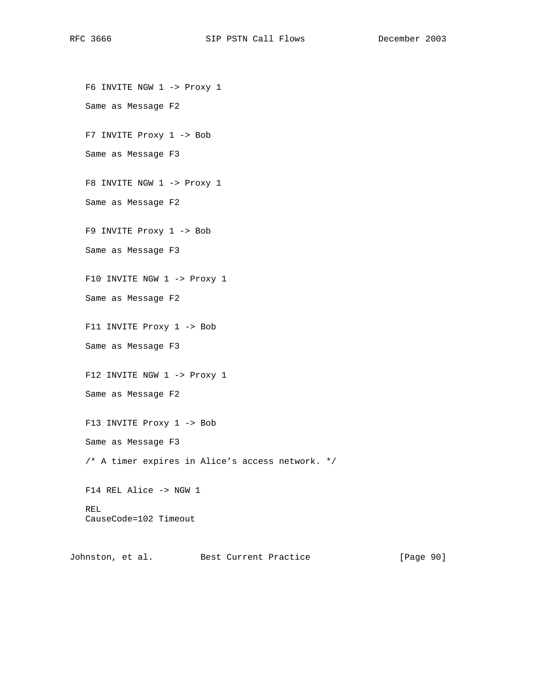F6 INVITE NGW 1 -> Proxy 1 Same as Message F2 F7 INVITE Proxy 1 -> Bob Same as Message F3 F8 INVITE NGW 1 -> Proxy 1 Same as Message F2 F9 INVITE Proxy 1 -> Bob Same as Message F3 F10 INVITE NGW 1 -> Proxy 1 Same as Message F2 F11 INVITE Proxy 1 -> Bob Same as Message F3 F12 INVITE NGW 1 -> Proxy 1 Same as Message F2 F13 INVITE Proxy 1 -> Bob Same as Message F3 /\* A timer expires in Alice's access network. \*/ F14 REL Alice -> NGW 1 REL CauseCode=102 Timeout

Johnston, et al. Best Current Practice [Page 90]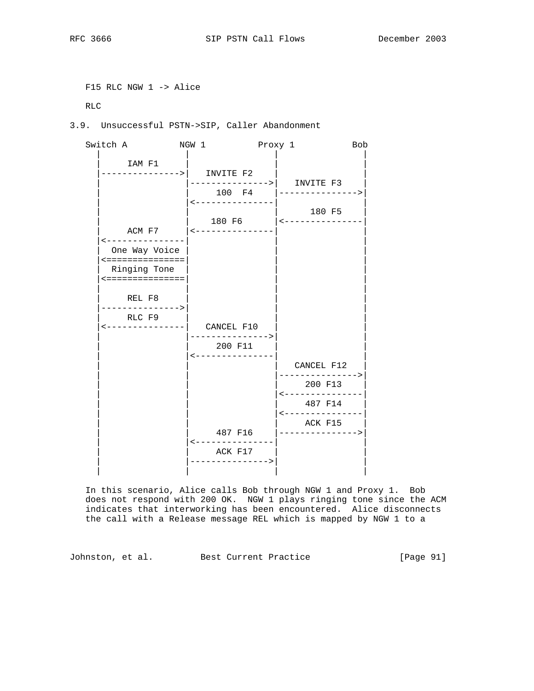```
 F15 RLC NGW 1 -> Alice
```
RLC

3.9. Unsuccessful PSTN->SIP, Caller Abandonment



 In this scenario, Alice calls Bob through NGW 1 and Proxy 1. Bob does not respond with 200 OK. NGW 1 plays ringing tone since the ACM indicates that interworking has been encountered. Alice disconnects the call with a Release message REL which is mapped by NGW 1 to a

Johnston, et al. Best Current Practice [Page 91]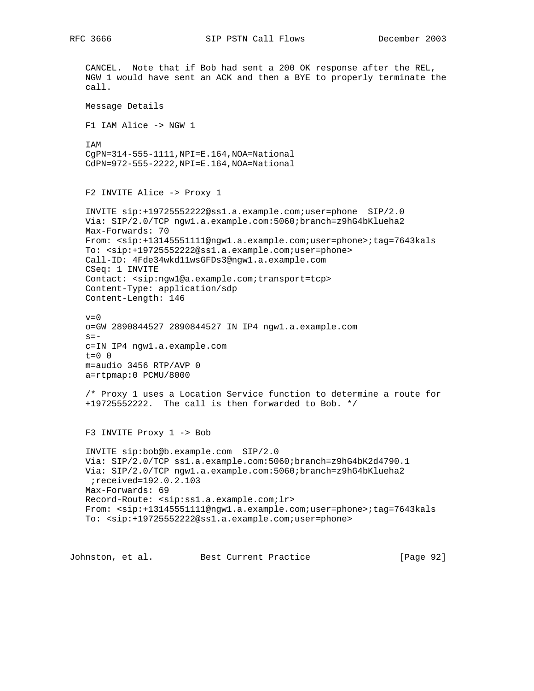CANCEL. Note that if Bob had sent a 200 OK response after the REL, NGW 1 would have sent an ACK and then a BYE to properly terminate the call. Message Details F1 IAM Alice -> NGW 1 IAM CgPN=314-555-1111,NPI=E.164,NOA=National CdPN=972-555-2222,NPI=E.164,NOA=National F2 INVITE Alice -> Proxy 1 INVITE sip:+19725552222@ss1.a.example.com;user=phone SIP/2.0 Via: SIP/2.0/TCP ngw1.a.example.com:5060;branch=z9hG4bKlueha2 Max-Forwards: 70 From: <sip:+13145551111@ngw1.a.example.com;user=phone>;tag=7643kals To: <sip:+19725552222@ss1.a.example.com;user=phone> Call-ID: 4Fde34wkd11wsGFDs3@ngw1.a.example.com CSeq: 1 INVITE Contact: <sip:ngw1@a.example.com;transport=tcp> Content-Type: application/sdp Content-Length: 146  $v=0$  o=GW 2890844527 2890844527 IN IP4 ngw1.a.example.com  $s=$  c=IN IP4 ngw1.a.example.com  $t=0$  0 m=audio 3456 RTP/AVP 0 a=rtpmap:0 PCMU/8000 /\* Proxy 1 uses a Location Service function to determine a route for +19725552222. The call is then forwarded to Bob. \*/ F3 INVITE Proxy 1 -> Bob INVITE sip:bob@b.example.com SIP/2.0 Via: SIP/2.0/TCP ss1.a.example.com:5060;branch=z9hG4bK2d4790.1 Via: SIP/2.0/TCP ngw1.a.example.com:5060;branch=z9hG4bKlueha2 ;received=192.0.2.103 Max-Forwards: 69 Record-Route: <sip:ss1.a.example.com;lr> From: <sip:+13145551111@ngw1.a.example.com;user=phone>;tag=7643kals To: <sip:+19725552222@ss1.a.example.com;user=phone>

Johnston, et al. Best Current Practice [Page 92]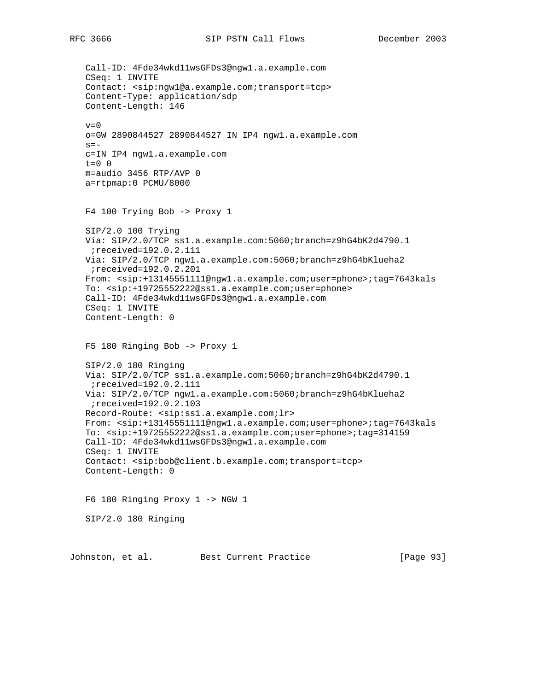Call-ID: 4Fde34wkd11wsGFDs3@ngw1.a.example.com CSeq: 1 INVITE Contact: <sip:ngw1@a.example.com;transport=tcp> Content-Type: application/sdp Content-Length: 146  $v=0$  o=GW 2890844527 2890844527 IN IP4 ngw1.a.example.com  $s=$  c=IN IP4 ngw1.a.example.com t=0 0 m=audio 3456 RTP/AVP 0 a=rtpmap:0 PCMU/8000 F4 100 Trying Bob -> Proxy 1 SIP/2.0 100 Trying Via: SIP/2.0/TCP ss1.a.example.com:5060;branch=z9hG4bK2d4790.1 ;received=192.0.2.111 Via: SIP/2.0/TCP ngw1.a.example.com:5060;branch=z9hG4bKlueha2 ;received=192.0.2.201 From: <sip:+13145551111@ngw1.a.example.com;user=phone>;tag=7643kals To: <sip:+19725552222@ss1.a.example.com;user=phone> Call-ID: 4Fde34wkd11wsGFDs3@ngw1.a.example.com CSeq: 1 INVITE Content-Length: 0 F5 180 Ringing Bob -> Proxy 1 SIP/2.0 180 Ringing Via: SIP/2.0/TCP ss1.a.example.com:5060;branch=z9hG4bK2d4790.1 ;received=192.0.2.111 Via: SIP/2.0/TCP ngw1.a.example.com:5060;branch=z9hG4bKlueha2 ;received=192.0.2.103 Record-Route: <sip:ss1.a.example.com;lr> From: <sip:+13145551111@ngw1.a.example.com;user=phone>;tag=7643kals To: <sip:+19725552222@ss1.a.example.com;user=phone>;tag=314159 Call-ID: 4Fde34wkd11wsGFDs3@ngw1.a.example.com CSeq: 1 INVITE Contact: <sip:bob@client.b.example.com;transport=tcp> Content-Length: 0 F6 180 Ringing Proxy 1 -> NGW 1 SIP/2.0 180 Ringing

Johnston, et al. Best Current Practice [Page 93]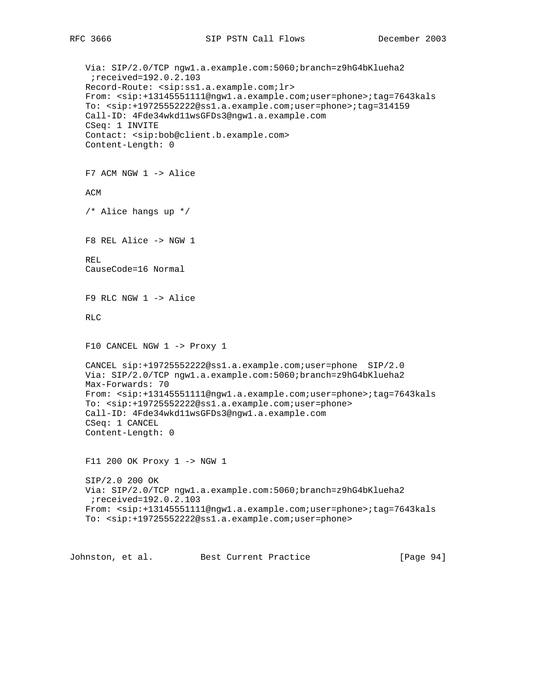```
 Via: SIP/2.0/TCP ngw1.a.example.com:5060;branch=z9hG4bKlueha2
  ;received=192.0.2.103
 Record-Route: <sip:ss1.a.example.com;lr>
 From: <sip:+13145551111@ngw1.a.example.com;user=phone>;tag=7643kals
 To: <sip:+19725552222@ss1.a.example.com;user=phone>;tag=314159
 Call-ID: 4Fde34wkd11wsGFDs3@ngw1.a.example.com
 CSeq: 1 INVITE
 Contact: <sip:bob@client.b.example.com>
 Content-Length: 0
 F7 ACM NGW 1 -> Alice
 ACM
 /* Alice hangs up */
 F8 REL Alice -> NGW 1
 REL
 CauseCode=16 Normal
 F9 RLC NGW 1 -> Alice
 RLC
 F10 CANCEL NGW 1 -> Proxy 1
 CANCEL sip:+19725552222@ss1.a.example.com;user=phone SIP/2.0
 Via: SIP/2.0/TCP ngw1.a.example.com:5060;branch=z9hG4bKlueha2
 Max-Forwards: 70
 From: <sip:+13145551111@ngw1.a.example.com;user=phone>;tag=7643kals
 To: <sip:+19725552222@ss1.a.example.com;user=phone>
 Call-ID: 4Fde34wkd11wsGFDs3@ngw1.a.example.com
 CSeq: 1 CANCEL
 Content-Length: 0
 F11 200 OK Proxy 1 -> NGW 1
 SIP/2.0 200 OK
 Via: SIP/2.0/TCP ngw1.a.example.com:5060;branch=z9hG4bKlueha2
 ;received=192.0.2.103
 From: <sip:+13145551111@ngw1.a.example.com;user=phone>;tag=7643kals
 To: <sip:+19725552222@ss1.a.example.com;user=phone>
```
Johnston, et al. Best Current Practice [Page 94]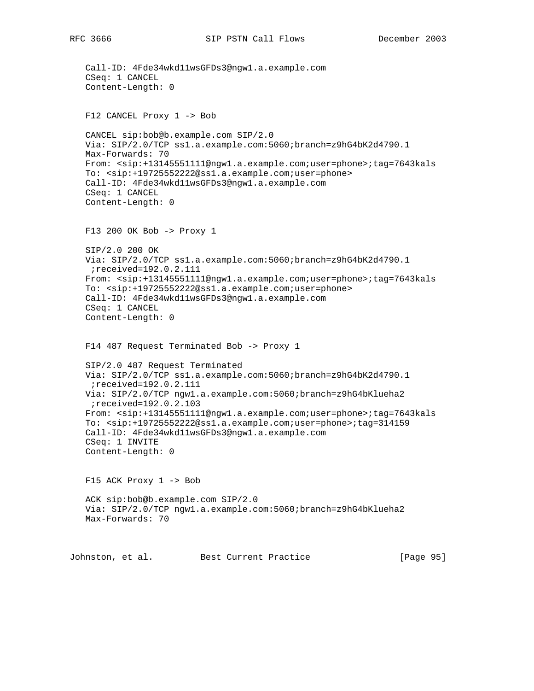Call-ID: 4Fde34wkd11wsGFDs3@ngw1.a.example.com CSeq: 1 CANCEL Content-Length: 0 F12 CANCEL Proxy 1 -> Bob CANCEL sip:bob@b.example.com SIP/2.0 Via: SIP/2.0/TCP ss1.a.example.com:5060;branch=z9hG4bK2d4790.1 Max-Forwards: 70 From: <sip:+13145551111@ngw1.a.example.com;user=phone>;tag=7643kals To: <sip:+19725552222@ss1.a.example.com;user=phone> Call-ID: 4Fde34wkd11wsGFDs3@ngw1.a.example.com CSeq: 1 CANCEL Content-Length: 0 F13 200 OK Bob -> Proxy 1 SIP/2.0 200 OK Via: SIP/2.0/TCP ss1.a.example.com:5060;branch=z9hG4bK2d4790.1 ;received=192.0.2.111 From: <sip:+13145551111@ngw1.a.example.com;user=phone>;tag=7643kals To: <sip:+19725552222@ss1.a.example.com;user=phone> Call-ID: 4Fde34wkd11wsGFDs3@ngw1.a.example.com CSeq: 1 CANCEL Content-Length: 0 F14 487 Request Terminated Bob -> Proxy 1 SIP/2.0 487 Request Terminated Via: SIP/2.0/TCP ss1.a.example.com:5060;branch=z9hG4bK2d4790.1 ;received=192.0.2.111 Via: SIP/2.0/TCP ngw1.a.example.com:5060;branch=z9hG4bKlueha2 ;received=192.0.2.103 From: <sip:+13145551111@ngw1.a.example.com;user=phone>;tag=7643kals To: <sip:+19725552222@ss1.a.example.com;user=phone>;tag=314159 Call-ID: 4Fde34wkd11wsGFDs3@ngw1.a.example.com CSeq: 1 INVITE Content-Length: 0 F15 ACK Proxy 1 -> Bob ACK sip:bob@b.example.com SIP/2.0 Via: SIP/2.0/TCP ngw1.a.example.com:5060;branch=z9hG4bKlueha2 Max-Forwards: 70 Johnston, et al. Best Current Practice [Page 95]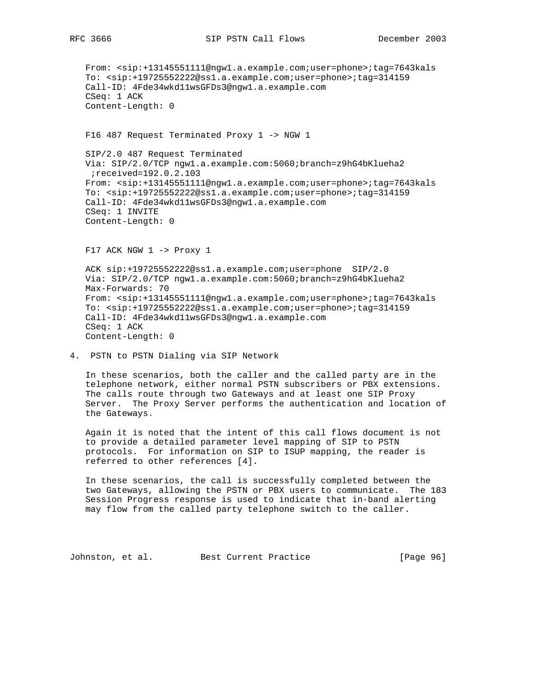From: <sip:+13145551111@ngw1.a.example.com;user=phone>;tag=7643kals To: <sip:+19725552222@ss1.a.example.com;user=phone>;tag=314159 Call-ID: 4Fde34wkd11wsGFDs3@ngw1.a.example.com CSeq: 1 ACK Content-Length: 0 F16 487 Request Terminated Proxy 1 -> NGW 1 SIP/2.0 487 Request Terminated Via: SIP/2.0/TCP ngw1.a.example.com:5060;branch=z9hG4bKlueha2 ;received=192.0.2.103 From: <sip:+13145551111@ngw1.a.example.com;user=phone>;tag=7643kals To: <sip:+19725552222@ss1.a.example.com;user=phone>;tag=314159 Call-ID: 4Fde34wkd11wsGFDs3@ngw1.a.example.com CSeq: 1 INVITE Content-Length: 0  $F17$  ACK NGW  $1$  -> Proxy  $1$  ACK sip:+19725552222@ss1.a.example.com;user=phone SIP/2.0 Via: SIP/2.0/TCP ngw1.a.example.com:5060;branch=z9hG4bKlueha2 Max-Forwards: 70 From: <sip:+13145551111@ngw1.a.example.com;user=phone>;tag=7643kals To: <sip:+19725552222@ss1.a.example.com;user=phone>;tag=314159

 Call-ID: 4Fde34wkd11wsGFDs3@ngw1.a.example.com CSeq: 1 ACK Content-Length: 0

4. PSTN to PSTN Dialing via SIP Network

 In these scenarios, both the caller and the called party are in the telephone network, either normal PSTN subscribers or PBX extensions. The calls route through two Gateways and at least one SIP Proxy Server. The Proxy Server performs the authentication and location of the Gateways.

 Again it is noted that the intent of this call flows document is not to provide a detailed parameter level mapping of SIP to PSTN protocols. For information on SIP to ISUP mapping, the reader is referred to other references [4].

 In these scenarios, the call is successfully completed between the two Gateways, allowing the PSTN or PBX users to communicate. The 183 Session Progress response is used to indicate that in-band alerting may flow from the called party telephone switch to the caller.

Johnston, et al. Best Current Practice [Page 96]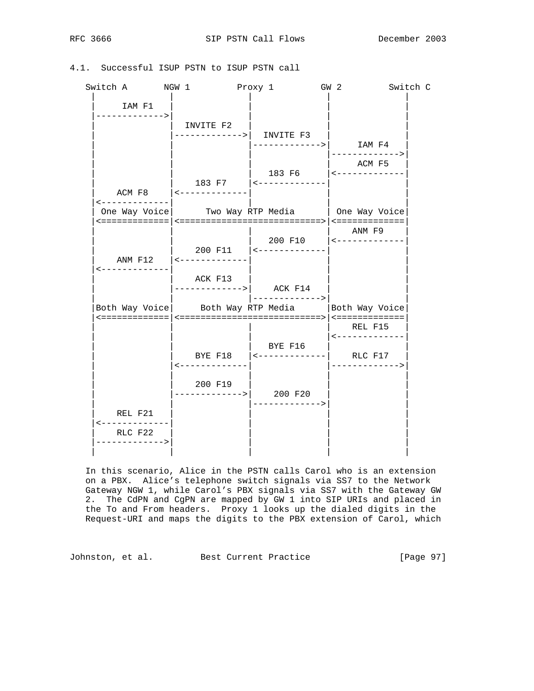|  |  | 4.1. Successful ISUP PSTN to ISUP PSTN call |  |  |  |  |  |  |
|--|--|---------------------------------------------|--|--|--|--|--|--|
|--|--|---------------------------------------------|--|--|--|--|--|--|

| Switch A NGW 1                         | Proxy 1                                           | GW 2                                               |                                                   | Switch C |
|----------------------------------------|---------------------------------------------------|----------------------------------------------------|---------------------------------------------------|----------|
| IAM F1<br>------------>                | INVITE F2                                         |                                                    |                                                   |          |
|                                        |                                                   | ----------->   INVITE F3                           | ------------>  IAM F4<br>------------->           |          |
|                                        |                                                   |                                                    | ACM F5                                            |          |
|                                        | ACM F8 $ $ <-------------                         | 183 F7   <-------------                            |                                                   |          |
| -------------                          | One Way Voice   Two Way RTP Media   One Way Voice |                                                    |                                                   |          |
|                                        |                                                   | 200 F11 $ $ <-------------                         | ANM F9<br>200 F10  <-------------                 |          |
| $\leftarrow$ - - - - - - - - - - - - - | ACK F13<br>$--------->  $ ACK F14                 | ------------->                                     |                                                   |          |
|                                        | Both Way Voice Both Way RTP Media                 |                                                    | Both Way Voice                                    |          |
|                                        |                                                   |                                                    | REL F15<br>$\leftarrow$ - - - - - - - - - - - - - |          |
|                                        | <-------------                                    | BYE F16<br>BYE F18 $ $ <-------------- $ $ RLC F17 | ------------->                                    |          |
|                                        | 200 F19                                           | --------->  200 F20                                |                                                   |          |
| REL F21<br><-------------              |                                                   |                                                    |                                                   |          |
| RLC F22<br>------------->              |                                                   |                                                    |                                                   |          |

 In this scenario, Alice in the PSTN calls Carol who is an extension on a PBX. Alice's telephone switch signals via SS7 to the Network Gateway NGW 1, while Carol's PBX signals via SS7 with the Gateway GW 2. The CdPN and CgPN are mapped by GW 1 into SIP URIs and placed in the To and From headers. Proxy 1 looks up the dialed digits in the Request-URI and maps the digits to the PBX extension of Carol, which

Johnston, et al. Best Current Practice [Page 97]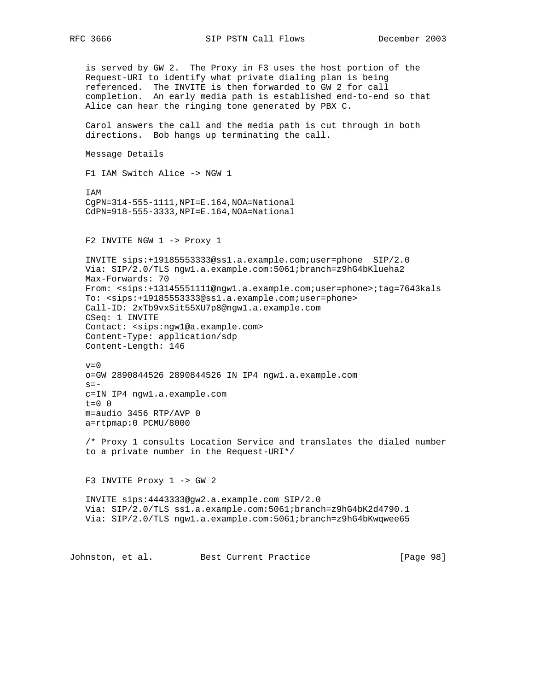RFC 3666 SIP PSTN Call Flows December 2003

 is served by GW 2. The Proxy in F3 uses the host portion of the Request-URI to identify what private dialing plan is being referenced. The INVITE is then forwarded to GW 2 for call completion. An early media path is established end-to-end so that Alice can hear the ringing tone generated by PBX C. Carol answers the call and the media path is cut through in both directions. Bob hangs up terminating the call. Message Details F1 IAM Switch Alice -> NGW 1 IAM CgPN=314-555-1111,NPI=E.164,NOA=National CdPN=918-555-3333,NPI=E.164,NOA=National F2 INVITE NGW 1 -> Proxy 1 INVITE sips:+19185553333@ss1.a.example.com;user=phone SIP/2.0 Via: SIP/2.0/TLS ngw1.a.example.com:5061;branch=z9hG4bKlueha2 Max-Forwards: 70 From: <sips:+13145551111@ngw1.a.example.com;user=phone>;tag=7643kals To: <sips:+19185553333@ss1.a.example.com;user=phone> Call-ID: 2xTb9vxSit55XU7p8@ngw1.a.example.com CSeq: 1 INVITE Contact: <sips:ngw1@a.example.com> Content-Type: application/sdp Content-Length: 146  $v=0$  o=GW 2890844526 2890844526 IN IP4 ngw1.a.example.com  $s=$  c=IN IP4 ngw1.a.example.com  $t=0$  0 m=audio 3456 RTP/AVP 0 a=rtpmap:0 PCMU/8000 /\* Proxy 1 consults Location Service and translates the dialed number to a private number in the Request-URI\*/ F3 INVITE Proxy 1 -> GW 2 INVITE sips:4443333@gw2.a.example.com SIP/2.0 Via: SIP/2.0/TLS ss1.a.example.com:5061;branch=z9hG4bK2d4790.1 Via: SIP/2.0/TLS ngw1.a.example.com:5061;branch=z9hG4bKwqwee65

Johnston, et al. Best Current Practice [Page 98]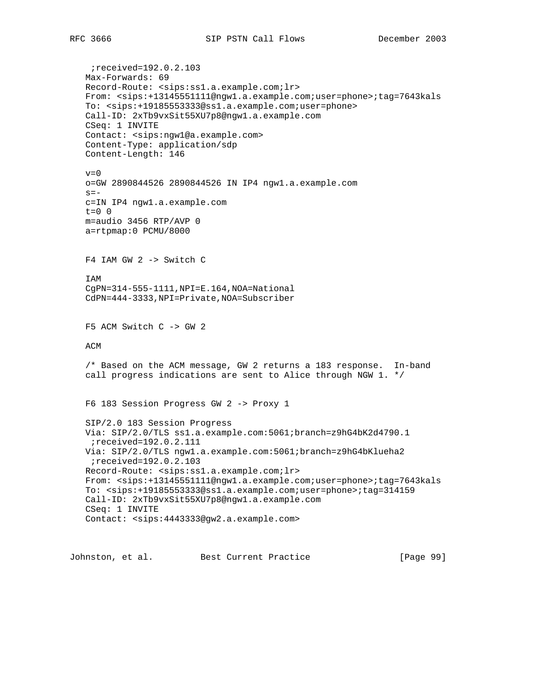;received=192.0.2.103 Max-Forwards: 69 Record-Route: <sips:ss1.a.example.com;lr> From: <sips:+13145551111@ngw1.a.example.com;user=phone>;tag=7643kals To: <sips:+19185553333@ss1.a.example.com;user=phone> Call-ID: 2xTb9vxSit55XU7p8@ngw1.a.example.com CSeq: 1 INVITE Contact: <sips:ngw1@a.example.com> Content-Type: application/sdp Content-Length: 146  $v=0$  o=GW 2890844526 2890844526 IN IP4 ngw1.a.example.com  $s =$  c=IN IP4 ngw1.a.example.com t=0 0 m=audio 3456 RTP/AVP 0 a=rtpmap:0 PCMU/8000 F4 IAM GW 2 -> Switch C IAM CgPN=314-555-1111,NPI=E.164,NOA=National CdPN=444-3333,NPI=Private,NOA=Subscriber F5 ACM Switch C -> GW 2 ACM /\* Based on the ACM message, GW 2 returns a 183 response. In-band call progress indications are sent to Alice through NGW 1. \*/ F6 183 Session Progress GW 2 -> Proxy 1 SIP/2.0 183 Session Progress Via: SIP/2.0/TLS ss1.a.example.com:5061;branch=z9hG4bK2d4790.1 ;received=192.0.2.111 Via: SIP/2.0/TLS ngw1.a.example.com:5061;branch=z9hG4bKlueha2 ;received=192.0.2.103 Record-Route: <sips:ss1.a.example.com;lr> From: <sips:+13145551111@ngw1.a.example.com;user=phone>;tag=7643kals To: <sips:+19185553333@ss1.a.example.com;user=phone>;tag=314159 Call-ID: 2xTb9vxSit55XU7p8@ngw1.a.example.com CSeq: 1 INVITE Contact: <sips:4443333@gw2.a.example.com>

Johnston, et al. Best Current Practice [Page 99]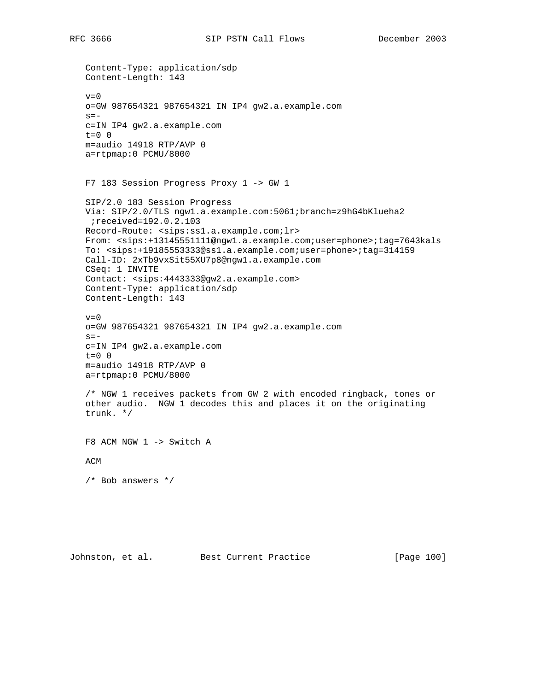Content-Type: application/sdp Content-Length: 143  $v=0$  o=GW 987654321 987654321 IN IP4 gw2.a.example.com  $s=$  c=IN IP4 gw2.a.example.com t=0 0 m=audio 14918 RTP/AVP 0 a=rtpmap:0 PCMU/8000 F7 183 Session Progress Proxy 1 -> GW 1 SIP/2.0 183 Session Progress Via: SIP/2.0/TLS ngw1.a.example.com:5061;branch=z9hG4bKlueha2 ;received=192.0.2.103 Record-Route: <sips:ss1.a.example.com;lr> From: <sips:+13145551111@ngw1.a.example.com;user=phone>;tag=7643kals To: <sips:+19185553333@ss1.a.example.com;user=phone>;tag=314159 Call-ID: 2xTb9vxSit55XU7p8@ngw1.a.example.com CSeq: 1 INVITE Contact: <sips:4443333@gw2.a.example.com> Content-Type: application/sdp Content-Length: 143  $v=0$  o=GW 987654321 987654321 IN IP4 gw2.a.example.com  $s =$  c=IN IP4 gw2.a.example.com  $t=0$  0 m=audio 14918 RTP/AVP 0 a=rtpmap:0 PCMU/8000 /\* NGW 1 receives packets from GW 2 with encoded ringback, tones or other audio. NGW 1 decodes this and places it on the originating trunk. \*/ F8 ACM NGW 1 -> Switch A ACM /\* Bob answers \*/

Johnston, et al. Best Current Practice [Page 100]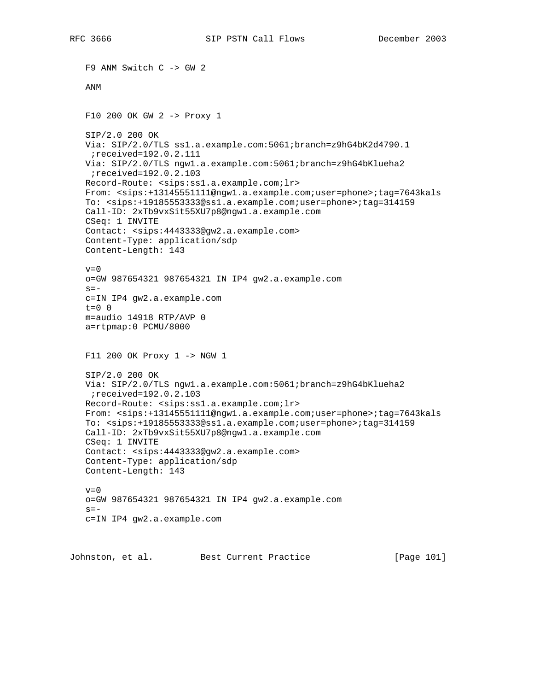F9 ANM Switch C -> GW 2 ANM F10 200 OK GW 2 -> Proxy 1 SIP/2.0 200 OK Via: SIP/2.0/TLS ss1.a.example.com:5061;branch=z9hG4bK2d4790.1 ;received=192.0.2.111 Via: SIP/2.0/TLS ngw1.a.example.com:5061;branch=z9hG4bKlueha2 ;received=192.0.2.103 Record-Route: <sips:ss1.a.example.com;lr> From: <sips:+13145551111@ngw1.a.example.com;user=phone>;tag=7643kals To: <sips:+19185553333@ss1.a.example.com;user=phone>;tag=314159 Call-ID: 2xTb9vxSit55XU7p8@ngw1.a.example.com CSeq: 1 INVITE Contact: <sips:4443333@gw2.a.example.com> Content-Type: application/sdp Content-Length: 143  $v=0$  o=GW 987654321 987654321 IN IP4 gw2.a.example.com  $s=$  c=IN IP4 gw2.a.example.com t=0 0 m=audio 14918 RTP/AVP 0 a=rtpmap:0 PCMU/8000 F11 200 OK Proxy 1 -> NGW 1 SIP/2.0 200 OK Via: SIP/2.0/TLS ngw1.a.example.com:5061;branch=z9hG4bKlueha2 ;received=192.0.2.103 Record-Route: <sips:ss1.a.example.com;lr> From: <sips:+13145551111@ngw1.a.example.com;user=phone>;tag=7643kals To: <sips:+19185553333@ss1.a.example.com;user=phone>;tag=314159 Call-ID: 2xTb9vxSit55XU7p8@ngw1.a.example.com CSeq: 1 INVITE Contact: <sips:4443333@gw2.a.example.com> Content-Type: application/sdp Content-Length: 143  $v=0$  o=GW 987654321 987654321 IN IP4 gw2.a.example.com  $s=$ c=IN IP4 gw2.a.example.com

Johnston, et al. Best Current Practice [Page 101]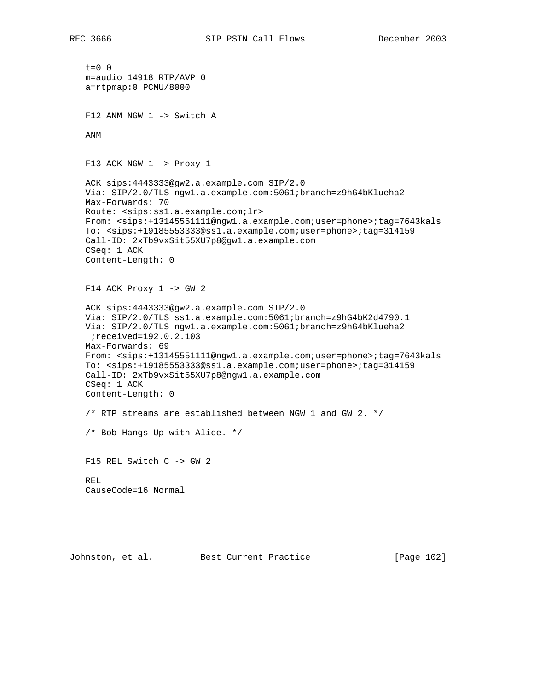$t=0$  0 m=audio 14918 RTP/AVP 0 a=rtpmap:0 PCMU/8000 F12 ANM NGW 1 -> Switch A ANM F13 ACK NGW 1 -> Proxy 1 ACK sips:4443333@gw2.a.example.com SIP/2.0 Via: SIP/2.0/TLS ngw1.a.example.com:5061;branch=z9hG4bKlueha2 Max-Forwards: 70 Route: <sips:ss1.a.example.com;lr> From: <sips:+13145551111@ngw1.a.example.com;user=phone>;tag=7643kals To: <sips:+19185553333@ss1.a.example.com;user=phone>;tag=314159 Call-ID: 2xTb9vxSit55XU7p8@gw1.a.example.com CSeq: 1 ACK Content-Length: 0  $F14$  ACK Proxy  $1 \rightarrow GW 2$  ACK sips:4443333@gw2.a.example.com SIP/2.0 Via: SIP/2.0/TLS ss1.a.example.com:5061;branch=z9hG4bK2d4790.1 Via: SIP/2.0/TLS ngw1.a.example.com:5061;branch=z9hG4bKlueha2 ;received=192.0.2.103 Max-Forwards: 69 From: <sips:+13145551111@ngw1.a.example.com;user=phone>;tag=7643kals To: <sips:+19185553333@ss1.a.example.com;user=phone>;tag=314159 Call-ID: 2xTb9vxSit55XU7p8@ngw1.a.example.com CSeq: 1 ACK Content-Length: 0 /\* RTP streams are established between NGW 1 and GW 2.  $*/$  /\* Bob Hangs Up with Alice. \*/ F15 REL Switch C -> GW 2 REL CauseCode=16 Normal

Johnston, et al. Best Current Practice [Page 102]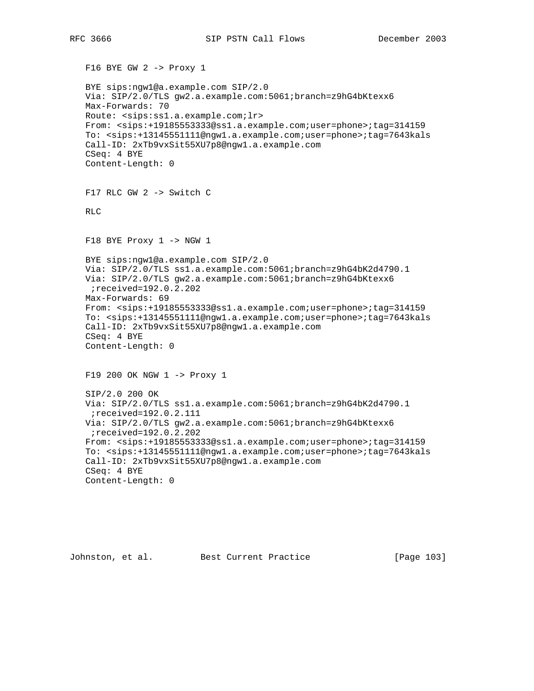F16 BYE GW 2 -> Proxy 1 BYE sips:ngw1@a.example.com SIP/2.0 Via: SIP/2.0/TLS gw2.a.example.com:5061;branch=z9hG4bKtexx6 Max-Forwards: 70 Route: <sips:ss1.a.example.com;lr> From: <sips:+19185553333@ss1.a.example.com;user=phone>;tag=314159 To: <sips:+13145551111@ngw1.a.example.com;user=phone>;tag=7643kals Call-ID: 2xTb9vxSit55XU7p8@ngw1.a.example.com CSeq: 4 BYE Content-Length: 0 F17 RLC GW 2 -> Switch C RLC F18 BYE Proxy 1 -> NGW 1 BYE sips:ngw1@a.example.com SIP/2.0 Via: SIP/2.0/TLS ss1.a.example.com:5061;branch=z9hG4bK2d4790.1 Via: SIP/2.0/TLS gw2.a.example.com:5061;branch=z9hG4bKtexx6 ;received=192.0.2.202 Max-Forwards: 69 From: <sips:+19185553333@ss1.a.example.com;user=phone>;tag=314159 To: <sips:+13145551111@ngw1.a.example.com;user=phone>;tag=7643kals Call-ID: 2xTb9vxSit55XU7p8@ngw1.a.example.com CSeq: 4 BYE Content-Length: 0 F19 200 OK NGW 1 -> Proxy 1 SIP/2.0 200 OK Via: SIP/2.0/TLS ss1.a.example.com:5061;branch=z9hG4bK2d4790.1 ;received=192.0.2.111 Via: SIP/2.0/TLS gw2.a.example.com:5061;branch=z9hG4bKtexx6 ;received=192.0.2.202 From: <sips:+19185553333@ss1.a.example.com;user=phone>;tag=314159 To: <sips:+13145551111@ngw1.a.example.com;user=phone>;tag=7643kals Call-ID: 2xTb9vxSit55XU7p8@ngw1.a.example.com CSeq: 4 BYE Content-Length: 0

Johnston, et al. Best Current Practice [Page 103]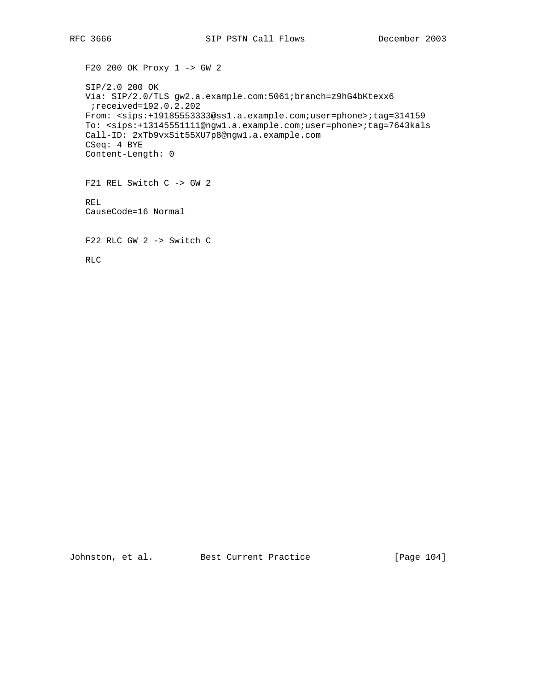F20 200 OK Proxy 1 -> GW 2 SIP/2.0 200 OK Via: SIP/2.0/TLS gw2.a.example.com:5061;branch=z9hG4bKtexx6 ;received=192.0.2.202 From: <sips:+19185553333@ss1.a.example.com;user=phone>;tag=314159 To: <sips:+13145551111@ngw1.a.example.com;user=phone>;tag=7643kals Call-ID: 2xTb9vxSit55XU7p8@ngw1.a.example.com CSeq: 4 BYE Content-Length: 0 F21 REL Switch C -> GW 2 REL CauseCode=16 Normal F22 RLC GW 2 -> Switch C RLC

Johnston, et al. Best Current Practice [Page 104]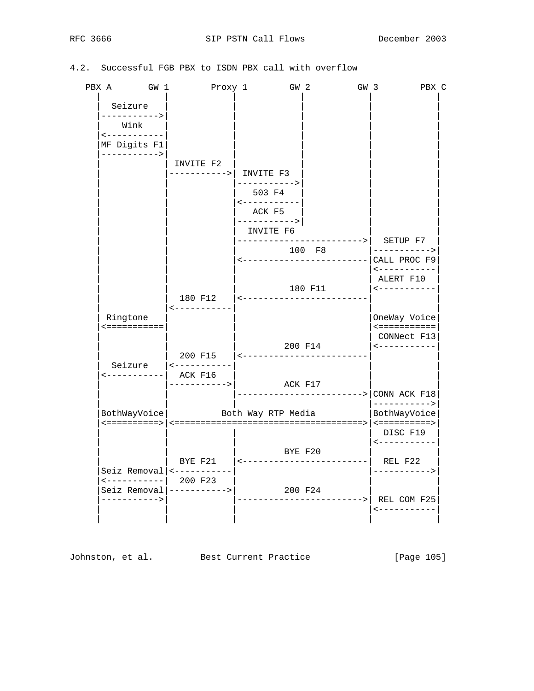## 4.2. Successful FGB PBX to ISDN PBX call with overflow

| PBX A GW 1                                                                            | Proxy 1                           | GW <sub>2</sub>                                              |                                               | GW <sub>3</sub><br>PBX C                                                 |
|---------------------------------------------------------------------------------------|-----------------------------------|--------------------------------------------------------------|-----------------------------------------------|--------------------------------------------------------------------------|
| Seizure<br>-----------><br>Wink<br>$\leftarrow$ - - - - - - - - - - -<br>MF Digits F1 |                                   |                                                              |                                               |                                                                          |
| ----------->                                                                          | INVITE F2                         |                                                              |                                               |                                                                          |
|                                                                                       | ----------->  INVITE F3           |                                                              |                                               |                                                                          |
|                                                                                       |                                   | -----------><br>503 F4<br>$\leftarrow$ - - - - - - - - - - - |                                               |                                                                          |
|                                                                                       |                                   | ACK F5<br>----------->                                       |                                               |                                                                          |
|                                                                                       |                                   | INVITE F6                                                    | ----------------------->                      | SETUP F7                                                                 |
|                                                                                       |                                   |                                                              | 100 F8<br><-------------------------          | -----------><br>CALL PROC F9                                             |
|                                                                                       |                                   |                                                              | 180 F11                                       | $- - - - - - - - - - -$<br>ALERT F10<br>$\leftarrow$ - - - - - - - - - - |
|                                                                                       | <-----------                      | 180 F12   <---------------------                             |                                               |                                                                          |
| Ringtone<br><===========                                                              |                                   |                                                              |                                               | OneWay Voice<br>$\le$ = = = = = = = = = = =<br>CONNect F13               |
|                                                                                       | Seizure $ $ <-----------          |                                                              | 200 F14<br>200 F15  <------------------------ | $\leftarrow$ - - - - - - - - - -                                         |
| <-----------  ACK F16                                                                 | ----------->                      | ACK F17                                                      |                                               |                                                                          |
|                                                                                       |                                   |                                                              |                                               | ---------------------> CONN ACK F18<br>$---------&$                      |
|                                                                                       | BothWayVoice   Both Way RTP Media |                                                              |                                               | BothWayVoice                                                             |
|                                                                                       |                                   |                                                              | BYE F20                                       | DISC F19<br>$- - - - - - - - - - - -$                                    |
|                                                                                       |                                   |                                                              | BYE F21    <------------------------  REL F22 |                                                                          |
|                                                                                       | Seiz Removal $ $ <-----------     |                                                              |                                               | ----------->                                                             |
| ----------->                                                                          | $Seiz$ Removal $ -----$           |                                                              | 200 F24                                       | --------------->  REL COM F25<br><-----------                            |
|                                                                                       |                                   |                                                              |                                               |                                                                          |

Johnston, et al. Best Current Practice [Page 105]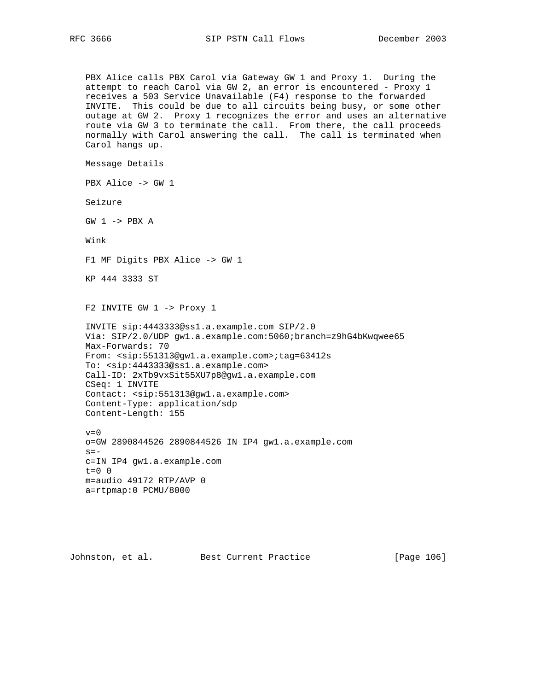PBX Alice calls PBX Carol via Gateway GW 1 and Proxy 1. During the attempt to reach Carol via GW 2, an error is encountered - Proxy 1 receives a 503 Service Unavailable (F4) response to the forwarded INVITE. This could be due to all circuits being busy, or some other outage at GW 2. Proxy 1 recognizes the error and uses an alternative route via GW 3 to terminate the call. From there, the call proceeds normally with Carol answering the call. The call is terminated when Carol hangs up.

Message Details

PBX Alice -> GW 1

Seizure

GW 1 -> PBX A

Wink

F1 MF Digits PBX Alice -> GW 1

KP 444 3333 ST

F2 INVITE GW 1 -> Proxy 1

```
 INVITE sip:4443333@ss1.a.example.com SIP/2.0
 Via: SIP/2.0/UDP gw1.a.example.com:5060;branch=z9hG4bKwqwee65
 Max-Forwards: 70
 From: <sip:551313@gw1.a.example.com>;tag=63412s
 To: <sip:4443333@ss1.a.example.com>
 Call-ID: 2xTb9vxSit55XU7p8@gw1.a.example.com
 CSeq: 1 INVITE
 Contact: <sip:551313@gw1.a.example.com>
 Content-Type: application/sdp
 Content-Length: 155
```
 $v=0$  o=GW 2890844526 2890844526 IN IP4 gw1.a.example.com  $s =$  c=IN IP4 gw1.a.example.com  $t=0$  0 m=audio 49172 RTP/AVP 0 a=rtpmap:0 PCMU/8000

Johnston, et al. Best Current Practice [Page 106]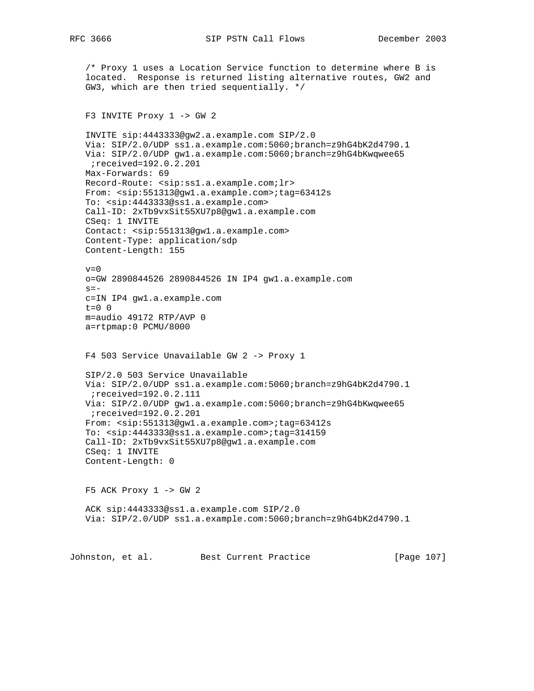/\* Proxy 1 uses a Location Service function to determine where B is located. Response is returned listing alternative routes, GW2 and GW3, which are then tried sequentially. \*/

## F3 INVITE Proxy 1 -> GW 2

 INVITE sip:4443333@gw2.a.example.com SIP/2.0 Via: SIP/2.0/UDP ss1.a.example.com:5060;branch=z9hG4bK2d4790.1 Via: SIP/2.0/UDP gw1.a.example.com:5060;branch=z9hG4bKwqwee65 ;received=192.0.2.201 Max-Forwards: 69 Record-Route: <sip:ss1.a.example.com;lr> From: <sip:551313@gw1.a.example.com>;tag=63412s To: <sip:4443333@ss1.a.example.com> Call-ID: 2xTb9vxSit55XU7p8@gw1.a.example.com CSeq: 1 INVITE Contact: <sip:551313@gw1.a.example.com> Content-Type: application/sdp Content-Length: 155  $v=0$ o=GW 2890844526 2890844526 IN IP4 gw1.a.example.com

 $s=$  c=IN IP4 gw1.a.example.com t=0 0 m=audio 49172 RTP/AVP 0 a=rtpmap:0 PCMU/8000

F4 503 Service Unavailable GW 2 -> Proxy 1

 SIP/2.0 503 Service Unavailable Via: SIP/2.0/UDP ss1.a.example.com:5060;branch=z9hG4bK2d4790.1 ;received=192.0.2.111 Via: SIP/2.0/UDP gw1.a.example.com:5060;branch=z9hG4bKwqwee65 ;received=192.0.2.201 From: <sip:551313@gw1.a.example.com>;tag=63412s To: <sip:4443333@ss1.a.example.com>;tag=314159 Call-ID: 2xTb9vxSit55XU7p8@gw1.a.example.com CSeq: 1 INVITE Content-Length: 0

 $F5$  ACK Proxy  $1 \rightarrow GW 2$ 

 ACK sip:4443333@ss1.a.example.com SIP/2.0 Via: SIP/2.0/UDP ss1.a.example.com:5060;branch=z9hG4bK2d4790.1

Johnston, et al. Best Current Practice [Page 107]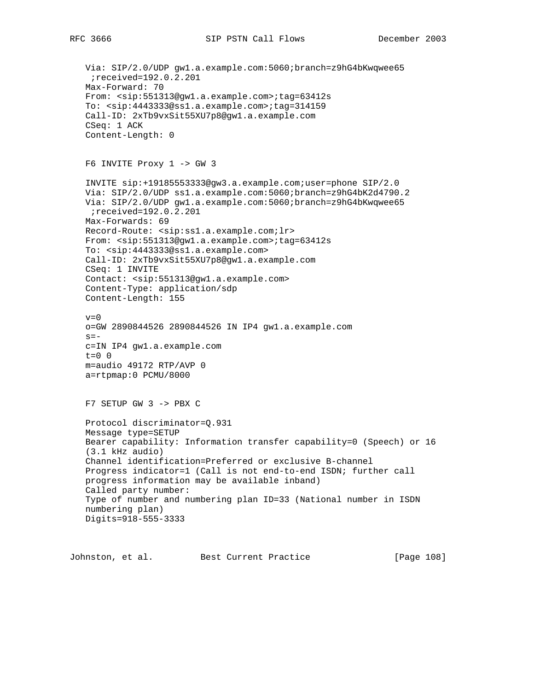Via: SIP/2.0/UDP gw1.a.example.com:5060;branch=z9hG4bKwqwee65 ;received=192.0.2.201 Max-Forward: 70 From: <sip:551313@gw1.a.example.com>;tag=63412s To: <sip:4443333@ss1.a.example.com>;tag=314159 Call-ID: 2xTb9vxSit55XU7p8@gw1.a.example.com CSeq: 1 ACK Content-Length: 0 F6 INVITE Proxy 1 -> GW 3 INVITE sip:+19185553333@gw3.a.example.com;user=phone SIP/2.0 Via: SIP/2.0/UDP ss1.a.example.com:5060;branch=z9hG4bK2d4790.2 Via: SIP/2.0/UDP gw1.a.example.com:5060;branch=z9hG4bKwqwee65 ;received=192.0.2.201 Max-Forwards: 69 Record-Route: <sip:ss1.a.example.com;lr> From: <sip:551313@gw1.a.example.com>;tag=63412s To: <sip:4443333@ss1.a.example.com> Call-ID: 2xTb9vxSit55XU7p8@gw1.a.example.com CSeq: 1 INVITE Contact: <sip:551313@gw1.a.example.com> Content-Type: application/sdp Content-Length: 155  $v=0$  o=GW 2890844526 2890844526 IN IP4 gw1.a.example.com  $s=$  c=IN IP4 gw1.a.example.com  $t=0$  0 m=audio 49172 RTP/AVP 0 a=rtpmap:0 PCMU/8000 F7 SETUP GW 3 -> PBX C Protocol discriminator=Q.931 Message type=SETUP Bearer capability: Information transfer capability=0 (Speech) or 16 (3.1 kHz audio) Channel identification=Preferred or exclusive B-channel Progress indicator=1 (Call is not end-to-end ISDN; further call progress information may be available inband) Called party number: Type of number and numbering plan ID=33 (National number in ISDN numbering plan) Digits=918-555-3333

Johnston, et al. Best Current Practice [Page 108]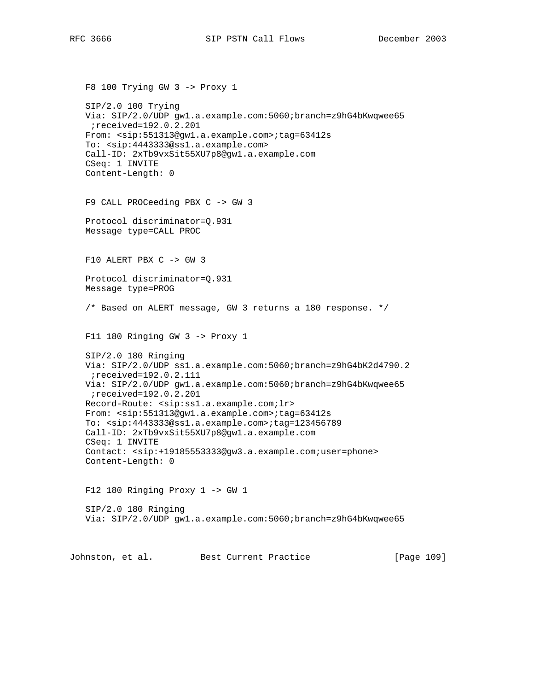```
 F8 100 Trying GW 3 -> Proxy 1
SIP/2.0 100 Trying
Via: SIP/2.0/UDP gw1.a.example.com:5060;branch=z9hG4bKwqwee65
;received=192.0.2.201
From: <sip:551313@gw1.a.example.com>;tag=63412s
To: <sip:4443333@ss1.a.example.com>
Call-ID: 2xTb9vxSit55XU7p8@gw1.a.example.com
CSeq: 1 INVITE
Content-Length: 0
F9 CALL PROCeeding PBX C -> GW 3
Protocol discriminator=Q.931
Message type=CALL PROC
F10 ALERT PBX C -> GW 3
Protocol discriminator=Q.931
Message type=PROG
/* Based on ALERT message, GW 3 returns a 180 response. */
F11 180 Ringing GW 3 -> Proxy 1
SIP/2.0 180 Ringing
Via: SIP/2.0/UDP ss1.a.example.com:5060;branch=z9hG4bK2d4790.2
;received=192.0.2.111
Via: SIP/2.0/UDP gw1.a.example.com:5060;branch=z9hG4bKwqwee65
;received=192.0.2.201
Record-Route: <sip:ss1.a.example.com;lr>
From: <sip:551313@gw1.a.example.com>;tag=63412s
To: <sip:4443333@ss1.a.example.com>;tag=123456789
Call-ID: 2xTb9vxSit55XU7p8@gw1.a.example.com
CSeq: 1 INVITE
Contact: <sip:+19185553333@gw3.a.example.com;user=phone>
Content-Length: 0
F12 180 Ringing Proxy 1 -> GW 1
SIP/2.0 180 Ringing
Via: SIP/2.0/UDP gw1.a.example.com:5060;branch=z9hG4bKwqwee65
```
Johnston, et al. Best Current Practice [Page 109]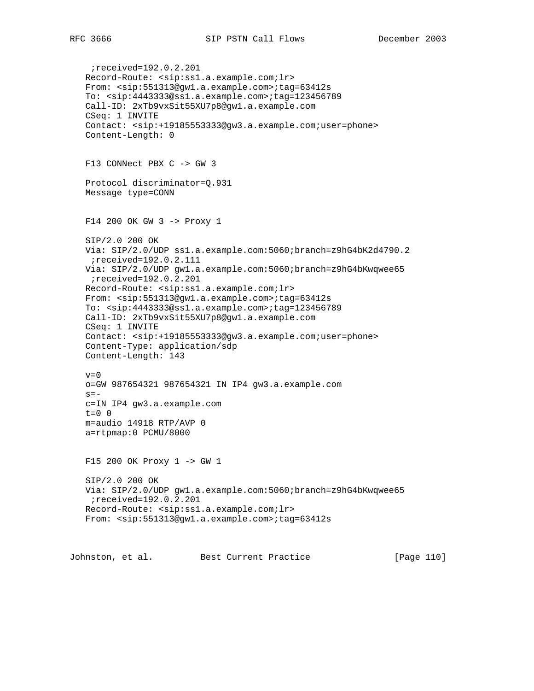;received=192.0.2.201 Record-Route: <sip:ss1.a.example.com;lr> From: <sip:551313@gw1.a.example.com>;tag=63412s To: <sip:4443333@ss1.a.example.com>;tag=123456789 Call-ID: 2xTb9vxSit55XU7p8@gw1.a.example.com CSeq: 1 INVITE Contact: <sip:+19185553333@gw3.a.example.com;user=phone> Content-Length: 0 F13 CONNect PBX C -> GW 3 Protocol discriminator=Q.931 Message type=CONN F14 200 OK GW 3 -> Proxy 1 SIP/2.0 200 OK Via: SIP/2.0/UDP ss1.a.example.com:5060;branch=z9hG4bK2d4790.2 ;received=192.0.2.111 Via: SIP/2.0/UDP gw1.a.example.com:5060;branch=z9hG4bKwqwee65 ;received=192.0.2.201 Record-Route: <sip:ss1.a.example.com;lr> From: <sip:551313@gw1.a.example.com>;tag=63412s To: <sip:4443333@ss1.a.example.com>;tag=123456789 Call-ID: 2xTb9vxSit55XU7p8@gw1.a.example.com CSeq: 1 INVITE Contact: <sip:+19185553333@gw3.a.example.com;user=phone> Content-Type: application/sdp Content-Length: 143  $v=0$  o=GW 987654321 987654321 IN IP4 gw3.a.example.com  $s=$  c=IN IP4 gw3.a.example.com  $t=0$  0 m=audio 14918 RTP/AVP 0 a=rtpmap:0 PCMU/8000 F15 200 OK Proxy 1 -> GW 1 SIP/2.0 200 OK Via: SIP/2.0/UDP gw1.a.example.com:5060;branch=z9hG4bKwqwee65 ;received=192.0.2.201 Record-Route: <sip:ss1.a.example.com;lr> From: <sip:551313@gw1.a.example.com>;tag=63412s

Johnston, et al. Best Current Practice [Page 110]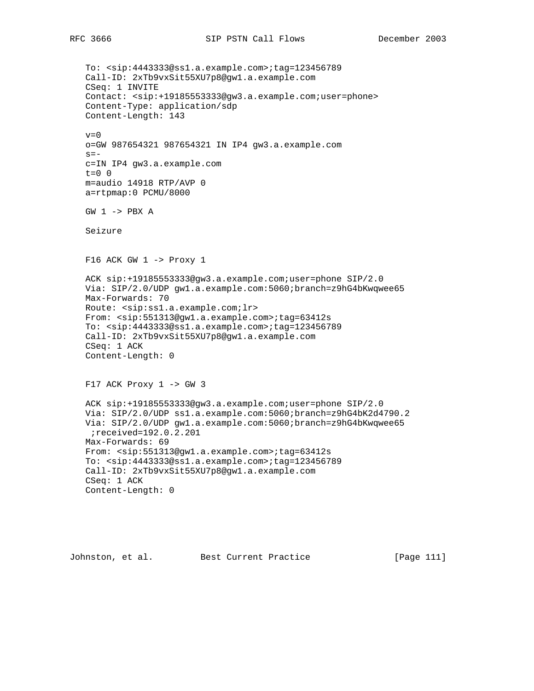To: <sip:4443333@ss1.a.example.com>;tag=123456789 Call-ID: 2xTb9vxSit55XU7p8@gw1.a.example.com CSeq: 1 INVITE Contact: <sip:+19185553333@gw3.a.example.com;user=phone> Content-Type: application/sdp Content-Length: 143  $v=0$  o=GW 987654321 987654321 IN IP4 gw3.a.example.com  $s=$  c=IN IP4 gw3.a.example.com  $t=0$  0 m=audio 14918 RTP/AVP 0 a=rtpmap:0 PCMU/8000 GW 1 -> PBX A Seizure  $F16$  ACK GW  $1$  -> Proxy  $1$  ACK sip:+19185553333@gw3.a.example.com;user=phone SIP/2.0 Via: SIP/2.0/UDP gw1.a.example.com:5060;branch=z9hG4bKwqwee65 Max-Forwards: 70 Route: <sip:ss1.a.example.com;lr> From: <sip:551313@gw1.a.example.com>;tag=63412s To: <sip:4443333@ss1.a.example.com>;tag=123456789 Call-ID: 2xTb9vxSit55XU7p8@gw1.a.example.com CSeq: 1 ACK Content-Length: 0 F17 ACK Proxy 1 -> GW 3 ACK sip:+19185553333@gw3.a.example.com;user=phone SIP/2.0 Via: SIP/2.0/UDP ss1.a.example.com:5060;branch=z9hG4bK2d4790.2 Via: SIP/2.0/UDP gw1.a.example.com:5060;branch=z9hG4bKwqwee65 ;received=192.0.2.201 Max-Forwards: 69 From: <sip:551313@gw1.a.example.com>;tag=63412s To: <sip:4443333@ss1.a.example.com>;tag=123456789 Call-ID: 2xTb9vxSit55XU7p8@gw1.a.example.com CSeq: 1 ACK Content-Length: 0

Johnston, et al. Best Current Practice [Page 111]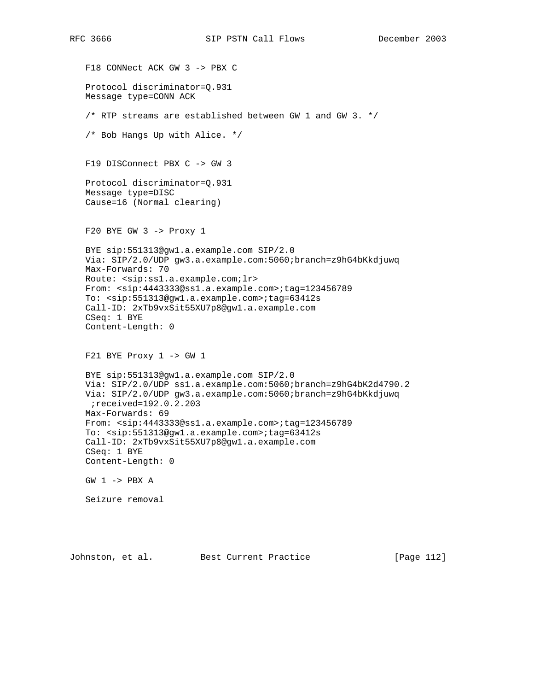F18 CONNect ACK GW 3 -> PBX C Protocol discriminator=Q.931 Message type=CONN ACK  $/*$  RTP streams are established between GW 1 and GW 3.  $*/$  /\* Bob Hangs Up with Alice. \*/ F19 DISConnect PBX C -> GW 3 Protocol discriminator=Q.931 Message type=DISC Cause=16 (Normal clearing) F20 BYE GW 3 -> Proxy 1 BYE sip:551313@gw1.a.example.com SIP/2.0 Via: SIP/2.0/UDP gw3.a.example.com:5060;branch=z9hG4bKkdjuwq Max-Forwards: 70 Route: <sip:ss1.a.example.com;lr> From: <sip:4443333@ss1.a.example.com>;tag=123456789 To: <sip:551313@gw1.a.example.com>;tag=63412s Call-ID: 2xTb9vxSit55XU7p8@gw1.a.example.com CSeq: 1 BYE Content-Length: 0 F21 BYE Proxy  $1$  -> GW  $1$  BYE sip:551313@gw1.a.example.com SIP/2.0 Via: SIP/2.0/UDP ss1.a.example.com:5060;branch=z9hG4bK2d4790.2 Via: SIP/2.0/UDP gw3.a.example.com:5060;branch=z9hG4bKkdjuwq ;received=192.0.2.203 Max-Forwards: 69 From: <sip:4443333@ss1.a.example.com>;tag=123456789 To: <sip:551313@gw1.a.example.com>;tag=63412s Call-ID: 2xTb9vxSit55XU7p8@gw1.a.example.com CSeq: 1 BYE Content-Length: 0 GW 1 -> PBX A Seizure removal

Johnston, et al. Best Current Practice [Page 112]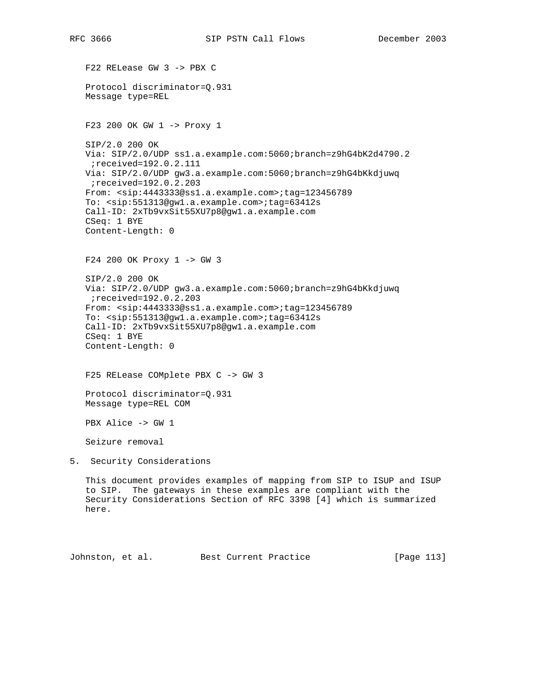F22 RELease GW 3 -> PBX C Protocol discriminator=Q.931 Message type=REL F23 200 OK GW 1 -> Proxy 1 SIP/2.0 200 OK Via: SIP/2.0/UDP ss1.a.example.com:5060;branch=z9hG4bK2d4790.2 ;received=192.0.2.111 Via: SIP/2.0/UDP gw3.a.example.com:5060;branch=z9hG4bKkdjuwq ;received=192.0.2.203 From: <sip:4443333@ss1.a.example.com>;tag=123456789 To: <sip:551313@gw1.a.example.com>;tag=63412s Call-ID: 2xTb9vxSit55XU7p8@gw1.a.example.com CSeq: 1 BYE Content-Length: 0 F24 200 OK Proxy 1 -> GW 3 SIP/2.0 200 OK Via: SIP/2.0/UDP gw3.a.example.com:5060;branch=z9hG4bKkdjuwq ;received=192.0.2.203 From: <sip:4443333@ss1.a.example.com>;tag=123456789 To: <sip:551313@gw1.a.example.com>;tag=63412s Call-ID: 2xTb9vxSit55XU7p8@gw1.a.example.com CSeq: 1 BYE Content-Length: 0 F25 RELease COMplete PBX C -> GW 3 Protocol discriminator=Q.931 Message type=REL COM PBX Alice -> GW 1 Seizure removal 5. Security Considerations This document provides examples of mapping from SIP to ISUP and ISUP to SIP. The gateways in these examples are compliant with the Security Considerations Section of RFC 3398 [4] which is summarized here.

Johnston, et al. Best Current Practice [Page 113]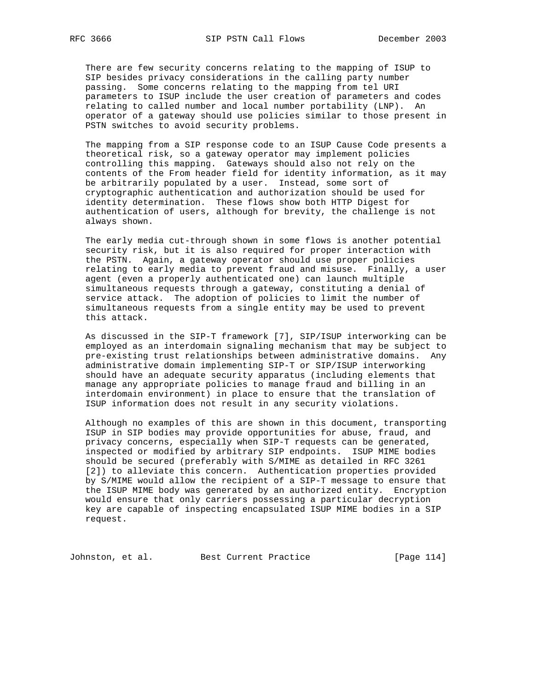There are few security concerns relating to the mapping of ISUP to SIP besides privacy considerations in the calling party number passing. Some concerns relating to the mapping from tel URI parameters to ISUP include the user creation of parameters and codes relating to called number and local number portability (LNP). An operator of a gateway should use policies similar to those present in PSTN switches to avoid security problems.

 The mapping from a SIP response code to an ISUP Cause Code presents a theoretical risk, so a gateway operator may implement policies controlling this mapping. Gateways should also not rely on the contents of the From header field for identity information, as it may be arbitrarily populated by a user. Instead, some sort of cryptographic authentication and authorization should be used for identity determination. These flows show both HTTP Digest for authentication of users, although for brevity, the challenge is not always shown.

 The early media cut-through shown in some flows is another potential security risk, but it is also required for proper interaction with the PSTN. Again, a gateway operator should use proper policies relating to early media to prevent fraud and misuse. Finally, a user agent (even a properly authenticated one) can launch multiple simultaneous requests through a gateway, constituting a denial of service attack. The adoption of policies to limit the number of simultaneous requests from a single entity may be used to prevent this attack.

 As discussed in the SIP-T framework [7], SIP/ISUP interworking can be employed as an interdomain signaling mechanism that may be subject to pre-existing trust relationships between administrative domains. Any administrative domain implementing SIP-T or SIP/ISUP interworking should have an adequate security apparatus (including elements that manage any appropriate policies to manage fraud and billing in an interdomain environment) in place to ensure that the translation of ISUP information does not result in any security violations.

 Although no examples of this are shown in this document, transporting ISUP in SIP bodies may provide opportunities for abuse, fraud, and privacy concerns, especially when SIP-T requests can be generated, inspected or modified by arbitrary SIP endpoints. ISUP MIME bodies should be secured (preferably with S/MIME as detailed in RFC 3261 [2]) to alleviate this concern. Authentication properties provided by S/MIME would allow the recipient of a SIP-T message to ensure that the ISUP MIME body was generated by an authorized entity. Encryption would ensure that only carriers possessing a particular decryption key are capable of inspecting encapsulated ISUP MIME bodies in a SIP request.

Johnston, et al. Best Current Practice [Page 114]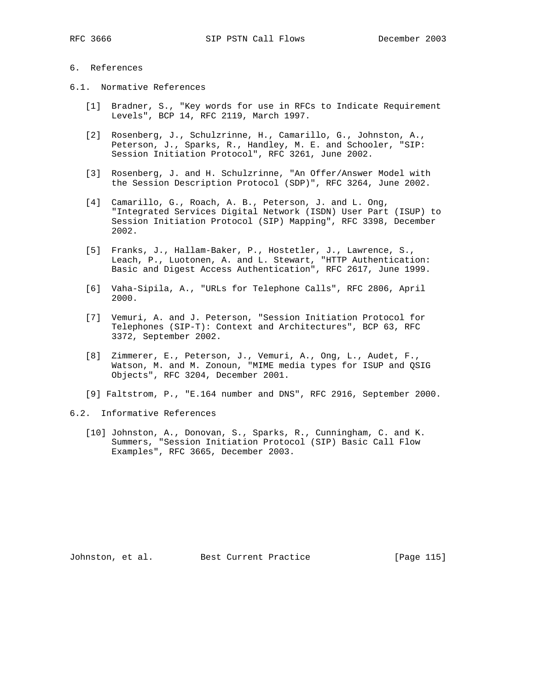## 6. References

- 6.1. Normative References
	- [1] Bradner, S., "Key words for use in RFCs to Indicate Requirement Levels", BCP 14, RFC 2119, March 1997.
	- [2] Rosenberg, J., Schulzrinne, H., Camarillo, G., Johnston, A., Peterson, J., Sparks, R., Handley, M. E. and Schooler, "SIP: Session Initiation Protocol", RFC 3261, June 2002.
	- [3] Rosenberg, J. and H. Schulzrinne, "An Offer/Answer Model with the Session Description Protocol (SDP)", RFC 3264, June 2002.
	- [4] Camarillo, G., Roach, A. B., Peterson, J. and L. Ong, "Integrated Services Digital Network (ISDN) User Part (ISUP) to Session Initiation Protocol (SIP) Mapping", RFC 3398, December 2002.
	- [5] Franks, J., Hallam-Baker, P., Hostetler, J., Lawrence, S., Leach, P., Luotonen, A. and L. Stewart, "HTTP Authentication: Basic and Digest Access Authentication", RFC 2617, June 1999.
	- [6] Vaha-Sipila, A., "URLs for Telephone Calls", RFC 2806, April 2000.
	- [7] Vemuri, A. and J. Peterson, "Session Initiation Protocol for Telephones (SIP-T): Context and Architectures", BCP 63, RFC 3372, September 2002.
	- [8] Zimmerer, E., Peterson, J., Vemuri, A., Ong, L., Audet, F., Watson, M. and M. Zonoun, "MIME media types for ISUP and QSIG Objects", RFC 3204, December 2001.
	- [9] Faltstrom, P., "E.164 number and DNS", RFC 2916, September 2000.
- 6.2. Informative References
	- [10] Johnston, A., Donovan, S., Sparks, R., Cunningham, C. and K. Summers, "Session Initiation Protocol (SIP) Basic Call Flow Examples", RFC 3665, December 2003.

Johnston, et al. Best Current Practice [Page 115]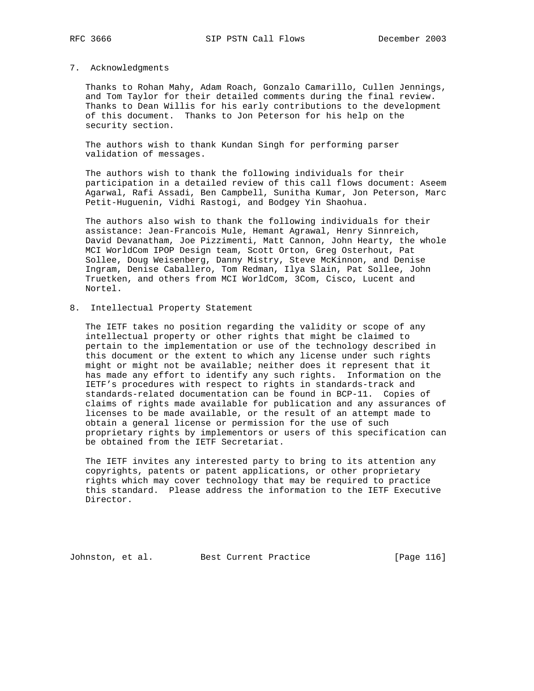## 7. Acknowledgments

 Thanks to Rohan Mahy, Adam Roach, Gonzalo Camarillo, Cullen Jennings, and Tom Taylor for their detailed comments during the final review. Thanks to Dean Willis for his early contributions to the development of this document. Thanks to Jon Peterson for his help on the security section.

 The authors wish to thank Kundan Singh for performing parser validation of messages.

 The authors wish to thank the following individuals for their participation in a detailed review of this call flows document: Aseem Agarwal, Rafi Assadi, Ben Campbell, Sunitha Kumar, Jon Peterson, Marc Petit-Huguenin, Vidhi Rastogi, and Bodgey Yin Shaohua.

 The authors also wish to thank the following individuals for their assistance: Jean-Francois Mule, Hemant Agrawal, Henry Sinnreich, David Devanatham, Joe Pizzimenti, Matt Cannon, John Hearty, the whole MCI WorldCom IPOP Design team, Scott Orton, Greg Osterhout, Pat Sollee, Doug Weisenberg, Danny Mistry, Steve McKinnon, and Denise Ingram, Denise Caballero, Tom Redman, Ilya Slain, Pat Sollee, John Truetken, and others from MCI WorldCom, 3Com, Cisco, Lucent and Nortel.

8. Intellectual Property Statement

 The IETF takes no position regarding the validity or scope of any intellectual property or other rights that might be claimed to pertain to the implementation or use of the technology described in this document or the extent to which any license under such rights might or might not be available; neither does it represent that it has made any effort to identify any such rights. Information on the IETF's procedures with respect to rights in standards-track and standards-related documentation can be found in BCP-11. Copies of claims of rights made available for publication and any assurances of licenses to be made available, or the result of an attempt made to obtain a general license or permission for the use of such proprietary rights by implementors or users of this specification can be obtained from the IETF Secretariat.

 The IETF invites any interested party to bring to its attention any copyrights, patents or patent applications, or other proprietary rights which may cover technology that may be required to practice this standard. Please address the information to the IETF Executive Director.

Johnston, et al. Best Current Practice [Page 116]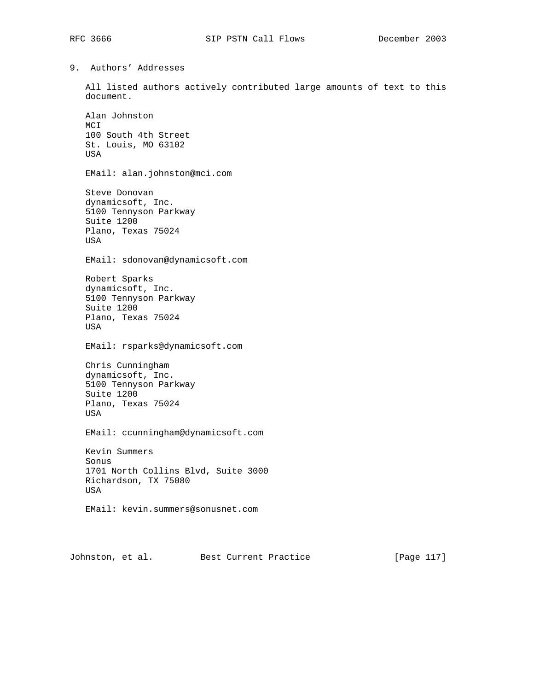9. Authors' Addresses

 All listed authors actively contributed large amounts of text to this document.

 Alan Johnston MCI 100 South 4th Street St. Louis, MO 63102 USA

EMail: alan.johnston@mci.com

 Steve Donovan dynamicsoft, Inc. 5100 Tennyson Parkway Suite 1200 Plano, Texas 75024 USA

EMail: sdonovan@dynamicsoft.com

 Robert Sparks dynamicsoft, Inc. 5100 Tennyson Parkway Suite 1200 Plano, Texas 75024 USA

EMail: rsparks@dynamicsoft.com

 Chris Cunningham dynamicsoft, Inc. 5100 Tennyson Parkway Suite 1200 Plano, Texas 75024 USA

EMail: ccunningham@dynamicsoft.com

 Kevin Summers Sonus 1701 North Collins Blvd, Suite 3000 Richardson, TX 75080 USA

EMail: kevin.summers@sonusnet.com

Johnston, et al. Best Current Practice [Page 117]